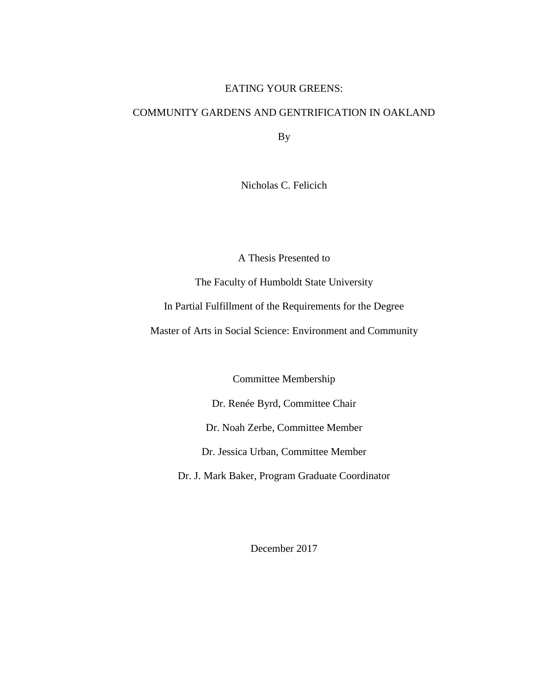### EATING YOUR GREENS:

# COMMUNITY GARDENS AND GENTRIFICATION IN OAKLAND

By

Nicholas C. Felicich

A Thesis Presented to

The Faculty of Humboldt State University

In Partial Fulfillment of the Requirements for the Degree

Master of Arts in Social Science: Environment and Community

Committee Membership

Dr. Renée Byrd, Committee Chair

Dr. Noah Zerbe, Committee Member

Dr. Jessica Urban, Committee Member

Dr. J. Mark Baker, Program Graduate Coordinator

December 2017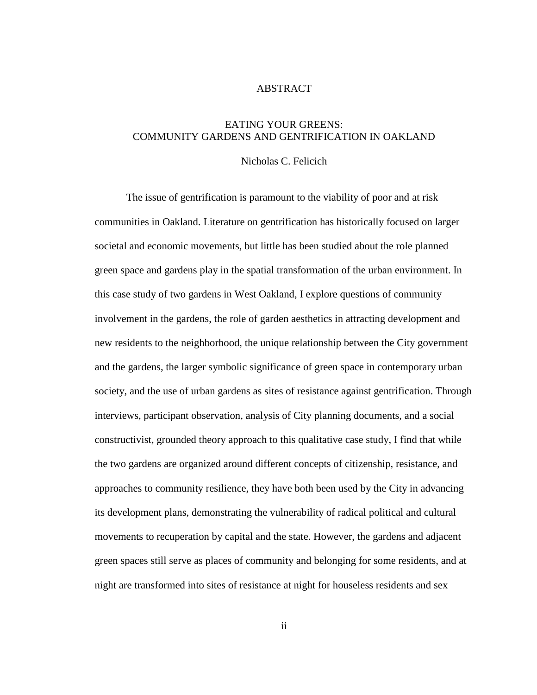#### ABSTRACT

## <span id="page-1-0"></span>EATING YOUR GREENS: COMMUNITY GARDENS AND GENTRIFICATION IN OAKLAND

### Nicholas C. Felicich

The issue of gentrification is paramount to the viability of poor and at risk communities in Oakland. Literature on gentrification has historically focused on larger societal and economic movements, but little has been studied about the role planned green space and gardens play in the spatial transformation of the urban environment. In this case study of two gardens in West Oakland, I explore questions of community involvement in the gardens, the role of garden aesthetics in attracting development and new residents to the neighborhood, the unique relationship between the City government and the gardens, the larger symbolic significance of green space in contemporary urban society, and the use of urban gardens as sites of resistance against gentrification. Through interviews, participant observation, analysis of City planning documents, and a social constructivist, grounded theory approach to this qualitative case study, I find that while the two gardens are organized around different concepts of citizenship, resistance, and approaches to community resilience, they have both been used by the City in advancing its development plans, demonstrating the vulnerability of radical political and cultural movements to recuperation by capital and the state. However, the gardens and adjacent green spaces still serve as places of community and belonging for some residents, and at night are transformed into sites of resistance at night for houseless residents and sex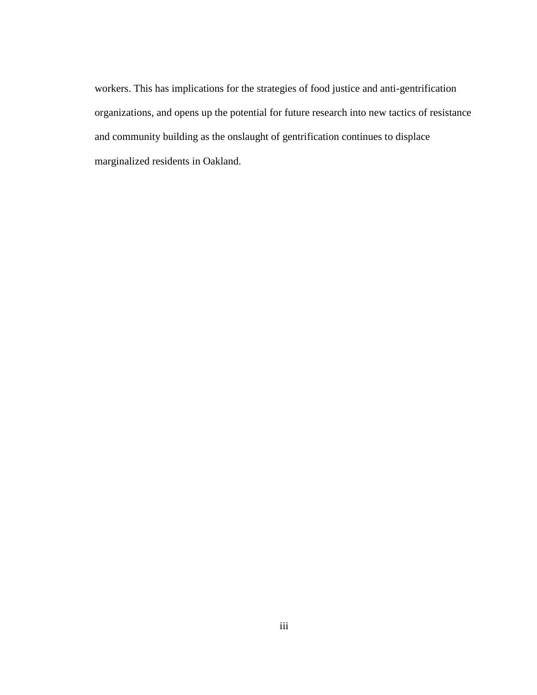workers. This has implications for the strategies of food justice and anti-gentrification organizations, and opens up the potential for future research into new tactics of resistance and community building as the onslaught of gentrification continues to displace marginalized residents in Oakland.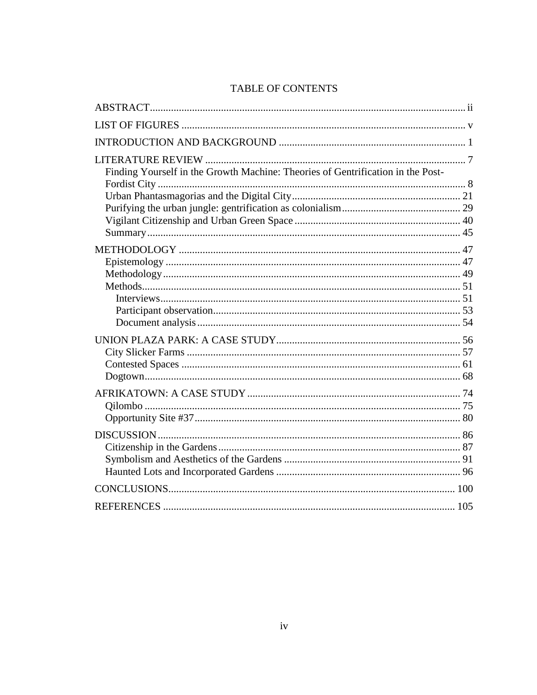# TABLE OF CONTENTS

| Finding Yourself in the Growth Machine: Theories of Gentrification in the Post- |  |
|---------------------------------------------------------------------------------|--|
|                                                                                 |  |
|                                                                                 |  |
|                                                                                 |  |
|                                                                                 |  |
|                                                                                 |  |
|                                                                                 |  |
|                                                                                 |  |
|                                                                                 |  |
|                                                                                 |  |
|                                                                                 |  |
|                                                                                 |  |
|                                                                                 |  |
|                                                                                 |  |
|                                                                                 |  |
|                                                                                 |  |
|                                                                                 |  |
|                                                                                 |  |
|                                                                                 |  |
|                                                                                 |  |
|                                                                                 |  |
|                                                                                 |  |
|                                                                                 |  |
|                                                                                 |  |
|                                                                                 |  |
|                                                                                 |  |
|                                                                                 |  |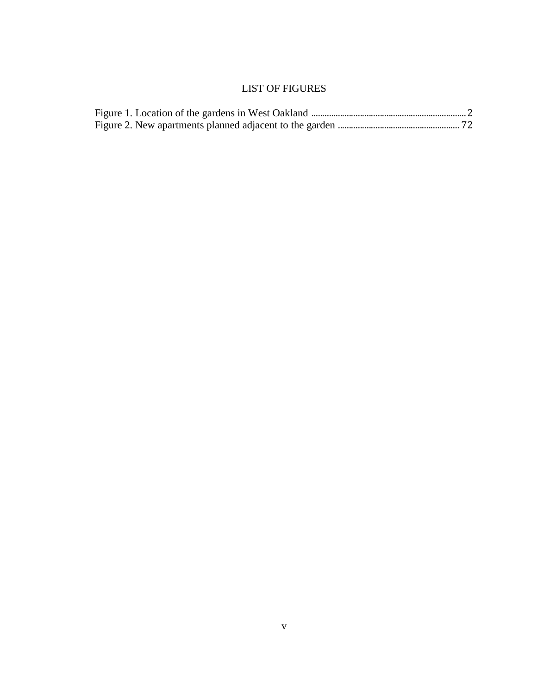# LIST OF FIGURES

<span id="page-4-0"></span>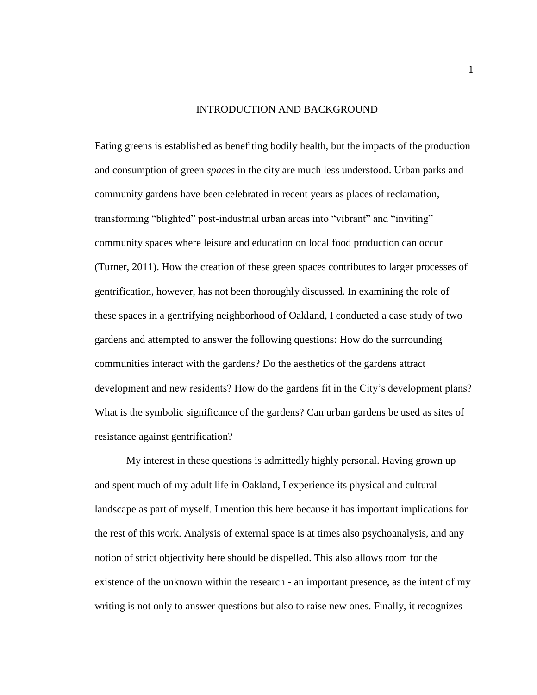#### INTRODUCTION AND BACKGROUND

<span id="page-5-0"></span>Eating greens is established as benefiting bodily health, but the impacts of the production and consumption of green *spaces* in the city are much less understood. Urban parks and community gardens have been celebrated in recent years as places of reclamation, transforming "blighted" post-industrial urban areas into "vibrant" and "inviting" community spaces where leisure and education on local food production can occur (Turner, 2011). How the creation of these green spaces contributes to larger processes of gentrification, however, has not been thoroughly discussed. In examining the role of these spaces in a gentrifying neighborhood of Oakland, I conducted a case study of two gardens and attempted to answer the following questions: How do the surrounding communities interact with the gardens? Do the aesthetics of the gardens attract development and new residents? How do the gardens fit in the City's development plans? What is the symbolic significance of the gardens? Can urban gardens be used as sites of resistance against gentrification?

My interest in these questions is admittedly highly personal. Having grown up and spent much of my adult life in Oakland, I experience its physical and cultural landscape as part of myself. I mention this here because it has important implications for the rest of this work. Analysis of external space is at times also psychoanalysis, and any notion of strict objectivity here should be dispelled. This also allows room for the existence of the unknown within the research - an important presence, as the intent of my writing is not only to answer questions but also to raise new ones. Finally, it recognizes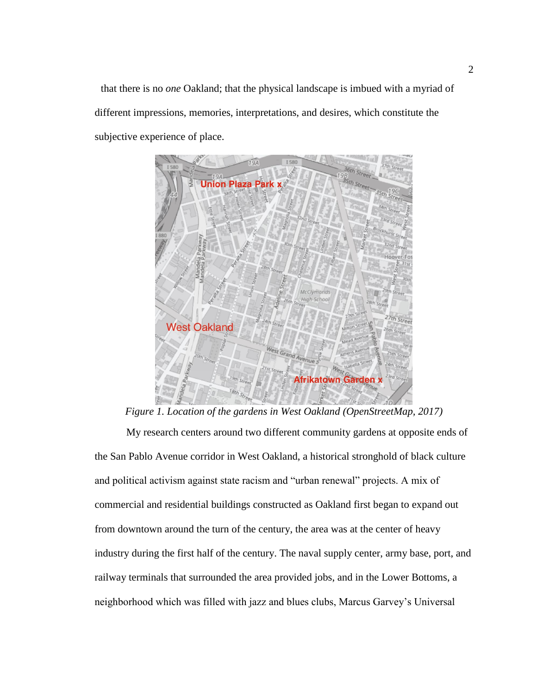that there is no *one* Oakland; that the physical landscape is imbued with a myriad of different impressions, memories, interpretations, and desires, which constitute the subjective experience of place.



*Figure 1. Location of the gardens in West Oakland (OpenStreetMap, 2017)*

My research centers around two different community gardens at opposite ends of the San Pablo Avenue corridor in West Oakland, a historical stronghold of black culture and political activism against state racism and "urban renewal" projects. A mix of commercial and residential buildings constructed as Oakland first began to expand out from downtown around the turn of the century, the area was at the center of heavy industry during the first half of the century. The naval supply center, army base, port, and railway terminals that surrounded the area provided jobs, and in the Lower Bottoms, a neighborhood which was filled with jazz and blues clubs, Marcus Garvey's Universal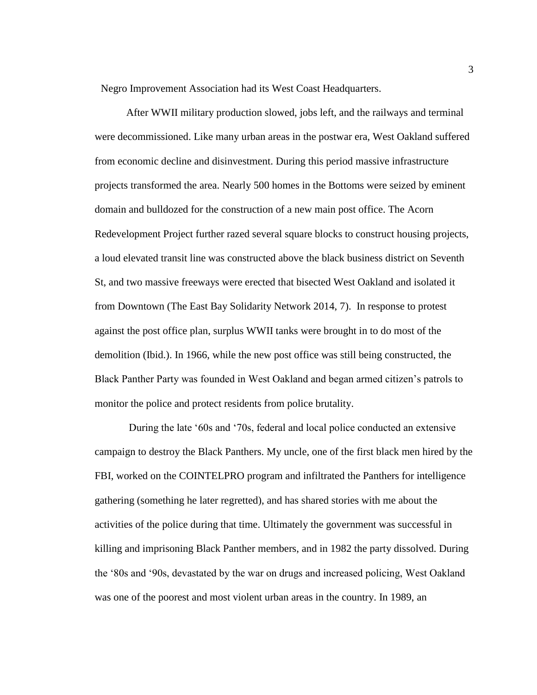Negro Improvement Association had its West Coast Headquarters.

After WWII military production slowed, jobs left, and the railways and terminal were decommissioned. Like many urban areas in the postwar era, West Oakland suffered from economic decline and disinvestment. During this period massive infrastructure projects transformed the area. Nearly 500 homes in the Bottoms were seized by eminent domain and bulldozed for the construction of a new main post office. The Acorn Redevelopment Project further razed several square blocks to construct housing projects, a loud elevated transit line was constructed above the black business district on Seventh St, and two massive freeways were erected that bisected West Oakland and isolated it from Downtown (The East Bay Solidarity Network 2014, 7). In response to protest against the post office plan, surplus WWII tanks were brought in to do most of the demolition (Ibid.). In 1966, while the new post office was still being constructed, the Black Panther Party was founded in West Oakland and began armed citizen's patrols to monitor the police and protect residents from police brutality.

During the late '60s and '70s, federal and local police conducted an extensive campaign to destroy the Black Panthers. My uncle, one of the first black men hired by the FBI, worked on the COINTELPRO program and infiltrated the Panthers for intelligence gathering (something he later regretted), and has shared stories with me about the activities of the police during that time. Ultimately the government was successful in killing and imprisoning Black Panther members, and in 1982 the party dissolved. During the '80s and '90s, devastated by the war on drugs and increased policing, West Oakland was one of the poorest and most violent urban areas in the country. In 1989, an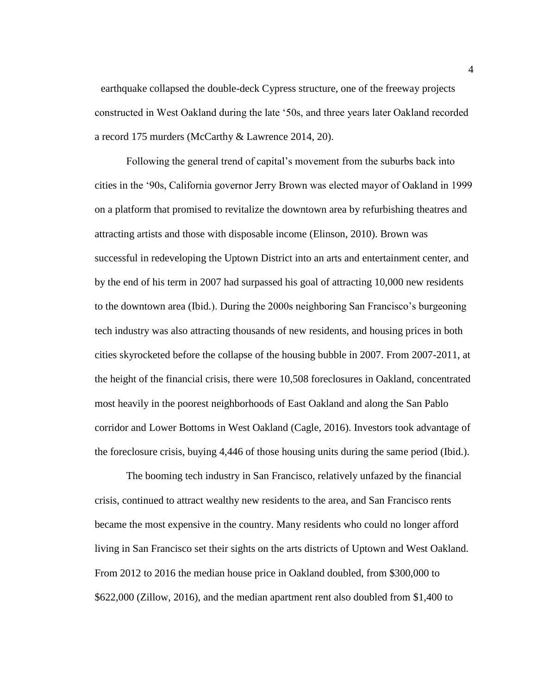earthquake collapsed the double-deck Cypress structure, one of the freeway projects constructed in West Oakland during the late '50s, and three years later Oakland recorded a record 175 murders (McCarthy & Lawrence 2014, 20).

Following the general trend of capital's movement from the suburbs back into cities in the '90s, California governor Jerry Brown was elected mayor of Oakland in 1999 on a platform that promised to revitalize the downtown area by refurbishing theatres and attracting artists and those with disposable income (Elinson, 2010). Brown was successful in redeveloping the Uptown District into an arts and entertainment center, and by the end of his term in 2007 had surpassed his goal of attracting 10,000 new residents to the downtown area (Ibid.). During the 2000s neighboring San Francisco's burgeoning tech industry was also attracting thousands of new residents, and housing prices in both cities skyrocketed before the collapse of the housing bubble in 2007. From 2007-2011, at the height of the financial crisis, there were 10,508 foreclosures in Oakland, concentrated most heavily in the poorest neighborhoods of East Oakland and along the San Pablo corridor and Lower Bottoms in West Oakland (Cagle, 2016). Investors took advantage of the foreclosure crisis, buying 4,446 of those housing units during the same period (Ibid.).

The booming tech industry in San Francisco, relatively unfazed by the financial crisis, continued to attract wealthy new residents to the area, and San Francisco rents became the most expensive in the country. Many residents who could no longer afford living in San Francisco set their sights on the arts districts of Uptown and West Oakland. From 2012 to 2016 the median house price in Oakland doubled, from \$300,000 to \$622,000 (Zillow, 2016), and the median apartment rent also doubled from \$1,400 to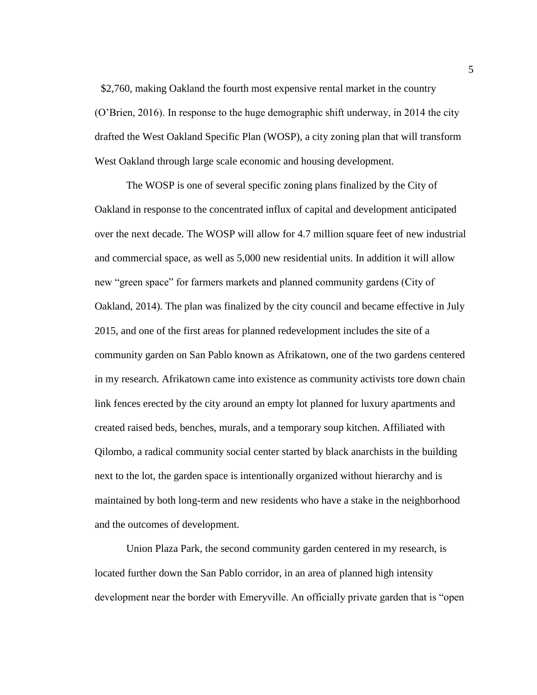\$2,760, making Oakland the fourth most expensive rental market in the country (O'Brien, 2016). In response to the huge demographic shift underway, in 2014 the city drafted the West Oakland Specific Plan (WOSP), a city zoning plan that will transform West Oakland through large scale economic and housing development.

The WOSP is one of several specific zoning plans finalized by the City of Oakland in response to the concentrated influx of capital and development anticipated over the next decade. The WOSP will allow for 4.7 million square feet of new industrial and commercial space, as well as 5,000 new residential units. In addition it will allow new "green space" for farmers markets and planned community gardens (City of Oakland, 2014). The plan was finalized by the city council and became effective in July 2015, and one of the first areas for planned redevelopment includes the site of a community garden on San Pablo known as Afrikatown, one of the two gardens centered in my research. Afrikatown came into existence as community activists tore down chain link fences erected by the city around an empty lot planned for luxury apartments and created raised beds, benches, murals, and a temporary soup kitchen. Affiliated with Qilombo, a radical community social center started by black anarchists in the building next to the lot, the garden space is intentionally organized without hierarchy and is maintained by both long-term and new residents who have a stake in the neighborhood and the outcomes of development.

Union Plaza Park, the second community garden centered in my research, is located further down the San Pablo corridor, in an area of planned high intensity development near the border with Emeryville. An officially private garden that is "open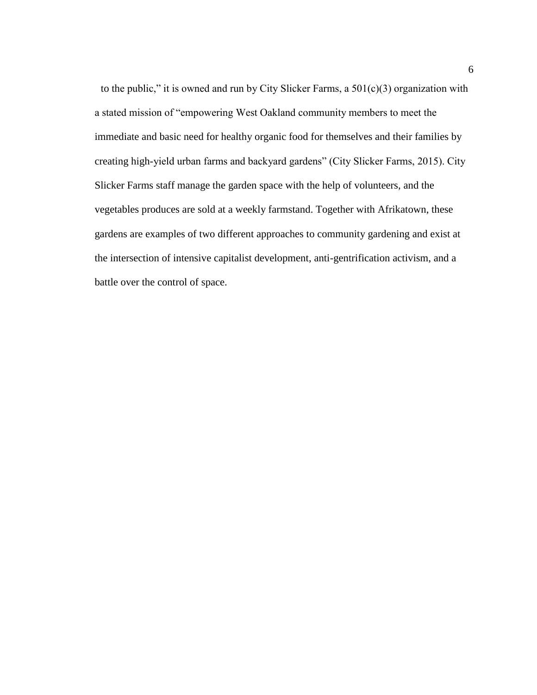to the public," it is owned and run by City Slicker Farms, a  $501(c)(3)$  organization with a stated mission of "empowering West Oakland community members to meet the immediate and basic need for healthy organic food for themselves and their families by creating high-yield urban farms and backyard gardens" (City Slicker Farms, 2015). City Slicker Farms staff manage the garden space with the help of volunteers, and the vegetables produces are sold at a weekly farmstand. Together with Afrikatown, these gardens are examples of two different approaches to community gardening and exist at the intersection of intensive capitalist development, anti-gentrification activism, and a battle over the control of space.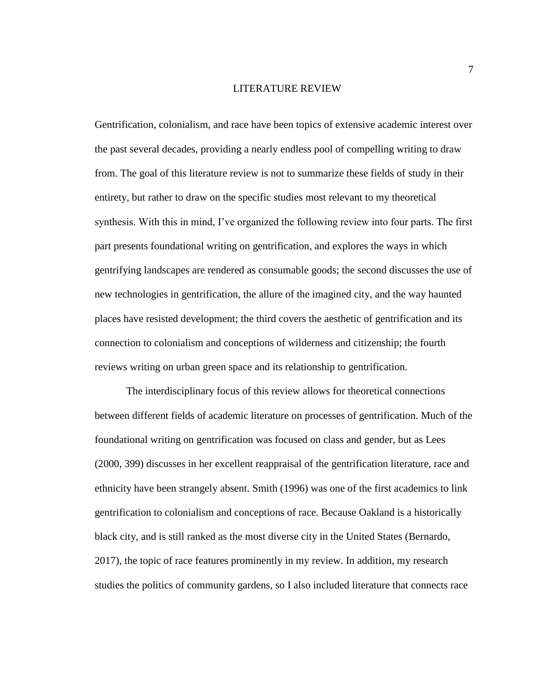#### LITERATURE REVIEW

<span id="page-11-0"></span>Gentrification, colonialism, and race have been topics of extensive academic interest over the past several decades, providing a nearly endless pool of compelling writing to draw from. The goal of this literature review is not to summarize these fields of study in their entirety, but rather to draw on the specific studies most relevant to my theoretical synthesis. With this in mind, I've organized the following review into four parts. The first part presents foundational writing on gentrification, and explores the ways in which gentrifying landscapes are rendered as consumable goods; the second discusses the use of new technologies in gentrification, the allure of the imagined city, and the way haunted places have resisted development; the third covers the aesthetic of gentrification and its connection to colonialism and conceptions of wilderness and citizenship; the fourth reviews writing on urban green space and its relationship to gentrification.

The interdisciplinary focus of this review allows for theoretical connections between different fields of academic literature on processes of gentrification. Much of the foundational writing on gentrification was focused on class and gender, but as Lees (2000, 399) discusses in her excellent reappraisal of the gentrification literature, race and ethnicity have been strangely absent. Smith (1996) was one of the first academics to link gentrification to colonialism and conceptions of race. Because Oakland is a historically black city, and is still ranked as the most diverse city in the United States (Bernardo, 2017), the topic of race features prominently in my review. In addition, my research studies the politics of community gardens, so I also included literature that connects race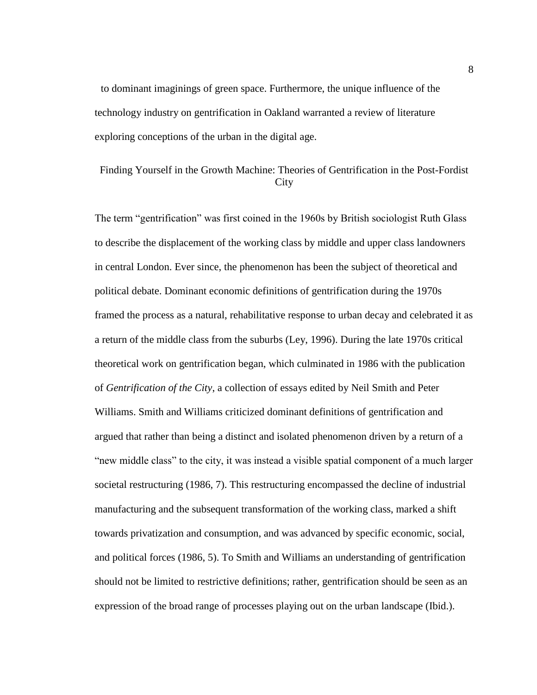to dominant imaginings of green space. Furthermore, the unique influence of the technology industry on gentrification in Oakland warranted a review of literature exploring conceptions of the urban in the digital age.

# <span id="page-12-0"></span>Finding Yourself in the Growth Machine: Theories of Gentrification in the Post-Fordist **City**

The term "gentrification" was first coined in the 1960s by British sociologist Ruth Glass to describe the displacement of the working class by middle and upper class landowners in central London. Ever since, the phenomenon has been the subject of theoretical and political debate. Dominant economic definitions of gentrification during the 1970s framed the process as a natural, rehabilitative response to urban decay and celebrated it as a return of the middle class from the suburbs (Ley, 1996). During the late 1970s critical theoretical work on gentrification began, which culminated in 1986 with the publication of *Gentrification of the City*, a collection of essays edited by Neil Smith and Peter Williams. Smith and Williams criticized dominant definitions of gentrification and argued that rather than being a distinct and isolated phenomenon driven by a return of a "new middle class" to the city, it was instead a visible spatial component of a much larger societal restructuring (1986, 7). This restructuring encompassed the decline of industrial manufacturing and the subsequent transformation of the working class, marked a shift towards privatization and consumption, and was advanced by specific economic, social, and political forces (1986, 5). To Smith and Williams an understanding of gentrification should not be limited to restrictive definitions; rather, gentrification should be seen as an expression of the broad range of processes playing out on the urban landscape (Ibid.).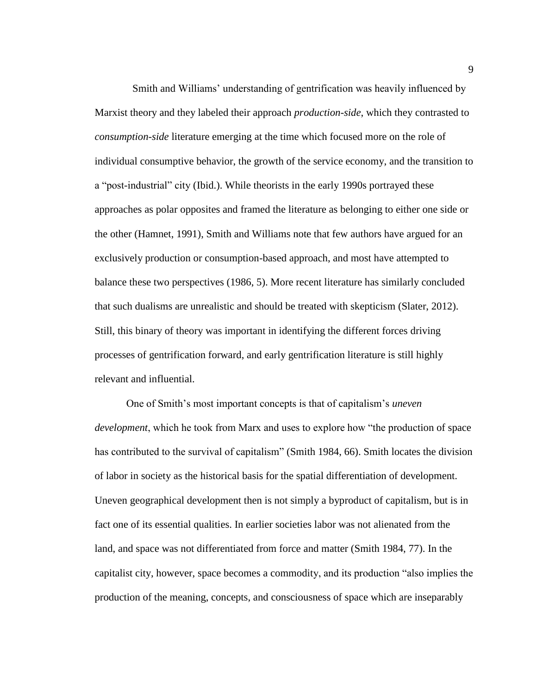Smith and Williams' understanding of gentrification was heavily influenced by Marxist theory and they labeled their approach *production-side*, which they contrasted to *consumption-side* literature emerging at the time which focused more on the role of individual consumptive behavior, the growth of the service economy, and the transition to a "post-industrial" city (Ibid.). While theorists in the early 1990s portrayed these approaches as polar opposites and framed the literature as belonging to either one side or the other (Hamnet, 1991), Smith and Williams note that few authors have argued for an exclusively production or consumption-based approach, and most have attempted to balance these two perspectives (1986, 5). More recent literature has similarly concluded that such dualisms are unrealistic and should be treated with skepticism (Slater, 2012). Still, this binary of theory was important in identifying the different forces driving processes of gentrification forward, and early gentrification literature is still highly relevant and influential.

One of Smith's most important concepts is that of capitalism's *uneven development*, which he took from Marx and uses to explore how "the production of space has contributed to the survival of capitalism" (Smith 1984, 66). Smith locates the division of labor in society as the historical basis for the spatial differentiation of development. Uneven geographical development then is not simply a byproduct of capitalism, but is in fact one of its essential qualities. In earlier societies labor was not alienated from the land, and space was not differentiated from force and matter (Smith 1984, 77). In the capitalist city, however, space becomes a commodity, and its production "also implies the production of the meaning, concepts, and consciousness of space which are inseparably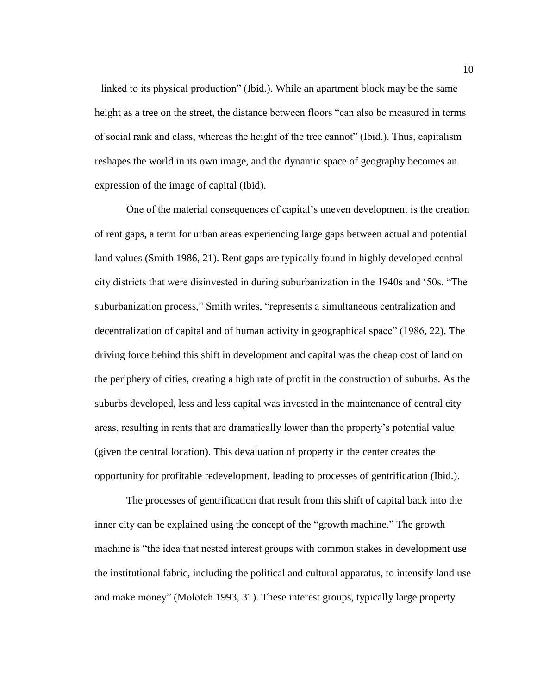linked to its physical production" (Ibid.). While an apartment block may be the same height as a tree on the street, the distance between floors "can also be measured in terms of social rank and class, whereas the height of the tree cannot" (Ibid.). Thus, capitalism reshapes the world in its own image, and the dynamic space of geography becomes an expression of the image of capital (Ibid).

One of the material consequences of capital's uneven development is the creation of rent gaps, a term for urban areas experiencing large gaps between actual and potential land values (Smith 1986, 21). Rent gaps are typically found in highly developed central city districts that were disinvested in during suburbanization in the 1940s and '50s. "The suburbanization process," Smith writes, "represents a simultaneous centralization and decentralization of capital and of human activity in geographical space" (1986, 22). The driving force behind this shift in development and capital was the cheap cost of land on the periphery of cities, creating a high rate of profit in the construction of suburbs. As the suburbs developed, less and less capital was invested in the maintenance of central city areas, resulting in rents that are dramatically lower than the property's potential value (given the central location). This devaluation of property in the center creates the opportunity for profitable redevelopment, leading to processes of gentrification (Ibid.).

The processes of gentrification that result from this shift of capital back into the inner city can be explained using the concept of the "growth machine." The growth machine is "the idea that nested interest groups with common stakes in development use the institutional fabric, including the political and cultural apparatus, to intensify land use and make money" (Molotch 1993, 31). These interest groups, typically large property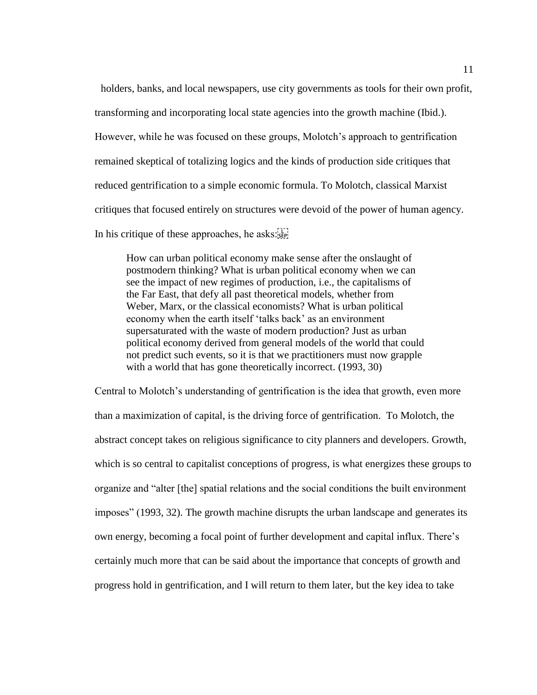holders, banks, and local newspapers, use city governments as tools for their own profit, transforming and incorporating local state agencies into the growth machine (Ibid.). However, while he was focused on these groups, Molotch's approach to gentrification remained skeptical of totalizing logics and the kinds of production side critiques that reduced gentrification to a simple economic formula. To Molotch, classical Marxist critiques that focused entirely on structures were devoid of the power of human agency. In his critique of these approaches, he asks:

How can urban political economy make sense after the onslaught of postmodern thinking? What is urban political economy when we can see the impact of new regimes of production, i.e., the capitalisms of the Far East, that defy all past theoretical models, whether from Weber, Marx, or the classical economists? What is urban political economy when the earth itself 'talks back' as an environment supersaturated with the waste of modern production? Just as urban political economy derived from general models of the world that could not predict such events, so it is that we practitioners must now grapple with a world that has gone theoretically incorrect. (1993, 30)

Central to Molotch's understanding of gentrification is the idea that growth, even more than a maximization of capital, is the driving force of gentrification. To Molotch, the abstract concept takes on religious significance to city planners and developers. Growth, which is so central to capitalist conceptions of progress, is what energizes these groups to organize and "alter [the] spatial relations and the social conditions the built environment imposes" (1993, 32). The growth machine disrupts the urban landscape and generates its own energy, becoming a focal point of further development and capital influx. There's certainly much more that can be said about the importance that concepts of growth and progress hold in gentrification, and I will return to them later, but the key idea to take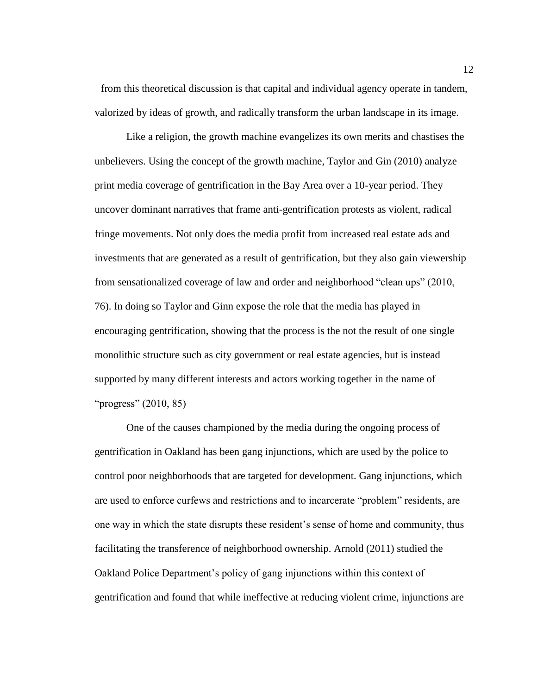from this theoretical discussion is that capital and individual agency operate in tandem, valorized by ideas of growth, and radically transform the urban landscape in its image.

Like a religion, the growth machine evangelizes its own merits and chastises the unbelievers. Using the concept of the growth machine, Taylor and Gin (2010) analyze print media coverage of gentrification in the Bay Area over a 10-year period. They uncover dominant narratives that frame anti-gentrification protests as violent, radical fringe movements. Not only does the media profit from increased real estate ads and investments that are generated as a result of gentrification, but they also gain viewership from sensationalized coverage of law and order and neighborhood "clean ups" (2010, 76). In doing so Taylor and Ginn expose the role that the media has played in encouraging gentrification, showing that the process is the not the result of one single monolithic structure such as city government or real estate agencies, but is instead supported by many different interests and actors working together in the name of "progress" (2010, 85)

One of the causes championed by the media during the ongoing process of gentrification in Oakland has been gang injunctions, which are used by the police to control poor neighborhoods that are targeted for development. Gang injunctions, which are used to enforce curfews and restrictions and to incarcerate "problem" residents, are one way in which the state disrupts these resident's sense of home and community, thus facilitating the transference of neighborhood ownership. Arnold (2011) studied the Oakland Police Department's policy of gang injunctions within this context of gentrification and found that while ineffective at reducing violent crime, injunctions are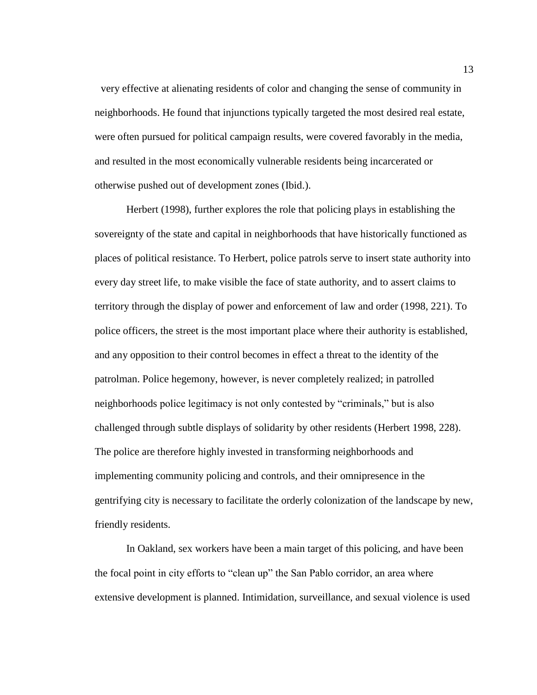very effective at alienating residents of color and changing the sense of community in neighborhoods. He found that injunctions typically targeted the most desired real estate, were often pursued for political campaign results, were covered favorably in the media, and resulted in the most economically vulnerable residents being incarcerated or otherwise pushed out of development zones (Ibid.).

Herbert (1998), further explores the role that policing plays in establishing the sovereignty of the state and capital in neighborhoods that have historically functioned as places of political resistance. To Herbert, police patrols serve to insert state authority into every day street life, to make visible the face of state authority, and to assert claims to territory through the display of power and enforcement of law and order (1998, 221). To police officers, the street is the most important place where their authority is established, and any opposition to their control becomes in effect a threat to the identity of the patrolman. Police hegemony, however, is never completely realized; in patrolled neighborhoods police legitimacy is not only contested by "criminals," but is also challenged through subtle displays of solidarity by other residents (Herbert 1998, 228). The police are therefore highly invested in transforming neighborhoods and implementing community policing and controls, and their omnipresence in the gentrifying city is necessary to facilitate the orderly colonization of the landscape by new, friendly residents.

In Oakland, sex workers have been a main target of this policing, and have been the focal point in city efforts to "clean up" the San Pablo corridor, an area where extensive development is planned. Intimidation, surveillance, and sexual violence is used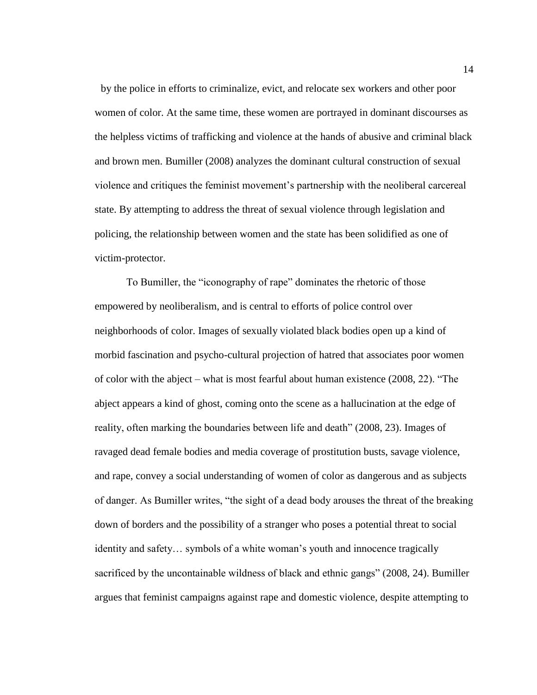by the police in efforts to criminalize, evict, and relocate sex workers and other poor women of color. At the same time, these women are portrayed in dominant discourses as the helpless victims of trafficking and violence at the hands of abusive and criminal black and brown men. Bumiller (2008) analyzes the dominant cultural construction of sexual violence and critiques the feminist movement's partnership with the neoliberal carcereal state. By attempting to address the threat of sexual violence through legislation and policing, the relationship between women and the state has been solidified as one of victim-protector.

To Bumiller, the "iconography of rape" dominates the rhetoric of those empowered by neoliberalism, and is central to efforts of police control over neighborhoods of color. Images of sexually violated black bodies open up a kind of morbid fascination and psycho-cultural projection of hatred that associates poor women of color with the abject – what is most fearful about human existence (2008, 22). "The abject appears a kind of ghost, coming onto the scene as a hallucination at the edge of reality, often marking the boundaries between life and death" (2008, 23). Images of ravaged dead female bodies and media coverage of prostitution busts, savage violence, and rape, convey a social understanding of women of color as dangerous and as subjects of danger. As Bumiller writes, "the sight of a dead body arouses the threat of the breaking down of borders and the possibility of a stranger who poses a potential threat to social identity and safety… symbols of a white woman's youth and innocence tragically sacrificed by the uncontainable wildness of black and ethnic gangs" (2008, 24). Bumiller argues that feminist campaigns against rape and domestic violence, despite attempting to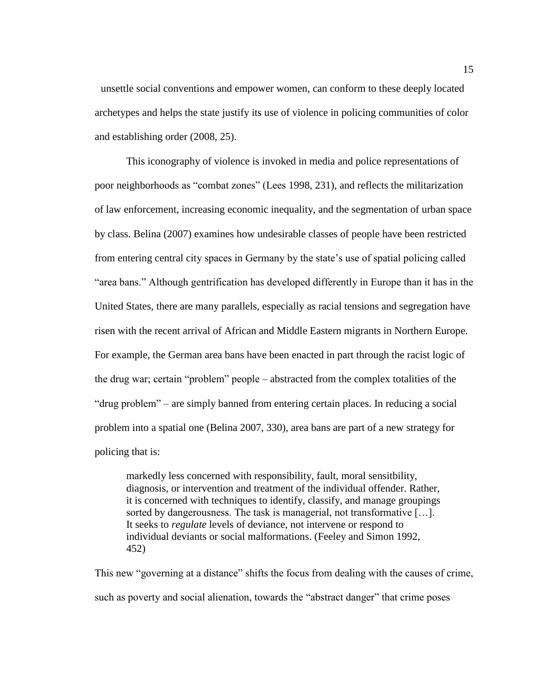unsettle social conventions and empower women, can conform to these deeply located archetypes and helps the state justify its use of violence in policing communities of color and establishing order (2008, 25).

This iconography of violence is invoked in media and police representations of poor neighborhoods as "combat zones" (Lees 1998, 231), and reflects the militarization of law enforcement, increasing economic inequality, and the segmentation of urban space by class. Belina (2007) examines how undesirable classes of people have been restricted from entering central city spaces in Germany by the state's use of spatial policing called "area bans." Although gentrification has developed differently in Europe than it has in the United States, there are many parallels, especially as racial tensions and segregation have risen with the recent arrival of African and Middle Eastern migrants in Northern Europe. For example, the German area bans have been enacted in part through the racist logic of the drug war; certain "problem" people – abstracted from the complex totalities of the "drug problem" – are simply banned from entering certain places. In reducing a social problem into a spatial one (Belina 2007, 330), area bans are part of a new strategy for policing that is:

markedly less concerned with responsibility, fault, moral sensitbility, diagnosis, or intervention and treatment of the individual offender. Rather, it is concerned with techniques to identify, classify, and manage groupings sorted by dangerousness. The task is managerial, not transformative […]. It seeks to *regulate* levels of deviance, not intervene or respond to individual deviants or social malformations. (Feeley and Simon 1992, 452)

This new "governing at a distance" shifts the focus from dealing with the causes of crime, such as poverty and social alienation, towards the "abstract danger" that crime poses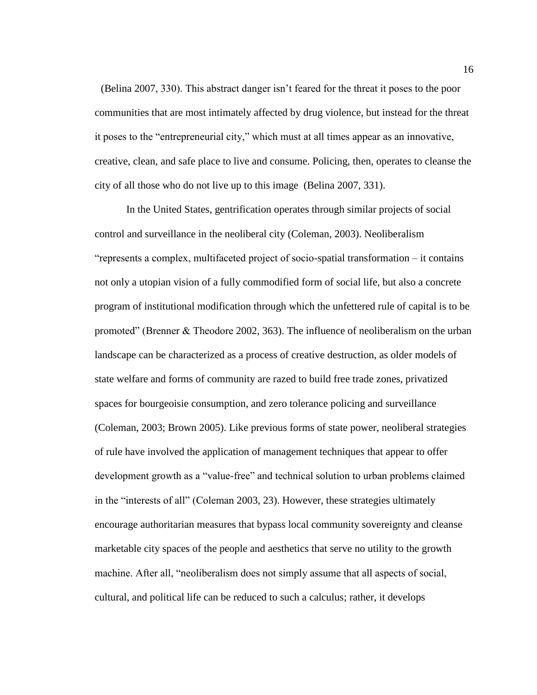(Belina 2007, 330). This abstract danger isn't feared for the threat it poses to the poor communities that are most intimately affected by drug violence, but instead for the threat it poses to the "entrepreneurial city," which must at all times appear as an innovative, creative, clean, and safe place to live and consume. Policing, then, operates to cleanse the city of all those who do not live up to this image (Belina 2007, 331).

In the United States, gentrification operates through similar projects of social control and surveillance in the neoliberal city (Coleman, 2003). Neoliberalism "represents a complex, multifaceted project of socio-spatial transformation – it contains not only a utopian vision of a fully commodified form of social life, but also a concrete program of institutional modification through which the unfettered rule of capital is to be promoted" (Brenner & Theodore 2002, 363). The influence of neoliberalism on the urban landscape can be characterized as a process of creative destruction, as older models of state welfare and forms of community are razed to build free trade zones, privatized spaces for bourgeoisie consumption, and zero tolerance policing and surveillance (Coleman, 2003; Brown 2005). Like previous forms of state power, neoliberal strategies of rule have involved the application of management techniques that appear to offer development growth as a "value-free" and technical solution to urban problems claimed in the "interests of all" (Coleman 2003, 23). However, these strategies ultimately encourage authoritarian measures that bypass local community sovereignty and cleanse marketable city spaces of the people and aesthetics that serve no utility to the growth machine. After all, "neoliberalism does not simply assume that all aspects of social, cultural, and political life can be reduced to such a calculus; rather, it develops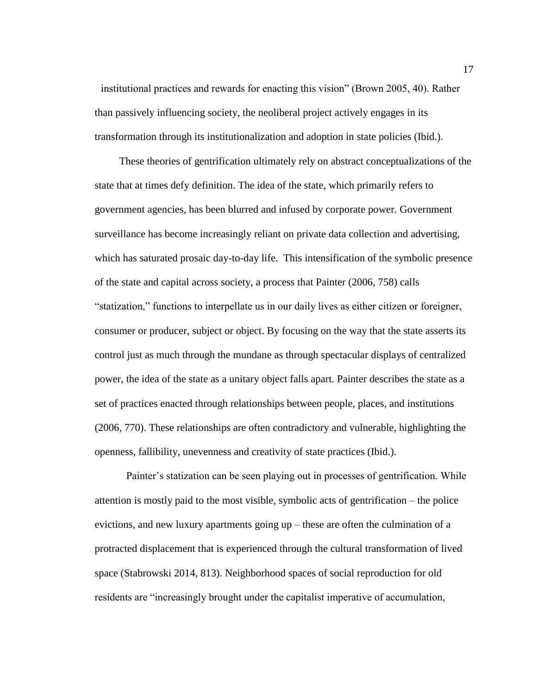institutional practices and rewards for enacting this vision" (Brown 2005, 40). Rather than passively influencing society, the neoliberal project actively engages in its transformation through its institutionalization and adoption in state policies (Ibid.).

These theories of gentrification ultimately rely on abstract conceptualizations of the state that at times defy definition. The idea of the state, which primarily refers to government agencies, has been blurred and infused by corporate power. Government surveillance has become increasingly reliant on private data collection and advertising, which has saturated prosaic day-to-day life. This intensification of the symbolic presence of the state and capital across society, a process that Painter (2006, 758) calls "statization," functions to interpellate us in our daily lives as either citizen or foreigner, consumer or producer, subject or object. By focusing on the way that the state asserts its control just as much through the mundane as through spectacular displays of centralized power, the idea of the state as a unitary object falls apart. Painter describes the state as a set of practices enacted through relationships between people, places, and institutions (2006, 770). These relationships are often contradictory and vulnerable, highlighting the openness, fallibility, unevenness and creativity of state practices (Ibid.).

Painter's statization can be seen playing out in processes of gentrification. While attention is mostly paid to the most visible, symbolic acts of gentrification – the police evictions, and new luxury apartments going up – these are often the culmination of a protracted displacement that is experienced through the cultural transformation of lived space (Stabrowski 2014, 813). Neighborhood spaces of social reproduction for old residents are "increasingly brought under the capitalist imperative of accumulation,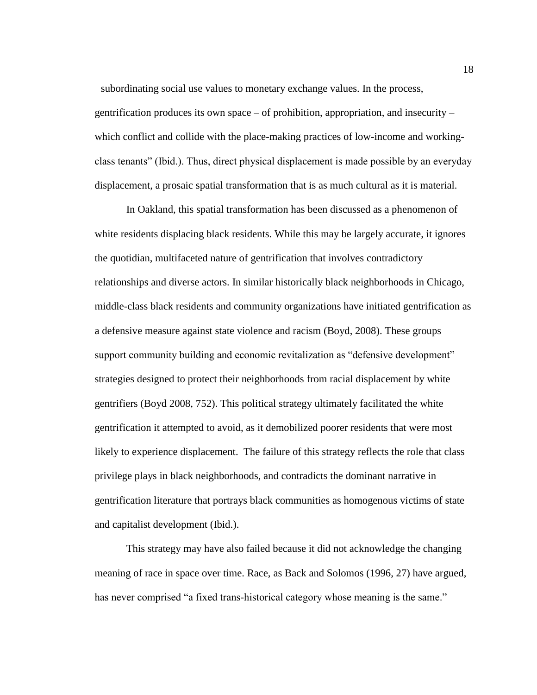subordinating social use values to monetary exchange values. In the process, gentrification produces its own space – of prohibition, appropriation, and insecurity – which conflict and collide with the place-making practices of low-income and workingclass tenants" (Ibid.). Thus, direct physical displacement is made possible by an everyday displacement, a prosaic spatial transformation that is as much cultural as it is material.

In Oakland, this spatial transformation has been discussed as a phenomenon of white residents displacing black residents. While this may be largely accurate, it ignores the quotidian, multifaceted nature of gentrification that involves contradictory relationships and diverse actors. In similar historically black neighborhoods in Chicago, middle-class black residents and community organizations have initiated gentrification as a defensive measure against state violence and racism (Boyd, 2008). These groups support community building and economic revitalization as "defensive development" strategies designed to protect their neighborhoods from racial displacement by white gentrifiers (Boyd 2008, 752). This political strategy ultimately facilitated the white gentrification it attempted to avoid, as it demobilized poorer residents that were most likely to experience displacement. The failure of this strategy reflects the role that class privilege plays in black neighborhoods, and contradicts the dominant narrative in gentrification literature that portrays black communities as homogenous victims of state and capitalist development (Ibid.).

This strategy may have also failed because it did not acknowledge the changing meaning of race in space over time. Race, as Back and Solomos (1996, 27) have argued, has never comprised "a fixed trans-historical category whose meaning is the same."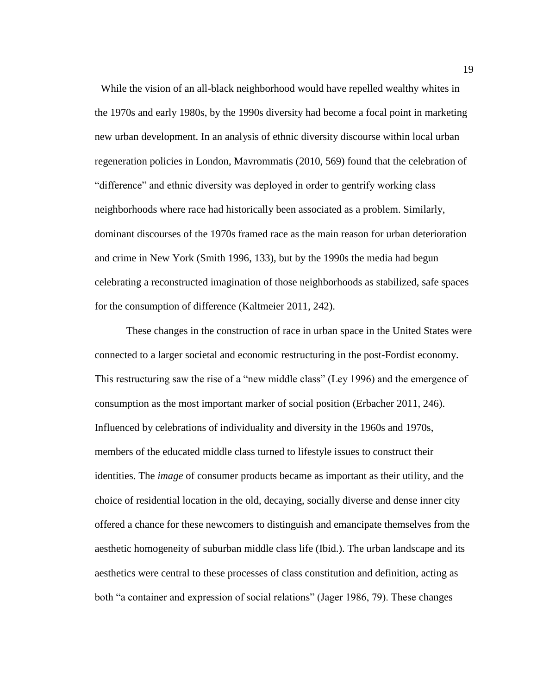While the vision of an all-black neighborhood would have repelled wealthy whites in the 1970s and early 1980s, by the 1990s diversity had become a focal point in marketing new urban development. In an analysis of ethnic diversity discourse within local urban regeneration policies in London, Mavrommatis (2010, 569) found that the celebration of "difference" and ethnic diversity was deployed in order to gentrify working class neighborhoods where race had historically been associated as a problem. Similarly, dominant discourses of the 1970s framed race as the main reason for urban deterioration and crime in New York (Smith 1996, 133), but by the 1990s the media had begun celebrating a reconstructed imagination of those neighborhoods as stabilized, safe spaces for the consumption of difference (Kaltmeier 2011, 242).

These changes in the construction of race in urban space in the United States were connected to a larger societal and economic restructuring in the post-Fordist economy. This restructuring saw the rise of a "new middle class" (Ley 1996) and the emergence of consumption as the most important marker of social position (Erbacher 2011, 246). Influenced by celebrations of individuality and diversity in the 1960s and 1970s, members of the educated middle class turned to lifestyle issues to construct their identities. The *image* of consumer products became as important as their utility, and the choice of residential location in the old, decaying, socially diverse and dense inner city offered a chance for these newcomers to distinguish and emancipate themselves from the aesthetic homogeneity of suburban middle class life (Ibid.). The urban landscape and its aesthetics were central to these processes of class constitution and definition, acting as both "a container and expression of social relations" (Jager 1986, 79). These changes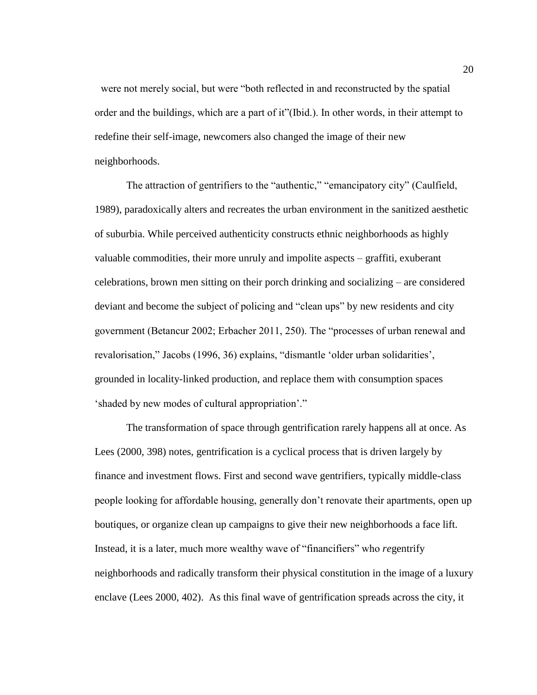were not merely social, but were "both reflected in and reconstructed by the spatial order and the buildings, which are a part of it"(Ibid.). In other words, in their attempt to redefine their self-image, newcomers also changed the image of their new neighborhoods.

The attraction of gentrifiers to the "authentic," "emancipatory city" (Caulfield, 1989), paradoxically alters and recreates the urban environment in the sanitized aesthetic of suburbia. While perceived authenticity constructs ethnic neighborhoods as highly valuable commodities, their more unruly and impolite aspects – graffiti, exuberant celebrations, brown men sitting on their porch drinking and socializing – are considered deviant and become the subject of policing and "clean ups" by new residents and city government (Betancur 2002; Erbacher 2011, 250). The "processes of urban renewal and revalorisation," Jacobs (1996, 36) explains, "dismantle 'older urban solidarities', grounded in locality-linked production, and replace them with consumption spaces 'shaded by new modes of cultural appropriation'."

The transformation of space through gentrification rarely happens all at once. As Lees (2000, 398) notes, gentrification is a cyclical process that is driven largely by finance and investment flows. First and second wave gentrifiers, typically middle-class people looking for affordable housing, generally don't renovate their apartments, open up boutiques, or organize clean up campaigns to give their new neighborhoods a face lift. Instead, it is a later, much more wealthy wave of "financifiers" who *re*gentrify neighborhoods and radically transform their physical constitution in the image of a luxury enclave (Lees 2000, 402). As this final wave of gentrification spreads across the city, it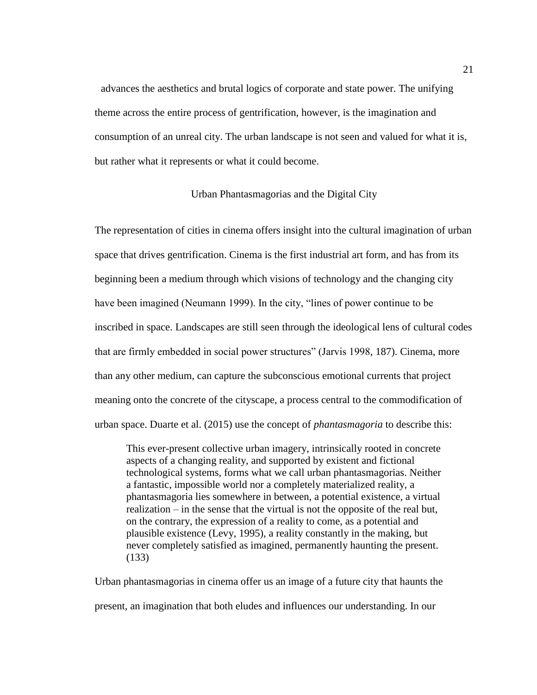advances the aesthetics and brutal logics of corporate and state power. The unifying theme across the entire process of gentrification, however, is the imagination and consumption of an unreal city. The urban landscape is not seen and valued for what it is, but rather what it represents or what it could become.

#### Urban Phantasmagorias and the Digital City

<span id="page-25-0"></span>The representation of cities in cinema offers insight into the cultural imagination of urban space that drives gentrification. Cinema is the first industrial art form, and has from its beginning been a medium through which visions of technology and the changing city have been imagined (Neumann 1999). In the city, "lines of power continue to be inscribed in space. Landscapes are still seen through the ideological lens of cultural codes that are firmly embedded in social power structures" (Jarvis 1998, 187). Cinema, more than any other medium, can capture the subconscious emotional currents that project meaning onto the concrete of the cityscape, a process central to the commodification of urban space. Duarte et al. (2015) use the concept of *phantasmagoria* to describe this:

This ever-present collective urban imagery, intrinsically rooted in concrete aspects of a changing reality, and supported by existent and fictional technological systems, forms what we call urban phantasmagorias. Neither a fantastic, impossible world nor a completely materialized reality, a phantasmagoria lies somewhere in between, a potential existence, a virtual realization – in the sense that the virtual is not the opposite of the real but, on the contrary, the expression of a reality to come, as a potential and plausible existence (Levy, 1995), a reality constantly in the making, but never completely satisfied as imagined, permanently haunting the present. (133)

Urban phantasmagorias in cinema offer us an image of a future city that haunts the present, an imagination that both eludes and influences our understanding. In our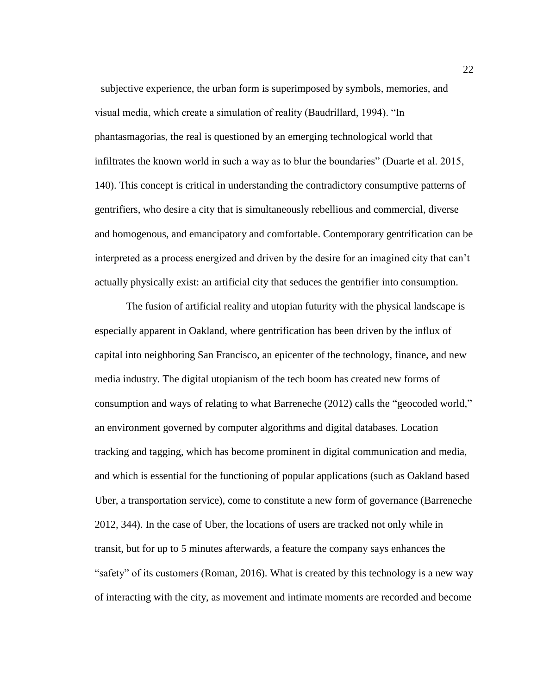subjective experience, the urban form is superimposed by symbols, memories, and visual media, which create a simulation of reality (Baudrillard, 1994). "In phantasmagorias, the real is questioned by an emerging technological world that infiltrates the known world in such a way as to blur the boundaries" (Duarte et al. 2015, 140). This concept is critical in understanding the contradictory consumptive patterns of gentrifiers, who desire a city that is simultaneously rebellious and commercial, diverse and homogenous, and emancipatory and comfortable. Contemporary gentrification can be interpreted as a process energized and driven by the desire for an imagined city that can't actually physically exist: an artificial city that seduces the gentrifier into consumption.

The fusion of artificial reality and utopian futurity with the physical landscape is especially apparent in Oakland, where gentrification has been driven by the influx of capital into neighboring San Francisco, an epicenter of the technology, finance, and new media industry. The digital utopianism of the tech boom has created new forms of consumption and ways of relating to what Barreneche (2012) calls the "geocoded world," an environment governed by computer algorithms and digital databases. Location tracking and tagging, which has become prominent in digital communication and media, and which is essential for the functioning of popular applications (such as Oakland based Uber, a transportation service), come to constitute a new form of governance (Barreneche 2012, 344). In the case of Uber, the locations of users are tracked not only while in transit, but for up to 5 minutes afterwards, a feature the company says enhances the "safety" of its customers (Roman, 2016). What is created by this technology is a new way of interacting with the city, as movement and intimate moments are recorded and become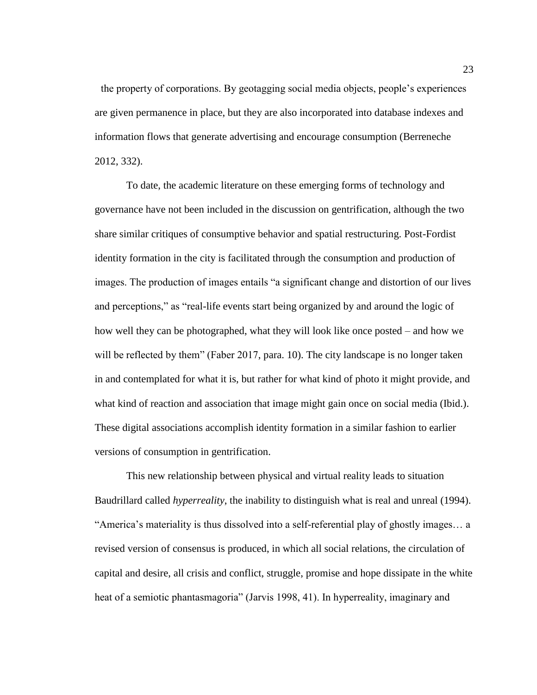the property of corporations. By geotagging social media objects, people's experiences are given permanence in place, but they are also incorporated into database indexes and information flows that generate advertising and encourage consumption (Berreneche 2012, 332).

To date, the academic literature on these emerging forms of technology and governance have not been included in the discussion on gentrification, although the two share similar critiques of consumptive behavior and spatial restructuring. Post-Fordist identity formation in the city is facilitated through the consumption and production of images. The production of images entails "a significant change and distortion of our lives and perceptions," as "real-life events start being organized by and around the logic of how well they can be photographed, what they will look like once posted – and how we will be reflected by them" (Faber 2017, para. 10). The city landscape is no longer taken in and contemplated for what it is, but rather for what kind of photo it might provide, and what kind of reaction and association that image might gain once on social media (Ibid.). These digital associations accomplish identity formation in a similar fashion to earlier versions of consumption in gentrification.

This new relationship between physical and virtual reality leads to situation Baudrillard called *hyperreality*, the inability to distinguish what is real and unreal (1994). "America's materiality is thus dissolved into a self-referential play of ghostly images… a revised version of consensus is produced, in which all social relations, the circulation of capital and desire, all crisis and conflict, struggle, promise and hope dissipate in the white heat of a semiotic phantasmagoria" (Jarvis 1998, 41). In hyperreality, imaginary and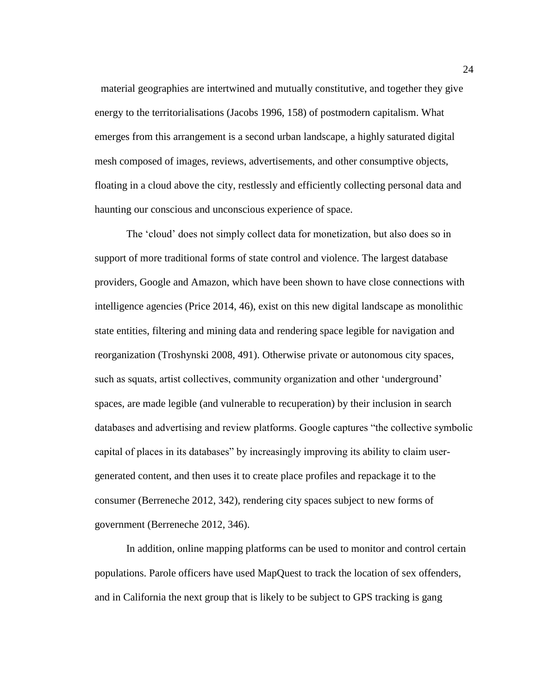material geographies are intertwined and mutually constitutive, and together they give energy to the territorialisations (Jacobs 1996, 158) of postmodern capitalism. What emerges from this arrangement is a second urban landscape, a highly saturated digital mesh composed of images, reviews, advertisements, and other consumptive objects, floating in a cloud above the city, restlessly and efficiently collecting personal data and haunting our conscious and unconscious experience of space.

The 'cloud' does not simply collect data for monetization, but also does so in support of more traditional forms of state control and violence. The largest database providers, Google and Amazon, which have been shown to have close connections with intelligence agencies (Price 2014, 46), exist on this new digital landscape as monolithic state entities, filtering and mining data and rendering space legible for navigation and reorganization (Troshynski 2008, 491). Otherwise private or autonomous city spaces, such as squats, artist collectives, community organization and other 'underground' spaces, are made legible (and vulnerable to recuperation) by their inclusion in search databases and advertising and review platforms. Google captures "the collective symbolic capital of places in its databases" by increasingly improving its ability to claim usergenerated content, and then uses it to create place profiles and repackage it to the consumer (Berreneche 2012, 342), rendering city spaces subject to new forms of government (Berreneche 2012, 346).

In addition, online mapping platforms can be used to monitor and control certain populations. Parole officers have used MapQuest to track the location of sex offenders, and in California the next group that is likely to be subject to GPS tracking is gang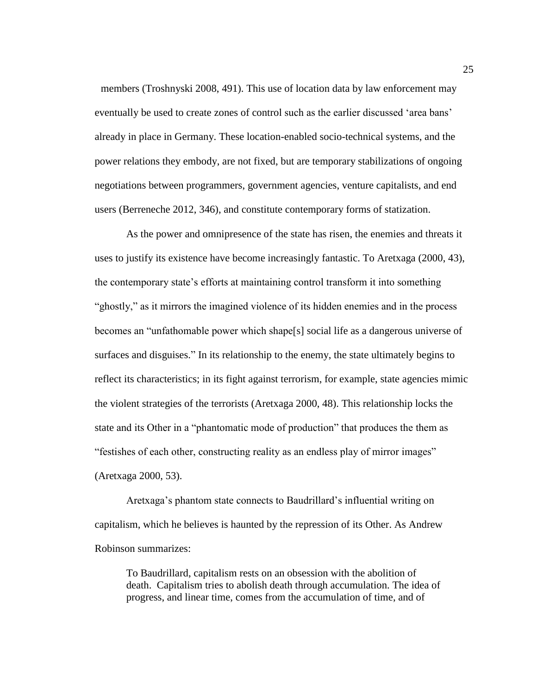members (Troshnyski 2008, 491). This use of location data by law enforcement may eventually be used to create zones of control such as the earlier discussed 'area bans' already in place in Germany. These location-enabled socio-technical systems, and the power relations they embody, are not fixed, but are temporary stabilizations of ongoing negotiations between programmers, government agencies, venture capitalists, and end users (Berreneche 2012, 346), and constitute contemporary forms of statization.

As the power and omnipresence of the state has risen, the enemies and threats it uses to justify its existence have become increasingly fantastic. To Aretxaga (2000, 43), the contemporary state's efforts at maintaining control transform it into something "ghostly," as it mirrors the imagined violence of its hidden enemies and in the process becomes an "unfathomable power which shape[s] social life as a dangerous universe of surfaces and disguises." In its relationship to the enemy, the state ultimately begins to reflect its characteristics; in its fight against terrorism, for example, state agencies mimic the violent strategies of the terrorists (Aretxaga 2000, 48). This relationship locks the state and its Other in a "phantomatic mode of production" that produces the them as "festishes of each other, constructing reality as an endless play of mirror images" (Aretxaga 2000, 53).

Aretxaga's phantom state connects to Baudrillard's influential writing on capitalism, which he believes is haunted by the repression of its Other. As Andrew Robinson summarizes:

To Baudrillard, capitalism rests on an obsession with the abolition of death. Capitalism tries to abolish death through accumulation. The idea of progress, and linear time, comes from the accumulation of time, and of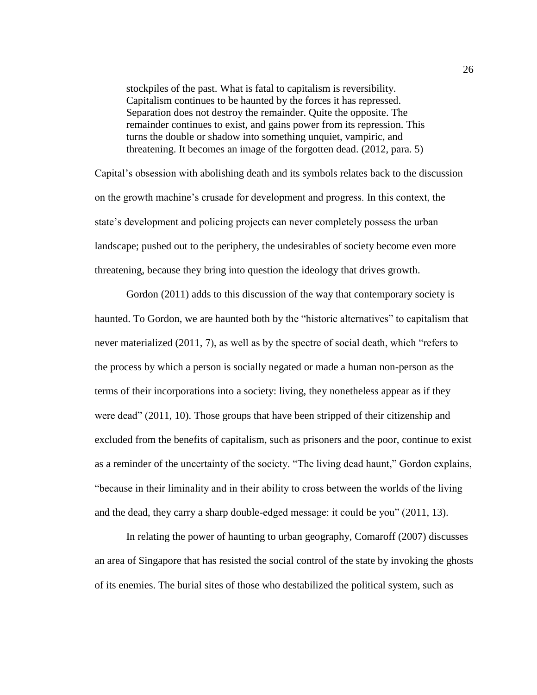stockpiles of the past. What is fatal to capitalism is reversibility. Capitalism continues to be haunted by the forces it has repressed. Separation does not destroy the remainder. Quite the opposite. The remainder continues to exist, and gains power from its repression. This turns the double or shadow into something unquiet, vampiric, and threatening. It becomes an image of the forgotten dead. (2012, para. 5)

Capital's obsession with abolishing death and its symbols relates back to the discussion on the growth machine's crusade for development and progress. In this context, the state's development and policing projects can never completely possess the urban landscape; pushed out to the periphery, the undesirables of society become even more threatening, because they bring into question the ideology that drives growth.

Gordon (2011) adds to this discussion of the way that contemporary society is haunted. To Gordon, we are haunted both by the "historic alternatives" to capitalism that never materialized (2011, 7), as well as by the spectre of social death, which "refers to the process by which a person is socially negated or made a human non-person as the terms of their incorporations into a society: living, they nonetheless appear as if they were dead" (2011, 10). Those groups that have been stripped of their citizenship and excluded from the benefits of capitalism, such as prisoners and the poor, continue to exist as a reminder of the uncertainty of the society. "The living dead haunt," Gordon explains, "because in their liminality and in their ability to cross between the worlds of the living and the dead, they carry a sharp double-edged message: it could be you" (2011, 13).

In relating the power of haunting to urban geography, Comaroff (2007) discusses an area of Singapore that has resisted the social control of the state by invoking the ghosts of its enemies. The burial sites of those who destabilized the political system, such as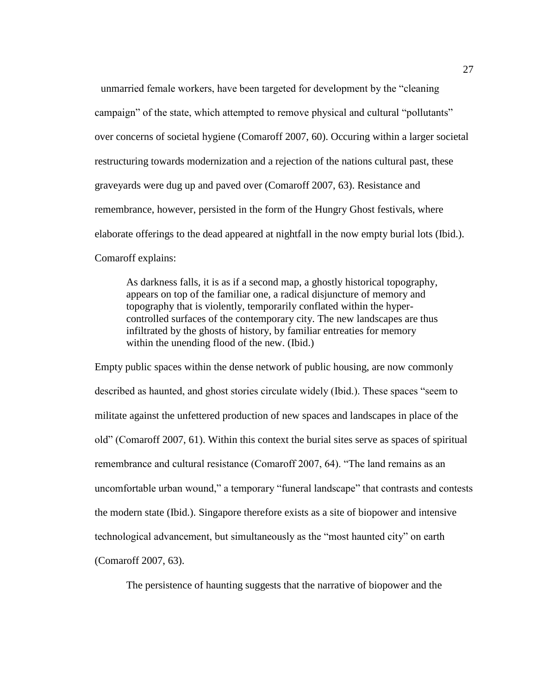unmarried female workers, have been targeted for development by the "cleaning campaign" of the state, which attempted to remove physical and cultural "pollutants" over concerns of societal hygiene (Comaroff 2007, 60). Occuring within a larger societal restructuring towards modernization and a rejection of the nations cultural past, these graveyards were dug up and paved over (Comaroff 2007, 63). Resistance and remembrance, however, persisted in the form of the Hungry Ghost festivals, where elaborate offerings to the dead appeared at nightfall in the now empty burial lots (Ibid.). Comaroff explains:

As darkness falls, it is as if a second map, a ghostly historical topography, appears on top of the familiar one, a radical disjuncture of memory and topography that is violently, temporarily conflated within the hypercontrolled surfaces of the contemporary city. The new landscapes are thus infiltrated by the ghosts of history, by familiar entreaties for memory within the unending flood of the new. (Ibid.)

Empty public spaces within the dense network of public housing, are now commonly described as haunted, and ghost stories circulate widely (Ibid.). These spaces "seem to militate against the unfettered production of new spaces and landscapes in place of the old" (Comaroff 2007, 61). Within this context the burial sites serve as spaces of spiritual remembrance and cultural resistance (Comaroff 2007, 64). "The land remains as an uncomfortable urban wound," a temporary "funeral landscape" that contrasts and contests the modern state (Ibid.). Singapore therefore exists as a site of biopower and intensive technological advancement, but simultaneously as the "most haunted city" on earth (Comaroff 2007, 63).

The persistence of haunting suggests that the narrative of biopower and the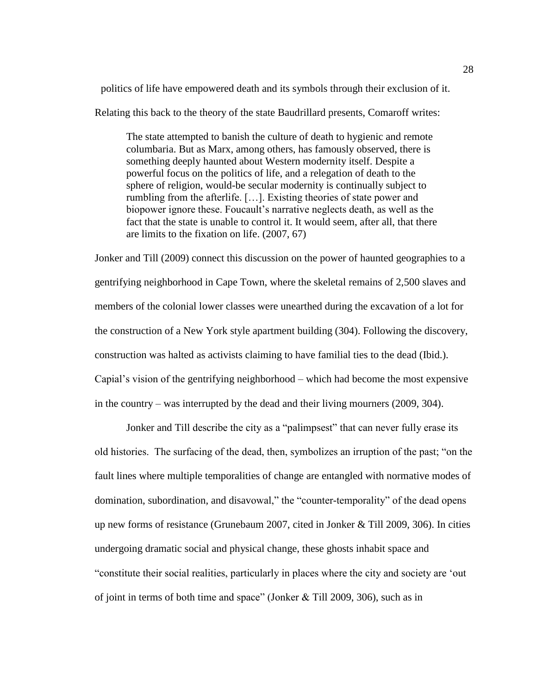politics of life have empowered death and its symbols through their exclusion of it.

Relating this back to the theory of the state Baudrillard presents, Comaroff writes:

The state attempted to banish the culture of death to hygienic and remote columbaria. But as Marx, among others, has famously observed, there is something deeply haunted about Western modernity itself. Despite a powerful focus on the politics of life, and a relegation of death to the sphere of religion, would-be secular modernity is continually subject to rumbling from the afterlife. […]. Existing theories of state power and biopower ignore these. Foucault's narrative neglects death, as well as the fact that the state is unable to control it. It would seem, after all, that there are limits to the fixation on life. (2007, 67)

Jonker and Till (2009) connect this discussion on the power of haunted geographies to a gentrifying neighborhood in Cape Town, where the skeletal remains of 2,500 slaves and members of the colonial lower classes were unearthed during the excavation of a lot for the construction of a New York style apartment building (304). Following the discovery, construction was halted as activists claiming to have familial ties to the dead (Ibid.). Capial's vision of the gentrifying neighborhood – which had become the most expensive in the country – was interrupted by the dead and their living mourners (2009, 304).

Jonker and Till describe the city as a "palimpsest" that can never fully erase its old histories. The surfacing of the dead, then, symbolizes an irruption of the past; "on the fault lines where multiple temporalities of change are entangled with normative modes of domination, subordination, and disavowal," the "counter-temporality" of the dead opens up new forms of resistance (Grunebaum 2007, cited in Jonker & Till 2009, 306). In cities undergoing dramatic social and physical change, these ghosts inhabit space and "constitute their social realities, particularly in places where the city and society are 'out of joint in terms of both time and space" (Jonker & Till 2009, 306), such as in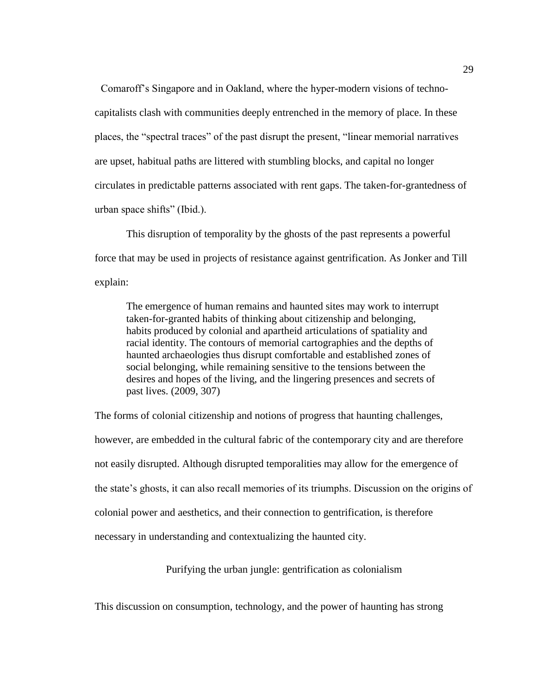Comaroff's Singapore and in Oakland, where the hyper-modern visions of technocapitalists clash with communities deeply entrenched in the memory of place. In these places, the "spectral traces" of the past disrupt the present, "linear memorial narratives are upset, habitual paths are littered with stumbling blocks, and capital no longer circulates in predictable patterns associated with rent gaps. The taken-for-grantedness of urban space shifts" (Ibid.).

This disruption of temporality by the ghosts of the past represents a powerful force that may be used in projects of resistance against gentrification. As Jonker and Till explain:

The emergence of human remains and haunted sites may work to interrupt taken-for-granted habits of thinking about citizenship and belonging, habits produced by colonial and apartheid articulations of spatiality and racial identity. The contours of memorial cartographies and the depths of haunted archaeologies thus disrupt comfortable and established zones of social belonging, while remaining sensitive to the tensions between the desires and hopes of the living, and the lingering presences and secrets of past lives. (2009, 307)

The forms of colonial citizenship and notions of progress that haunting challenges, however, are embedded in the cultural fabric of the contemporary city and are therefore not easily disrupted. Although disrupted temporalities may allow for the emergence of the state's ghosts, it can also recall memories of its triumphs. Discussion on the origins of colonial power and aesthetics, and their connection to gentrification, is therefore necessary in understanding and contextualizing the haunted city.

Purifying the urban jungle: gentrification as colonialism

<span id="page-33-0"></span>This discussion on consumption, technology, and the power of haunting has strong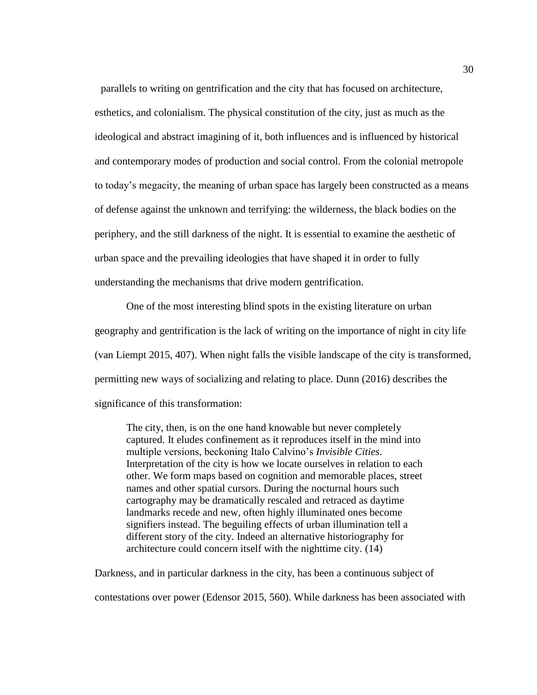parallels to writing on gentrification and the city that has focused on architecture, esthetics, and colonialism. The physical constitution of the city, just as much as the ideological and abstract imagining of it, both influences and is influenced by historical and contemporary modes of production and social control. From the colonial metropole to today's megacity, the meaning of urban space has largely been constructed as a means of defense against the unknown and terrifying: the wilderness, the black bodies on the periphery, and the still darkness of the night. It is essential to examine the aesthetic of urban space and the prevailing ideologies that have shaped it in order to fully understanding the mechanisms that drive modern gentrification.

One of the most interesting blind spots in the existing literature on urban geography and gentrification is the lack of writing on the importance of night in city life (van Liempt 2015, 407). When night falls the visible landscape of the city is transformed, permitting new ways of socializing and relating to place. Dunn (2016) describes the significance of this transformation:

The city, then, is on the one hand knowable but never completely captured. It eludes confinement as it reproduces itself in the mind into multiple versions, beckoning Italo Calvino's *Invisible Cities*. Interpretation of the city is how we locate ourselves in relation to each other. We form maps based on cognition and memorable places, street names and other spatial cursors. During the nocturnal hours such cartography may be dramatically rescaled and retraced as daytime landmarks recede and new, often highly illuminated ones become signifiers instead. The beguiling effects of urban illumination tell a different story of the city. Indeed an alternative historiography for architecture could concern itself with the nighttime city. (14)

Darkness, and in particular darkness in the city, has been a continuous subject of

contestations over power (Edensor 2015, 560). While darkness has been associated with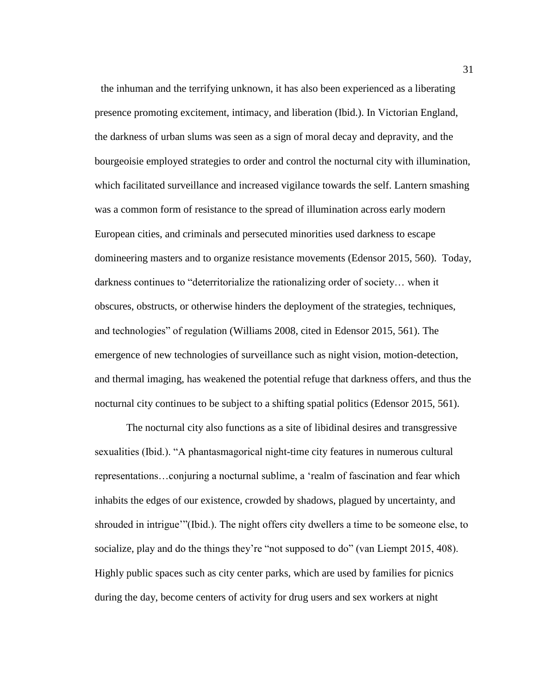the inhuman and the terrifying unknown, it has also been experienced as a liberating presence promoting excitement, intimacy, and liberation (Ibid.). In Victorian England, the darkness of urban slums was seen as a sign of moral decay and depravity, and the bourgeoisie employed strategies to order and control the nocturnal city with illumination, which facilitated surveillance and increased vigilance towards the self. Lantern smashing was a common form of resistance to the spread of illumination across early modern European cities, and criminals and persecuted minorities used darkness to escape domineering masters and to organize resistance movements (Edensor 2015, 560). Today, darkness continues to "deterritorialize the rationalizing order of society… when it obscures, obstructs, or otherwise hinders the deployment of the strategies, techniques, and technologies" of regulation (Williams 2008, cited in Edensor 2015, 561). The emergence of new technologies of surveillance such as night vision, motion-detection, and thermal imaging, has weakened the potential refuge that darkness offers, and thus the nocturnal city continues to be subject to a shifting spatial politics (Edensor 2015, 561).

The nocturnal city also functions as a site of libidinal desires and transgressive sexualities (Ibid.). "A phantasmagorical night-time city features in numerous cultural representations…conjuring a nocturnal sublime, a 'realm of fascination and fear which inhabits the edges of our existence, crowded by shadows, plagued by uncertainty, and shrouded in intrigue'"(Ibid.). The night offers city dwellers a time to be someone else, to socialize, play and do the things they're "not supposed to do" (van Liempt 2015, 408). Highly public spaces such as city center parks, which are used by families for picnics during the day, become centers of activity for drug users and sex workers at night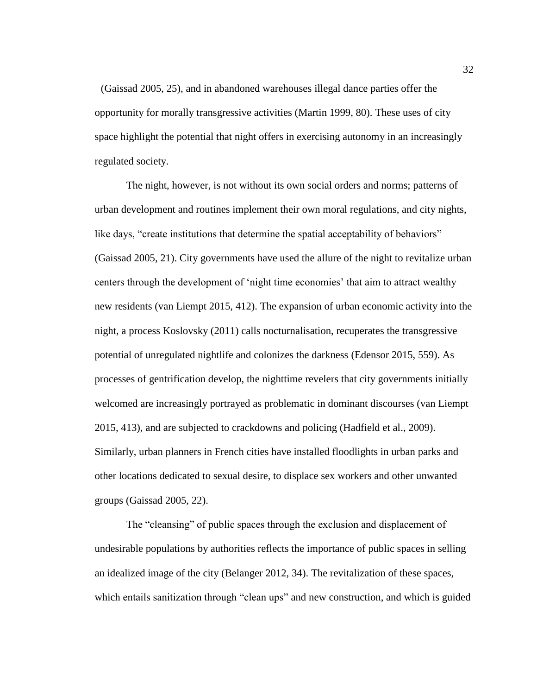(Gaissad 2005, 25), and in abandoned warehouses illegal dance parties offer the opportunity for morally transgressive activities (Martin 1999, 80). These uses of city space highlight the potential that night offers in exercising autonomy in an increasingly regulated society.

The night, however, is not without its own social orders and norms; patterns of urban development and routines implement their own moral regulations, and city nights, like days, "create institutions that determine the spatial acceptability of behaviors" (Gaissad 2005, 21). City governments have used the allure of the night to revitalize urban centers through the development of 'night time economies' that aim to attract wealthy new residents (van Liempt 2015, 412). The expansion of urban economic activity into the night, a process Koslovsky (2011) calls nocturnalisation, recuperates the transgressive potential of unregulated nightlife and colonizes the darkness (Edensor 2015, 559). As processes of gentrification develop, the nighttime revelers that city governments initially welcomed are increasingly portrayed as problematic in dominant discourses (van Liempt 2015, 413), and are subjected to crackdowns and policing (Hadfield et al., 2009). Similarly, urban planners in French cities have installed floodlights in urban parks and other locations dedicated to sexual desire, to displace sex workers and other unwanted groups (Gaissad 2005, 22).

The "cleansing" of public spaces through the exclusion and displacement of undesirable populations by authorities reflects the importance of public spaces in selling an idealized image of the city (Belanger 2012, 34). The revitalization of these spaces, which entails sanitization through "clean ups" and new construction, and which is guided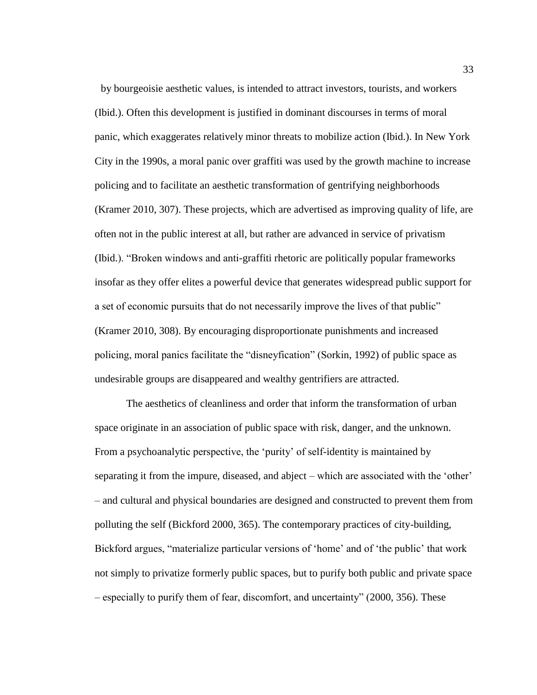by bourgeoisie aesthetic values, is intended to attract investors, tourists, and workers (Ibid.). Often this development is justified in dominant discourses in terms of moral panic, which exaggerates relatively minor threats to mobilize action (Ibid.). In New York City in the 1990s, a moral panic over graffiti was used by the growth machine to increase policing and to facilitate an aesthetic transformation of gentrifying neighborhoods (Kramer 2010, 307). These projects, which are advertised as improving quality of life, are often not in the public interest at all, but rather are advanced in service of privatism (Ibid.). "Broken windows and anti-graffiti rhetoric are politically popular frameworks insofar as they offer elites a powerful device that generates widespread public support for a set of economic pursuits that do not necessarily improve the lives of that public" (Kramer 2010, 308). By encouraging disproportionate punishments and increased policing, moral panics facilitate the "disneyfication" (Sorkin, 1992) of public space as undesirable groups are disappeared and wealthy gentrifiers are attracted.

The aesthetics of cleanliness and order that inform the transformation of urban space originate in an association of public space with risk, danger, and the unknown. From a psychoanalytic perspective, the 'purity' of self-identity is maintained by separating it from the impure, diseased, and abject – which are associated with the 'other' – and cultural and physical boundaries are designed and constructed to prevent them from polluting the self (Bickford 2000, 365). The contemporary practices of city-building, Bickford argues, "materialize particular versions of 'home' and of 'the public' that work not simply to privatize formerly public spaces, but to purify both public and private space – especially to purify them of fear, discomfort, and uncertainty" (2000, 356). These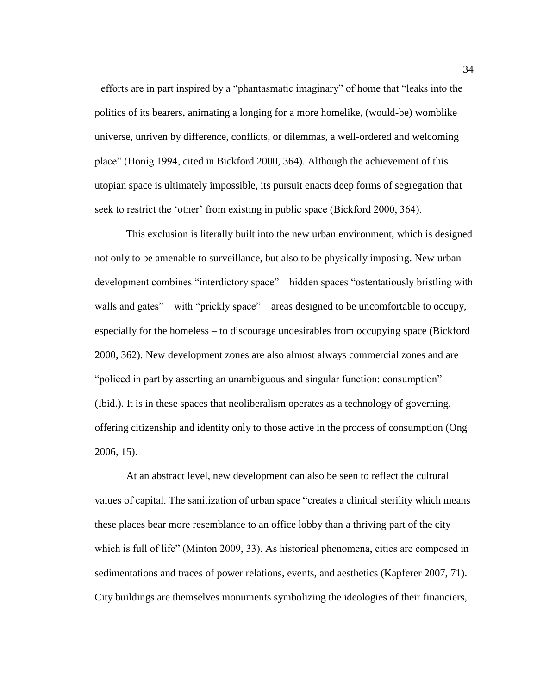efforts are in part inspired by a "phantasmatic imaginary" of home that "leaks into the politics of its bearers, animating a longing for a more homelike, (would-be) womblike universe, unriven by difference, conflicts, or dilemmas, a well-ordered and welcoming place" (Honig 1994, cited in Bickford 2000, 364). Although the achievement of this utopian space is ultimately impossible, its pursuit enacts deep forms of segregation that seek to restrict the 'other' from existing in public space (Bickford 2000, 364).

This exclusion is literally built into the new urban environment, which is designed not only to be amenable to surveillance, but also to be physically imposing. New urban development combines "interdictory space" – hidden spaces "ostentatiously bristling with walls and gates" – with "prickly space" – areas designed to be uncomfortable to occupy, especially for the homeless – to discourage undesirables from occupying space (Bickford 2000, 362). New development zones are also almost always commercial zones and are "policed in part by asserting an unambiguous and singular function: consumption" (Ibid.). It is in these spaces that neoliberalism operates as a technology of governing, offering citizenship and identity only to those active in the process of consumption (Ong 2006, 15).

At an abstract level, new development can also be seen to reflect the cultural values of capital. The sanitization of urban space "creates a clinical sterility which means these places bear more resemblance to an office lobby than a thriving part of the city which is full of life" (Minton 2009, 33). As historical phenomena, cities are composed in sedimentations and traces of power relations, events, and aesthetics (Kapferer 2007, 71). City buildings are themselves monuments symbolizing the ideologies of their financiers,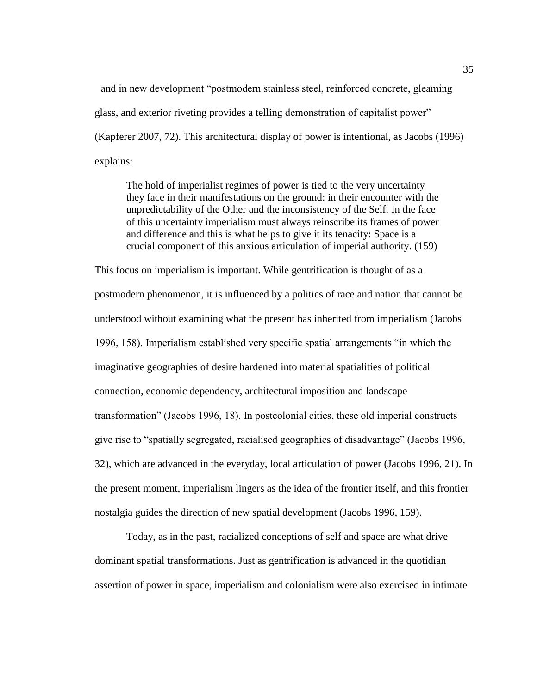and in new development "postmodern stainless steel, reinforced concrete, gleaming glass, and exterior riveting provides a telling demonstration of capitalist power" (Kapferer 2007, 72). This architectural display of power is intentional, as Jacobs (1996) explains:

The hold of imperialist regimes of power is tied to the very uncertainty they face in their manifestations on the ground: in their encounter with the unpredictability of the Other and the inconsistency of the Self. In the face of this uncertainty imperialism must always reinscribe its frames of power and difference and this is what helps to give it its tenacity: Space is a crucial component of this anxious articulation of imperial authority. (159)

This focus on imperialism is important. While gentrification is thought of as a postmodern phenomenon, it is influenced by a politics of race and nation that cannot be understood without examining what the present has inherited from imperialism (Jacobs 1996, 158). Imperialism established very specific spatial arrangements "in which the imaginative geographies of desire hardened into material spatialities of political connection, economic dependency, architectural imposition and landscape transformation" (Jacobs 1996, 18). In postcolonial cities, these old imperial constructs give rise to "spatially segregated, racialised geographies of disadvantage" (Jacobs 1996, 32), which are advanced in the everyday, local articulation of power (Jacobs 1996, 21). In the present moment, imperialism lingers as the idea of the frontier itself, and this frontier nostalgia guides the direction of new spatial development (Jacobs 1996, 159).

Today, as in the past, racialized conceptions of self and space are what drive dominant spatial transformations. Just as gentrification is advanced in the quotidian assertion of power in space, imperialism and colonialism were also exercised in intimate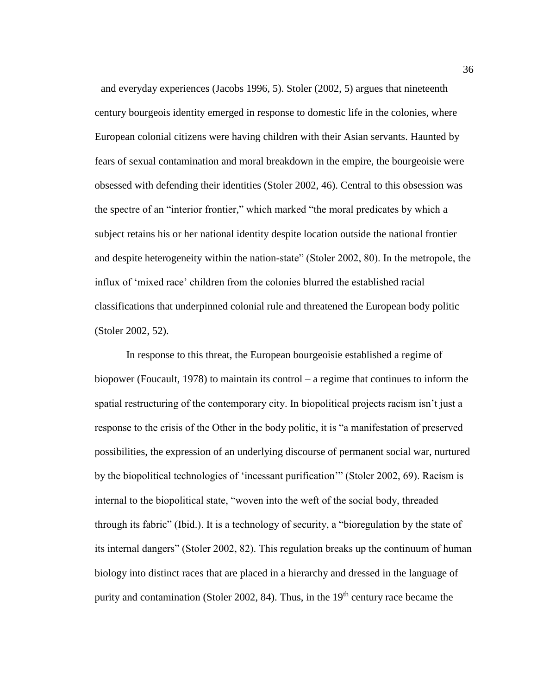and everyday experiences (Jacobs 1996, 5). Stoler (2002, 5) argues that nineteenth century bourgeois identity emerged in response to domestic life in the colonies, where European colonial citizens were having children with their Asian servants. Haunted by fears of sexual contamination and moral breakdown in the empire, the bourgeoisie were obsessed with defending their identities (Stoler 2002, 46). Central to this obsession was the spectre of an "interior frontier," which marked "the moral predicates by which a subject retains his or her national identity despite location outside the national frontier and despite heterogeneity within the nation-state" (Stoler 2002, 80). In the metropole, the influx of 'mixed race' children from the colonies blurred the established racial classifications that underpinned colonial rule and threatened the European body politic (Stoler 2002, 52).

In response to this threat, the European bourgeoisie established a regime of biopower (Foucault, 1978) to maintain its control – a regime that continues to inform the spatial restructuring of the contemporary city. In biopolitical projects racism isn't just a response to the crisis of the Other in the body politic, it is "a manifestation of preserved possibilities, the expression of an underlying discourse of permanent social war, nurtured by the biopolitical technologies of 'incessant purification'" (Stoler 2002, 69). Racism is internal to the biopolitical state, "woven into the weft of the social body, threaded through its fabric" (Ibid.). It is a technology of security, a "bioregulation by the state of its internal dangers" (Stoler 2002, 82). This regulation breaks up the continuum of human biology into distinct races that are placed in a hierarchy and dressed in the language of purity and contamination (Stoler 2002, 84). Thus, in the  $19<sup>th</sup>$  century race became the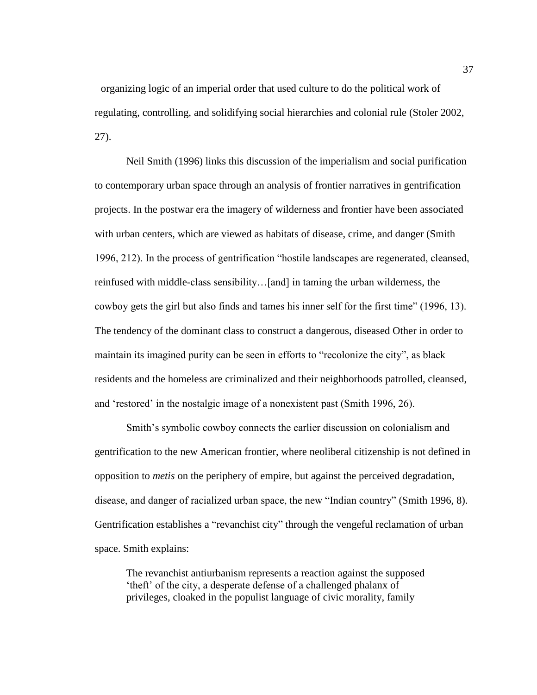organizing logic of an imperial order that used culture to do the political work of regulating, controlling, and solidifying social hierarchies and colonial rule (Stoler 2002, 27).

Neil Smith (1996) links this discussion of the imperialism and social purification to contemporary urban space through an analysis of frontier narratives in gentrification projects. In the postwar era the imagery of wilderness and frontier have been associated with urban centers, which are viewed as habitats of disease, crime, and danger (Smith 1996, 212). In the process of gentrification "hostile landscapes are regenerated, cleansed, reinfused with middle-class sensibility…[and] in taming the urban wilderness, the cowboy gets the girl but also finds and tames his inner self for the first time" (1996, 13). The tendency of the dominant class to construct a dangerous, diseased Other in order to maintain its imagined purity can be seen in efforts to "recolonize the city", as black residents and the homeless are criminalized and their neighborhoods patrolled, cleansed, and 'restored' in the nostalgic image of a nonexistent past (Smith 1996, 26).

Smith's symbolic cowboy connects the earlier discussion on colonialism and gentrification to the new American frontier, where neoliberal citizenship is not defined in opposition to *metis* on the periphery of empire, but against the perceived degradation, disease, and danger of racialized urban space, the new "Indian country" (Smith 1996, 8). Gentrification establishes a "revanchist city" through the vengeful reclamation of urban space. Smith explains:

The revanchist antiurbanism represents a reaction against the supposed 'theft' of the city, a desperate defense of a challenged phalanx of privileges, cloaked in the populist language of civic morality, family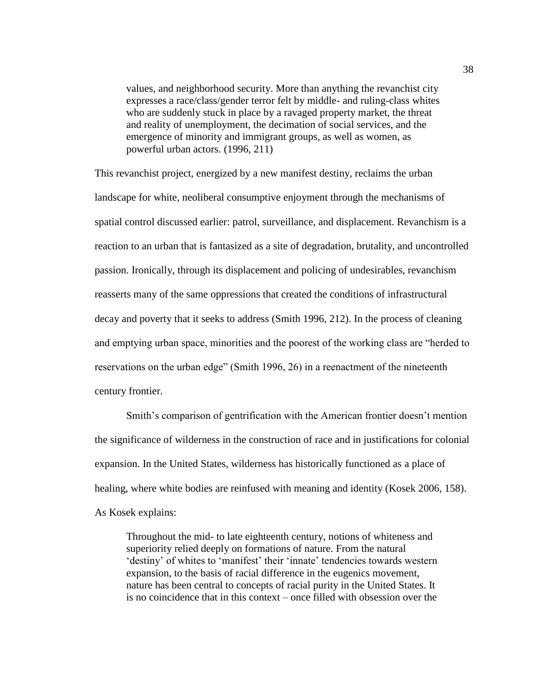values, and neighborhood security. More than anything the revanchist city expresses a race/class/gender terror felt by middle- and ruling-class whites who are suddenly stuck in place by a ravaged property market, the threat and reality of unemployment, the decimation of social services, and the emergence of minority and immigrant groups, as well as women, as powerful urban actors. (1996, 211)

This revanchist project, energized by a new manifest destiny, reclaims the urban landscape for white, neoliberal consumptive enjoyment through the mechanisms of spatial control discussed earlier: patrol, surveillance, and displacement. Revanchism is a reaction to an urban that is fantasized as a site of degradation, brutality, and uncontrolled passion. Ironically, through its displacement and policing of undesirables, revanchism reasserts many of the same oppressions that created the conditions of infrastructural decay and poverty that it seeks to address (Smith 1996, 212). In the process of cleaning and emptying urban space, minorities and the poorest of the working class are "herded to reservations on the urban edge" (Smith 1996, 26) in a reenactment of the nineteenth century frontier.

Smith's comparison of gentrification with the American frontier doesn't mention the significance of wilderness in the construction of race and in justifications for colonial expansion. In the United States, wilderness has historically functioned as a place of healing, where white bodies are reinfused with meaning and identity (Kosek 2006, 158). As Kosek explains:

Throughout the mid- to late eighteenth century, notions of whiteness and superiority relied deeply on formations of nature. From the natural 'destiny' of whites to 'manifest' their 'innate' tendencies towards western expansion, to the basis of racial difference in the eugenics movement, nature has been central to concepts of racial purity in the United States. It is no coincidence that in this context – once filled with obsession over the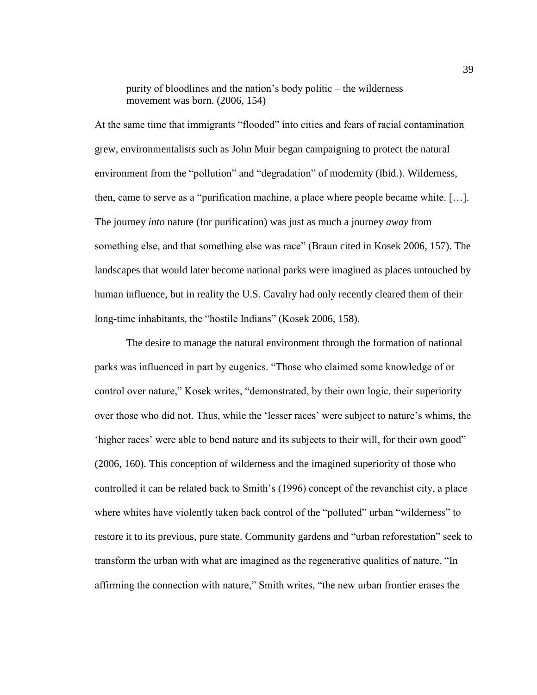purity of bloodlines and the nation's body politic – the wilderness movement was born. (2006, 154)

At the same time that immigrants "flooded" into cities and fears of racial contamination grew, environmentalists such as John Muir began campaigning to protect the natural environment from the "pollution" and "degradation" of modernity (Ibid.). Wilderness, then, came to serve as a "purification machine, a place where people became white. […]. The journey *into* nature (for purification) was just as much a journey *away* from something else, and that something else was race" (Braun cited in Kosek 2006, 157). The landscapes that would later become national parks were imagined as places untouched by human influence, but in reality the U.S. Cavalry had only recently cleared them of their long-time inhabitants, the "hostile Indians" (Kosek 2006, 158).

The desire to manage the natural environment through the formation of national parks was influenced in part by eugenics. "Those who claimed some knowledge of or control over nature," Kosek writes, "demonstrated, by their own logic, their superiority over those who did not. Thus, while the 'lesser races' were subject to nature's whims, the 'higher races' were able to bend nature and its subjects to their will, for their own good" (2006, 160). This conception of wilderness and the imagined superiority of those who controlled it can be related back to Smith's (1996) concept of the revanchist city, a place where whites have violently taken back control of the "polluted" urban "wilderness" to restore it to its previous, pure state. Community gardens and "urban reforestation" seek to transform the urban with what are imagined as the regenerative qualities of nature. "In affirming the connection with nature," Smith writes, "the new urban frontier erases the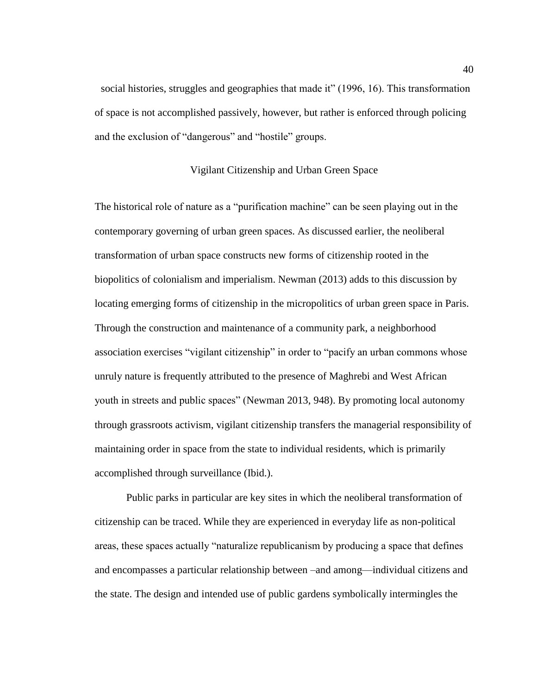social histories, struggles and geographies that made it" (1996, 16). This transformation of space is not accomplished passively, however, but rather is enforced through policing and the exclusion of "dangerous" and "hostile" groups.

### Vigilant Citizenship and Urban Green Space

The historical role of nature as a "purification machine" can be seen playing out in the contemporary governing of urban green spaces. As discussed earlier, the neoliberal transformation of urban space constructs new forms of citizenship rooted in the biopolitics of colonialism and imperialism. Newman (2013) adds to this discussion by locating emerging forms of citizenship in the micropolitics of urban green space in Paris. Through the construction and maintenance of a community park, a neighborhood association exercises "vigilant citizenship" in order to "pacify an urban commons whose unruly nature is frequently attributed to the presence of Maghrebi and West African youth in streets and public spaces" (Newman 2013, 948). By promoting local autonomy through grassroots activism, vigilant citizenship transfers the managerial responsibility of maintaining order in space from the state to individual residents, which is primarily accomplished through surveillance (Ibid.).

Public parks in particular are key sites in which the neoliberal transformation of citizenship can be traced. While they are experienced in everyday life as non-political areas, these spaces actually "naturalize republicanism by producing a space that defines and encompasses a particular relationship between –and among—individual citizens and the state. The design and intended use of public gardens symbolically intermingles the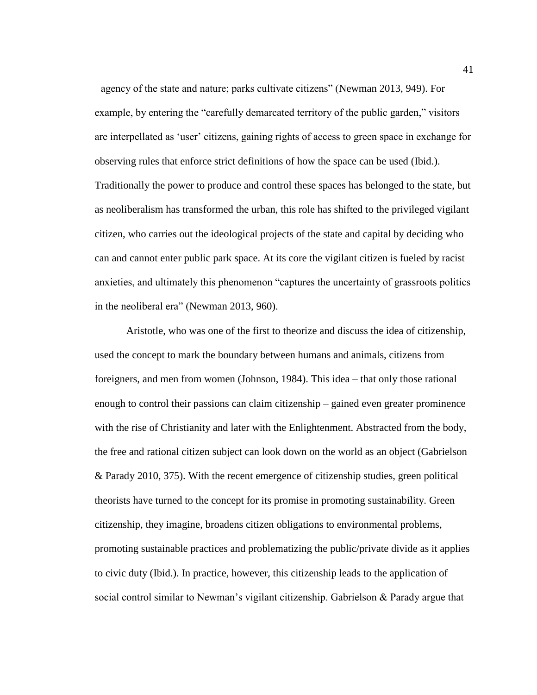agency of the state and nature; parks cultivate citizens" (Newman 2013, 949). For example, by entering the "carefully demarcated territory of the public garden," visitors are interpellated as 'user' citizens, gaining rights of access to green space in exchange for observing rules that enforce strict definitions of how the space can be used (Ibid.). Traditionally the power to produce and control these spaces has belonged to the state, but as neoliberalism has transformed the urban, this role has shifted to the privileged vigilant citizen, who carries out the ideological projects of the state and capital by deciding who can and cannot enter public park space. At its core the vigilant citizen is fueled by racist anxieties, and ultimately this phenomenon "captures the uncertainty of grassroots politics in the neoliberal era" (Newman 2013, 960).

Aristotle, who was one of the first to theorize and discuss the idea of citizenship, used the concept to mark the boundary between humans and animals, citizens from foreigners, and men from women (Johnson, 1984). This idea – that only those rational enough to control their passions can claim citizenship – gained even greater prominence with the rise of Christianity and later with the Enlightenment. Abstracted from the body, the free and rational citizen subject can look down on the world as an object (Gabrielson & Parady 2010, 375). With the recent emergence of citizenship studies, green political theorists have turned to the concept for its promise in promoting sustainability. Green citizenship, they imagine, broadens citizen obligations to environmental problems, promoting sustainable practices and problematizing the public/private divide as it applies to civic duty (Ibid.). In practice, however, this citizenship leads to the application of social control similar to Newman's vigilant citizenship. Gabrielson & Parady argue that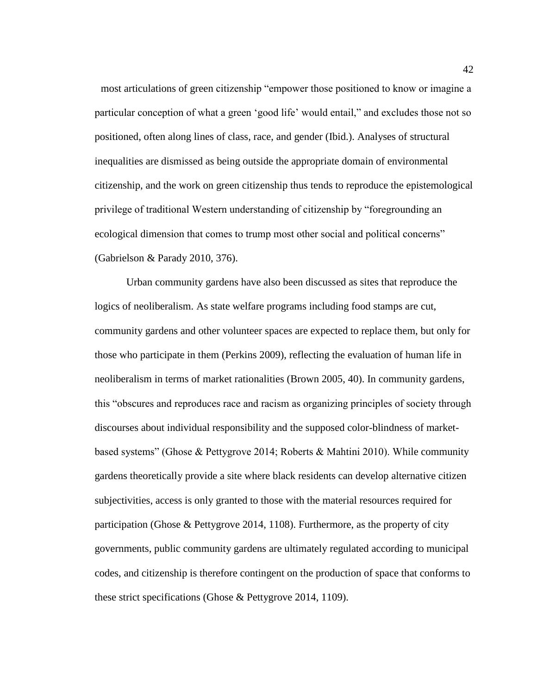most articulations of green citizenship "empower those positioned to know or imagine a particular conception of what a green 'good life' would entail," and excludes those not so positioned, often along lines of class, race, and gender (Ibid.). Analyses of structural inequalities are dismissed as being outside the appropriate domain of environmental citizenship, and the work on green citizenship thus tends to reproduce the epistemological privilege of traditional Western understanding of citizenship by "foregrounding an ecological dimension that comes to trump most other social and political concerns" (Gabrielson & Parady 2010, 376).

Urban community gardens have also been discussed as sites that reproduce the logics of neoliberalism. As state welfare programs including food stamps are cut, community gardens and other volunteer spaces are expected to replace them, but only for those who participate in them (Perkins 2009), reflecting the evaluation of human life in neoliberalism in terms of market rationalities (Brown 2005, 40). In community gardens, this "obscures and reproduces race and racism as organizing principles of society through discourses about individual responsibility and the supposed color-blindness of marketbased systems" (Ghose & Pettygrove 2014; Roberts & Mahtini 2010). While community gardens theoretically provide a site where black residents can develop alternative citizen subjectivities, access is only granted to those with the material resources required for participation (Ghose & Pettygrove 2014, 1108). Furthermore, as the property of city governments, public community gardens are ultimately regulated according to municipal codes, and citizenship is therefore contingent on the production of space that conforms to these strict specifications (Ghose & Pettygrove 2014, 1109).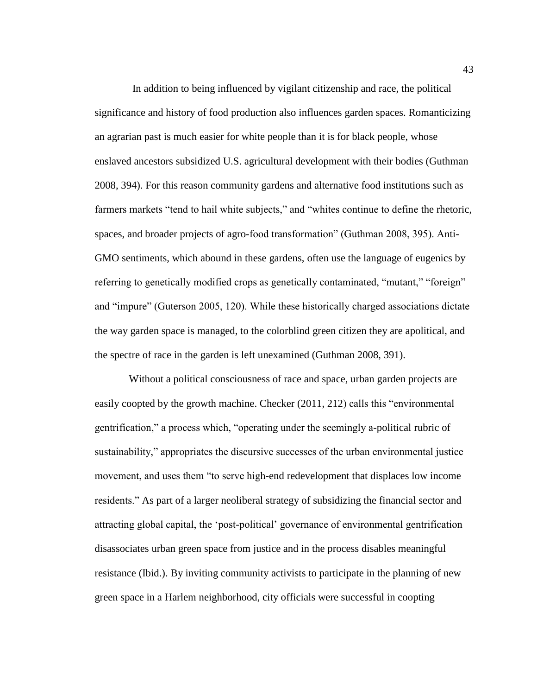In addition to being influenced by vigilant citizenship and race, the political significance and history of food production also influences garden spaces. Romanticizing an agrarian past is much easier for white people than it is for black people, whose enslaved ancestors subsidized U.S. agricultural development with their bodies (Guthman 2008, 394). For this reason community gardens and alternative food institutions such as farmers markets "tend to hail white subjects," and "whites continue to define the rhetoric, spaces, and broader projects of agro-food transformation" (Guthman 2008, 395). Anti-GMO sentiments, which abound in these gardens, often use the language of eugenics by referring to genetically modified crops as genetically contaminated, "mutant," "foreign" and "impure" (Guterson 2005, 120). While these historically charged associations dictate the way garden space is managed, to the colorblind green citizen they are apolitical, and the spectre of race in the garden is left unexamined (Guthman 2008, 391).

Without a political consciousness of race and space, urban garden projects are easily coopted by the growth machine. Checker (2011, 212) calls this "environmental gentrification," a process which, "operating under the seemingly a-political rubric of sustainability," appropriates the discursive successes of the urban environmental justice movement, and uses them "to serve high-end redevelopment that displaces low income residents." As part of a larger neoliberal strategy of subsidizing the financial sector and attracting global capital, the 'post-political' governance of environmental gentrification disassociates urban green space from justice and in the process disables meaningful resistance (Ibid.). By inviting community activists to participate in the planning of new green space in a Harlem neighborhood, city officials were successful in coopting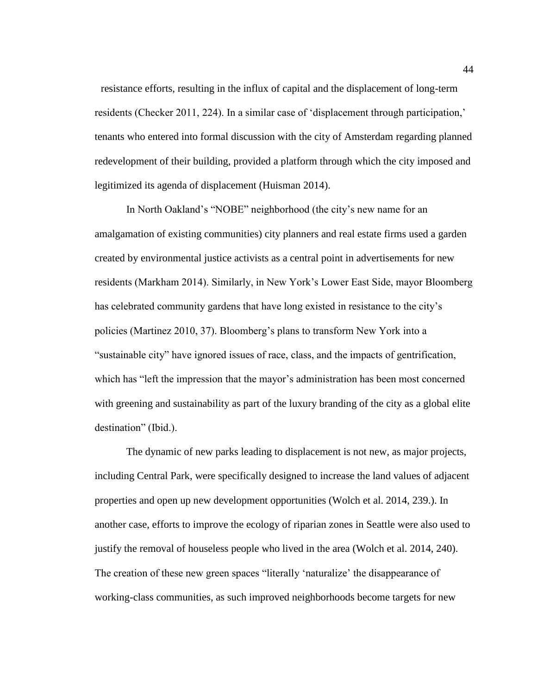resistance efforts, resulting in the influx of capital and the displacement of long-term residents (Checker 2011, 224). In a similar case of 'displacement through participation,' tenants who entered into formal discussion with the city of Amsterdam regarding planned redevelopment of their building, provided a platform through which the city imposed and legitimized its agenda of displacement (Huisman 2014).

In North Oakland's "NOBE" neighborhood (the city's new name for an amalgamation of existing communities) city planners and real estate firms used a garden created by environmental justice activists as a central point in advertisements for new residents (Markham 2014). Similarly, in New York's Lower East Side, mayor Bloomberg has celebrated community gardens that have long existed in resistance to the city's policies (Martinez 2010, 37). Bloomberg's plans to transform New York into a "sustainable city" have ignored issues of race, class, and the impacts of gentrification, which has "left the impression that the mayor's administration has been most concerned with greening and sustainability as part of the luxury branding of the city as a global elite destination" (Ibid.).

The dynamic of new parks leading to displacement is not new, as major projects, including Central Park, were specifically designed to increase the land values of adjacent properties and open up new development opportunities (Wolch et al. 2014, 239.). In another case, efforts to improve the ecology of riparian zones in Seattle were also used to justify the removal of houseless people who lived in the area (Wolch et al. 2014, 240). The creation of these new green spaces "literally 'naturalize' the disappearance of working-class communities, as such improved neighborhoods become targets for new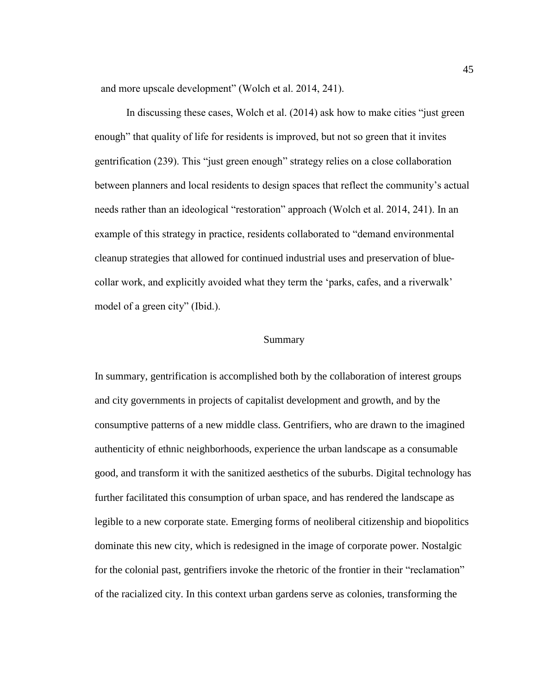and more upscale development" (Wolch et al. 2014, 241).

In discussing these cases, Wolch et al. (2014) ask how to make cities "just green enough" that quality of life for residents is improved, but not so green that it invites gentrification (239). This "just green enough" strategy relies on a close collaboration between planners and local residents to design spaces that reflect the community's actual needs rather than an ideological "restoration" approach (Wolch et al. 2014, 241). In an example of this strategy in practice, residents collaborated to "demand environmental cleanup strategies that allowed for continued industrial uses and preservation of bluecollar work, and explicitly avoided what they term the 'parks, cafes, and a riverwalk' model of a green city" (Ibid.).

## Summary

In summary, gentrification is accomplished both by the collaboration of interest groups and city governments in projects of capitalist development and growth, and by the consumptive patterns of a new middle class. Gentrifiers, who are drawn to the imagined authenticity of ethnic neighborhoods, experience the urban landscape as a consumable good, and transform it with the sanitized aesthetics of the suburbs. Digital technology has further facilitated this consumption of urban space, and has rendered the landscape as legible to a new corporate state. Emerging forms of neoliberal citizenship and biopolitics dominate this new city, which is redesigned in the image of corporate power. Nostalgic for the colonial past, gentrifiers invoke the rhetoric of the frontier in their "reclamation" of the racialized city. In this context urban gardens serve as colonies, transforming the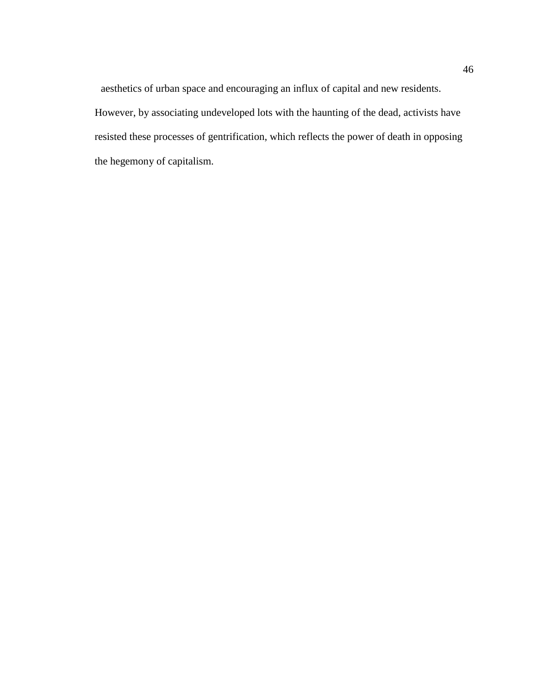aesthetics of urban space and encouraging an influx of capital and new residents. However, by associating undeveloped lots with the haunting of the dead, activists have resisted these processes of gentrification, which reflects the power of death in opposing the hegemony of capitalism.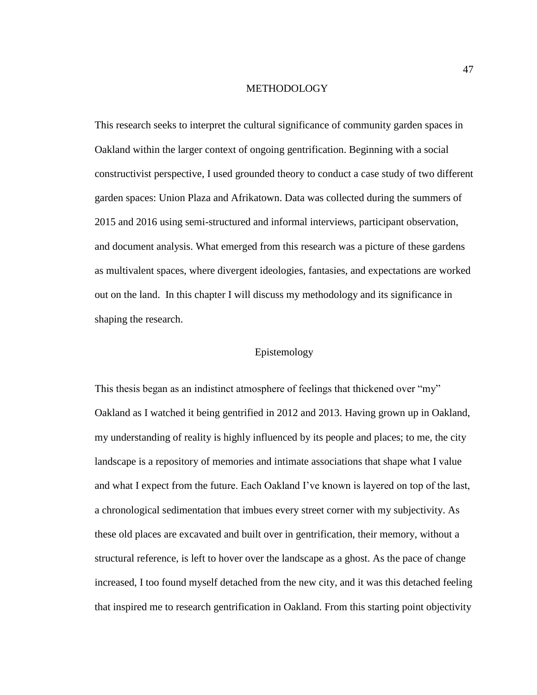#### **METHODOLOGY**

This research seeks to interpret the cultural significance of community garden spaces in Oakland within the larger context of ongoing gentrification. Beginning with a social constructivist perspective, I used grounded theory to conduct a case study of two different garden spaces: Union Plaza and Afrikatown. Data was collected during the summers of 2015 and 2016 using semi-structured and informal interviews, participant observation, and document analysis. What emerged from this research was a picture of these gardens as multivalent spaces, where divergent ideologies, fantasies, and expectations are worked out on the land. In this chapter I will discuss my methodology and its significance in shaping the research.

# Epistemology

This thesis began as an indistinct atmosphere of feelings that thickened over "my" Oakland as I watched it being gentrified in 2012 and 2013. Having grown up in Oakland, my understanding of reality is highly influenced by its people and places; to me, the city landscape is a repository of memories and intimate associations that shape what I value and what I expect from the future. Each Oakland I've known is layered on top of the last, a chronological sedimentation that imbues every street corner with my subjectivity. As these old places are excavated and built over in gentrification, their memory, without a structural reference, is left to hover over the landscape as a ghost. As the pace of change increased, I too found myself detached from the new city, and it was this detached feeling that inspired me to research gentrification in Oakland. From this starting point objectivity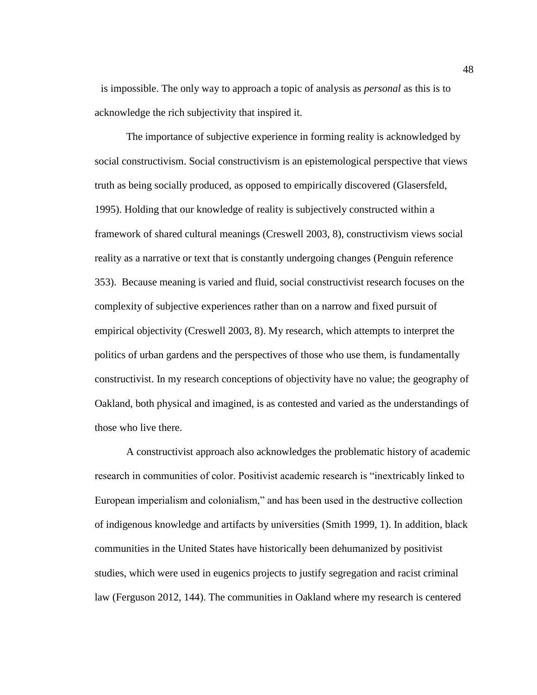is impossible. The only way to approach a topic of analysis as *personal* as this is to acknowledge the rich subjectivity that inspired it.

The importance of subjective experience in forming reality is acknowledged by social constructivism. Social constructivism is an epistemological perspective that views truth as being socially produced, as opposed to empirically discovered (Glasersfeld, 1995). Holding that our knowledge of reality is subjectively constructed within a framework of shared cultural meanings (Creswell 2003, 8), constructivism views social reality as a narrative or text that is constantly undergoing changes (Penguin reference 353). Because meaning is varied and fluid, social constructivist research focuses on the complexity of subjective experiences rather than on a narrow and fixed pursuit of empirical objectivity (Creswell 2003, 8). My research, which attempts to interpret the politics of urban gardens and the perspectives of those who use them, is fundamentally constructivist. In my research conceptions of objectivity have no value; the geography of Oakland, both physical and imagined, is as contested and varied as the understandings of those who live there.

A constructivist approach also acknowledges the problematic history of academic research in communities of color. Positivist academic research is "inextricably linked to European imperialism and colonialism," and has been used in the destructive collection of indigenous knowledge and artifacts by universities (Smith 1999, 1). In addition, black communities in the United States have historically been dehumanized by positivist studies, which were used in eugenics projects to justify segregation and racist criminal law (Ferguson 2012, 144). The communities in Oakland where my research is centered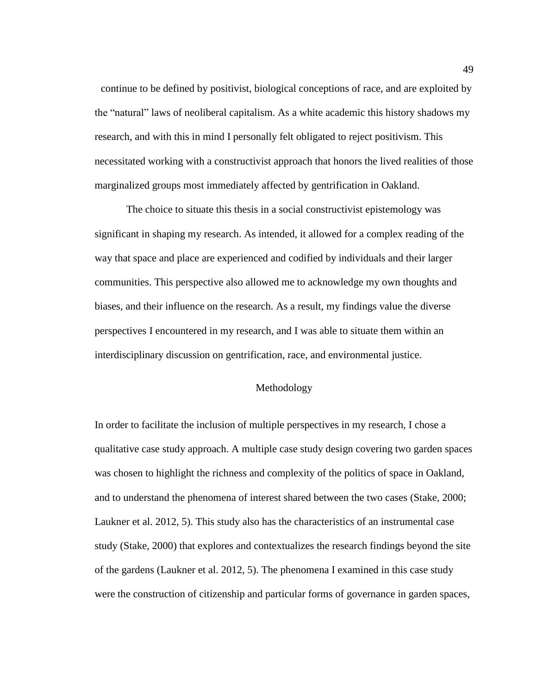continue to be defined by positivist, biological conceptions of race, and are exploited by the "natural" laws of neoliberal capitalism. As a white academic this history shadows my research, and with this in mind I personally felt obligated to reject positivism. This necessitated working with a constructivist approach that honors the lived realities of those marginalized groups most immediately affected by gentrification in Oakland.

The choice to situate this thesis in a social constructivist epistemology was significant in shaping my research. As intended, it allowed for a complex reading of the way that space and place are experienced and codified by individuals and their larger communities. This perspective also allowed me to acknowledge my own thoughts and biases, and their influence on the research. As a result, my findings value the diverse perspectives I encountered in my research, and I was able to situate them within an interdisciplinary discussion on gentrification, race, and environmental justice.

### Methodology

In order to facilitate the inclusion of multiple perspectives in my research, I chose a qualitative case study approach. A multiple case study design covering two garden spaces was chosen to highlight the richness and complexity of the politics of space in Oakland, and to understand the phenomena of interest shared between the two cases (Stake, 2000; Laukner et al. 2012, 5). This study also has the characteristics of an instrumental case study (Stake, 2000) that explores and contextualizes the research findings beyond the site of the gardens (Laukner et al. 2012, 5). The phenomena I examined in this case study were the construction of citizenship and particular forms of governance in garden spaces,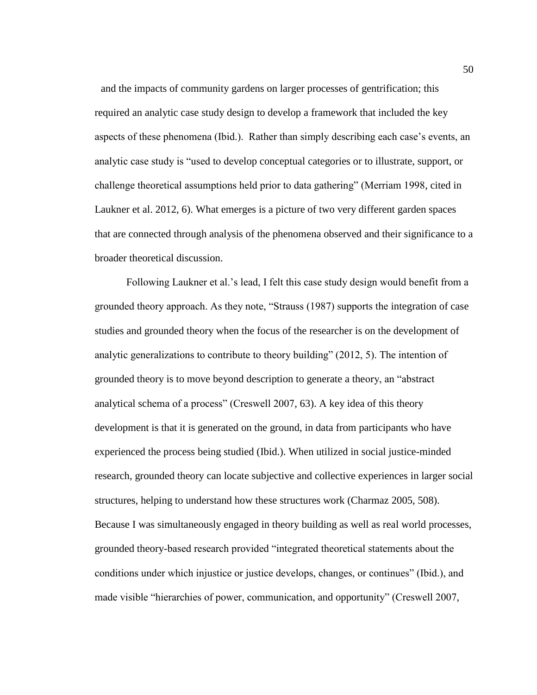and the impacts of community gardens on larger processes of gentrification; this required an analytic case study design to develop a framework that included the key aspects of these phenomena (Ibid.). Rather than simply describing each case's events, an analytic case study is "used to develop conceptual categories or to illustrate, support, or challenge theoretical assumptions held prior to data gathering" (Merriam 1998, cited in Laukner et al. 2012, 6). What emerges is a picture of two very different garden spaces that are connected through analysis of the phenomena observed and their significance to a broader theoretical discussion.

Following Laukner et al.'s lead, I felt this case study design would benefit from a grounded theory approach. As they note, "Strauss (1987) supports the integration of case studies and grounded theory when the focus of the researcher is on the development of analytic generalizations to contribute to theory building" (2012, 5). The intention of grounded theory is to move beyond description to generate a theory, an "abstract analytical schema of a process" (Creswell 2007, 63). A key idea of this theory development is that it is generated on the ground, in data from participants who have experienced the process being studied (Ibid.). When utilized in social justice-minded research, grounded theory can locate subjective and collective experiences in larger social structures, helping to understand how these structures work (Charmaz 2005, 508). Because I was simultaneously engaged in theory building as well as real world processes, grounded theory-based research provided "integrated theoretical statements about the conditions under which injustice or justice develops, changes, or continues" (Ibid.), and made visible "hierarchies of power, communication, and opportunity" (Creswell 2007,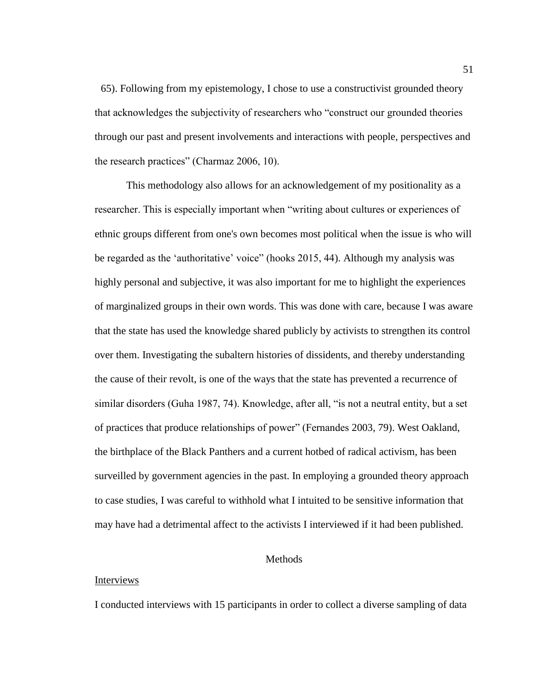65). Following from my epistemology, I chose to use a constructivist grounded theory that acknowledges the subjectivity of researchers who "construct our grounded theories through our past and present involvements and interactions with people, perspectives and the research practices" (Charmaz 2006, 10).

This methodology also allows for an acknowledgement of my positionality as a researcher. This is especially important when "writing about cultures or experiences of ethnic groups different from one's own becomes most political when the issue is who will be regarded as the 'authoritative' voice" (hooks 2015, 44). Although my analysis was highly personal and subjective, it was also important for me to highlight the experiences of marginalized groups in their own words. This was done with care, because I was aware that the state has used the knowledge shared publicly by activists to strengthen its control over them. Investigating the subaltern histories of dissidents, and thereby understanding the cause of their revolt, is one of the ways that the state has prevented a recurrence of similar disorders (Guha 1987, 74). Knowledge, after all, "is not a neutral entity, but a set of practices that produce relationships of power" (Fernandes 2003, 79). West Oakland, the birthplace of the Black Panthers and a current hotbed of radical activism, has been surveilled by government agencies in the past. In employing a grounded theory approach to case studies, I was careful to withhold what I intuited to be sensitive information that may have had a detrimental affect to the activists I interviewed if it had been published.

## Methods

## Interviews

I conducted interviews with 15 participants in order to collect a diverse sampling of data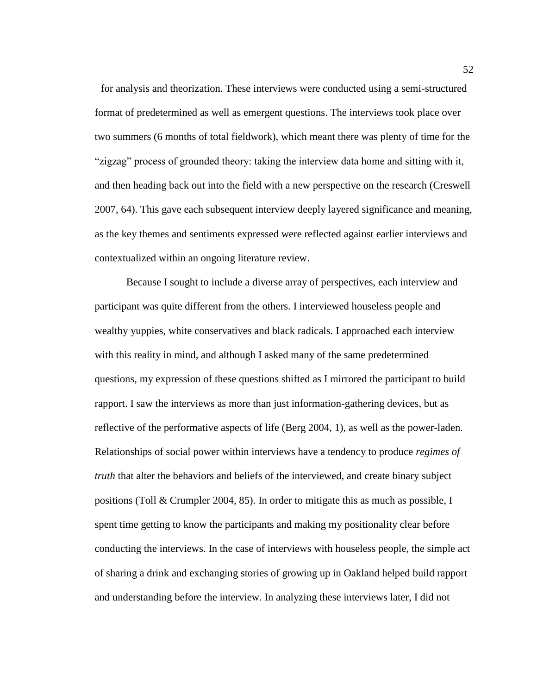for analysis and theorization. These interviews were conducted using a semi-structured format of predetermined as well as emergent questions. The interviews took place over two summers (6 months of total fieldwork), which meant there was plenty of time for the "zigzag" process of grounded theory: taking the interview data home and sitting with it, and then heading back out into the field with a new perspective on the research (Creswell 2007, 64). This gave each subsequent interview deeply layered significance and meaning, as the key themes and sentiments expressed were reflected against earlier interviews and contextualized within an ongoing literature review.

Because I sought to include a diverse array of perspectives, each interview and participant was quite different from the others. I interviewed houseless people and wealthy yuppies, white conservatives and black radicals. I approached each interview with this reality in mind, and although I asked many of the same predetermined questions, my expression of these questions shifted as I mirrored the participant to build rapport. I saw the interviews as more than just information-gathering devices, but as reflective of the performative aspects of life (Berg 2004, 1), as well as the power-laden. Relationships of social power within interviews have a tendency to produce *regimes of truth* that alter the behaviors and beliefs of the interviewed, and create binary subject positions (Toll & Crumpler 2004, 85). In order to mitigate this as much as possible, I spent time getting to know the participants and making my positionality clear before conducting the interviews. In the case of interviews with houseless people, the simple act of sharing a drink and exchanging stories of growing up in Oakland helped build rapport and understanding before the interview. In analyzing these interviews later, I did not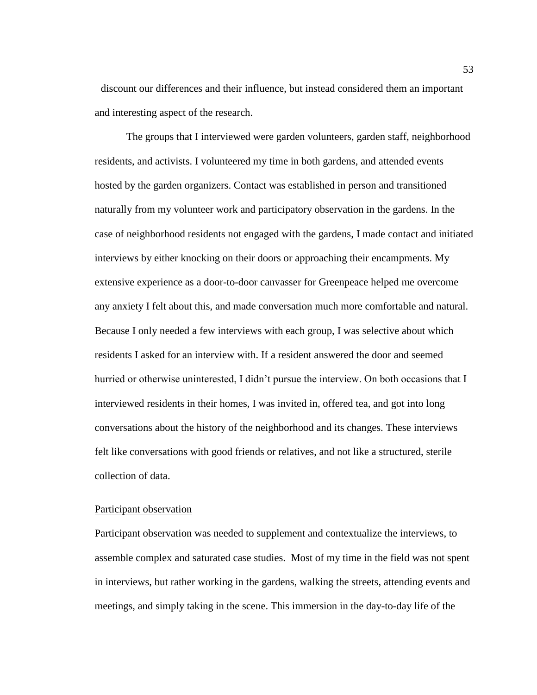discount our differences and their influence, but instead considered them an important and interesting aspect of the research.

The groups that I interviewed were garden volunteers, garden staff, neighborhood residents, and activists. I volunteered my time in both gardens, and attended events hosted by the garden organizers. Contact was established in person and transitioned naturally from my volunteer work and participatory observation in the gardens. In the case of neighborhood residents not engaged with the gardens, I made contact and initiated interviews by either knocking on their doors or approaching their encampments. My extensive experience as a door-to-door canvasser for Greenpeace helped me overcome any anxiety I felt about this, and made conversation much more comfortable and natural. Because I only needed a few interviews with each group, I was selective about which residents I asked for an interview with. If a resident answered the door and seemed hurried or otherwise uninterested, I didn't pursue the interview. On both occasions that I interviewed residents in their homes, I was invited in, offered tea, and got into long conversations about the history of the neighborhood and its changes. These interviews felt like conversations with good friends or relatives, and not like a structured, sterile collection of data.

#### Participant observation

Participant observation was needed to supplement and contextualize the interviews, to assemble complex and saturated case studies. Most of my time in the field was not spent in interviews, but rather working in the gardens, walking the streets, attending events and meetings, and simply taking in the scene. This immersion in the day-to-day life of the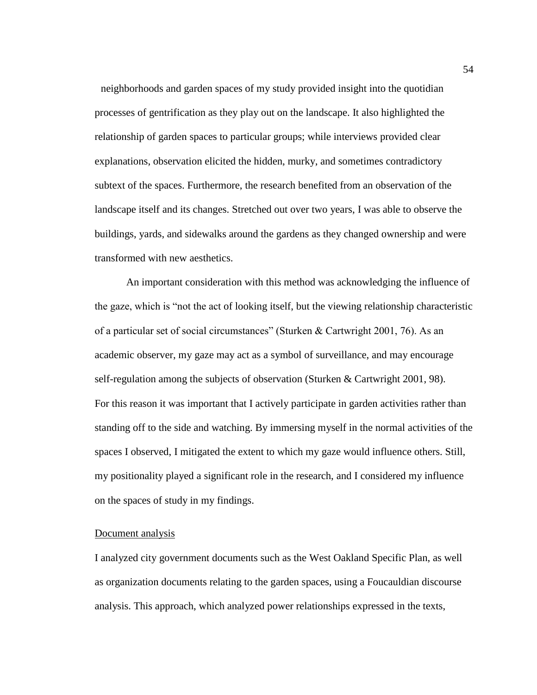neighborhoods and garden spaces of my study provided insight into the quotidian processes of gentrification as they play out on the landscape. It also highlighted the relationship of garden spaces to particular groups; while interviews provided clear explanations, observation elicited the hidden, murky, and sometimes contradictory subtext of the spaces. Furthermore, the research benefited from an observation of the landscape itself and its changes. Stretched out over two years, I was able to observe the buildings, yards, and sidewalks around the gardens as they changed ownership and were transformed with new aesthetics.

An important consideration with this method was acknowledging the influence of the gaze, which is "not the act of looking itself, but the viewing relationship characteristic of a particular set of social circumstances" (Sturken & Cartwright 2001, 76). As an academic observer, my gaze may act as a symbol of surveillance, and may encourage self-regulation among the subjects of observation (Sturken & Cartwright 2001, 98). For this reason it was important that I actively participate in garden activities rather than standing off to the side and watching. By immersing myself in the normal activities of the spaces I observed, I mitigated the extent to which my gaze would influence others. Still, my positionality played a significant role in the research, and I considered my influence on the spaces of study in my findings.

#### Document analysis

I analyzed city government documents such as the West Oakland Specific Plan, as well as organization documents relating to the garden spaces, using a Foucauldian discourse analysis. This approach, which analyzed power relationships expressed in the texts,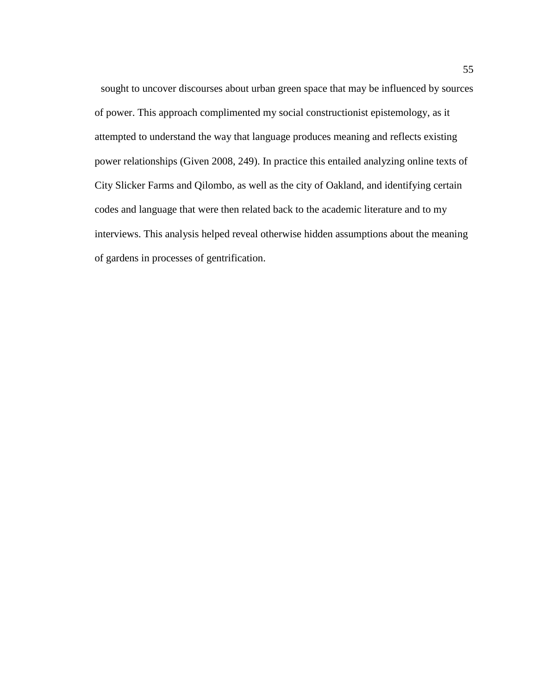sought to uncover discourses about urban green space that may be influenced by sources of power. This approach complimented my social constructionist epistemology, as it attempted to understand the way that language produces meaning and reflects existing power relationships (Given 2008, 249). In practice this entailed analyzing online texts of City Slicker Farms and Qilombo, as well as the city of Oakland, and identifying certain codes and language that were then related back to the academic literature and to my interviews. This analysis helped reveal otherwise hidden assumptions about the meaning of gardens in processes of gentrification.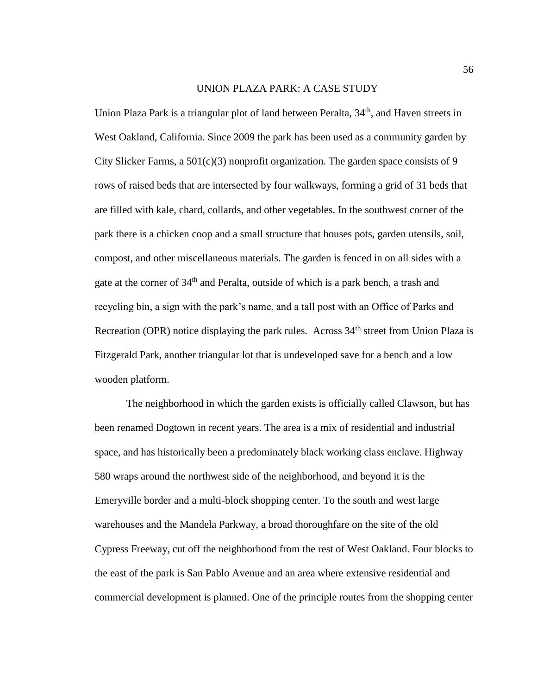#### UNION PLAZA PARK: A CASE STUDY

Union Plaza Park is a triangular plot of land between Peralta, 34<sup>th</sup>, and Haven streets in West Oakland, California. Since 2009 the park has been used as a community garden by City Slicker Farms, a  $501(c)(3)$  nonprofit organization. The garden space consists of 9 rows of raised beds that are intersected by four walkways, forming a grid of 31 beds that are filled with kale, chard, collards, and other vegetables. In the southwest corner of the park there is a chicken coop and a small structure that houses pots, garden utensils, soil, compost, and other miscellaneous materials. The garden is fenced in on all sides with a gate at the corner of 34<sup>th</sup> and Peralta, outside of which is a park bench, a trash and recycling bin, a sign with the park's name, and a tall post with an Office of Parks and Recreation (OPR) notice displaying the park rules. Across 34<sup>th</sup> street from Union Plaza is Fitzgerald Park, another triangular lot that is undeveloped save for a bench and a low wooden platform.

The neighborhood in which the garden exists is officially called Clawson, but has been renamed Dogtown in recent years. The area is a mix of residential and industrial space, and has historically been a predominately black working class enclave. Highway 580 wraps around the northwest side of the neighborhood, and beyond it is the Emeryville border and a multi-block shopping center. To the south and west large warehouses and the Mandela Parkway, a broad thoroughfare on the site of the old Cypress Freeway, cut off the neighborhood from the rest of West Oakland. Four blocks to the east of the park is San Pablo Avenue and an area where extensive residential and commercial development is planned. One of the principle routes from the shopping center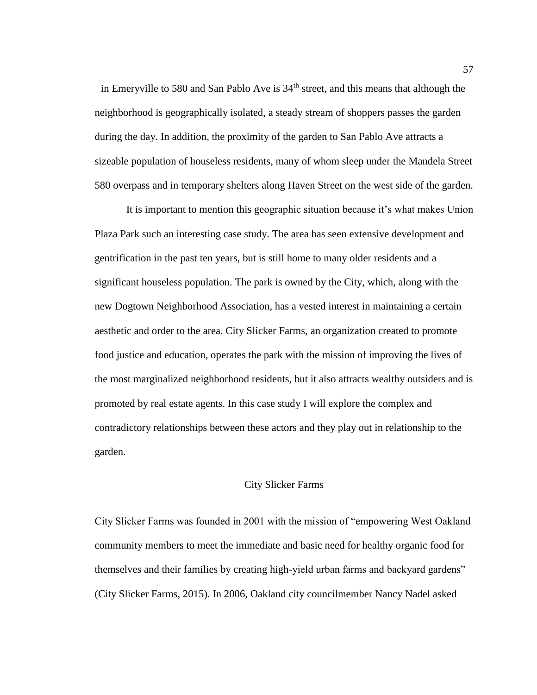in Emeryville to 580 and San Pablo Ave is  $34<sup>th</sup>$  street, and this means that although the neighborhood is geographically isolated, a steady stream of shoppers passes the garden during the day. In addition, the proximity of the garden to San Pablo Ave attracts a sizeable population of houseless residents, many of whom sleep under the Mandela Street 580 overpass and in temporary shelters along Haven Street on the west side of the garden.

It is important to mention this geographic situation because it's what makes Union Plaza Park such an interesting case study. The area has seen extensive development and gentrification in the past ten years, but is still home to many older residents and a significant houseless population. The park is owned by the City, which, along with the new Dogtown Neighborhood Association, has a vested interest in maintaining a certain aesthetic and order to the area. City Slicker Farms, an organization created to promote food justice and education, operates the park with the mission of improving the lives of the most marginalized neighborhood residents, but it also attracts wealthy outsiders and is promoted by real estate agents. In this case study I will explore the complex and contradictory relationships between these actors and they play out in relationship to the garden.

### City Slicker Farms

City Slicker Farms was founded in 2001 with the mission of "empowering West Oakland community members to meet the immediate and basic need for healthy organic food for themselves and their families by creating high-yield urban farms and backyard gardens" (City Slicker Farms, 2015). In 2006, Oakland city councilmember Nancy Nadel asked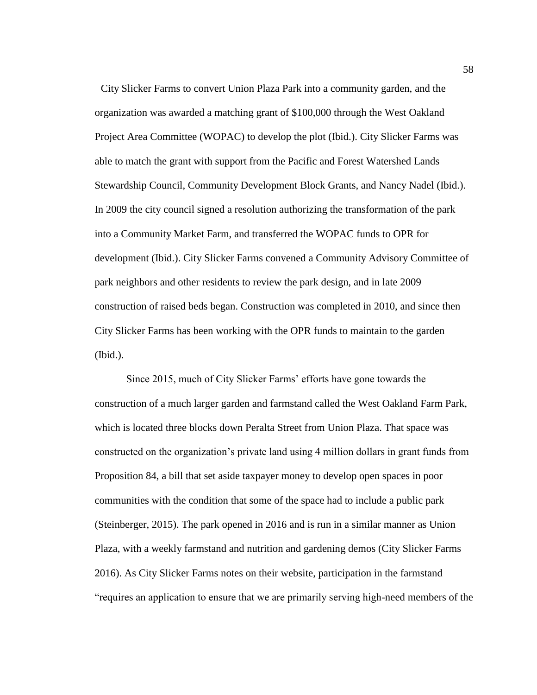City Slicker Farms to convert Union Plaza Park into a community garden, and the organization was awarded a matching grant of \$100,000 through the West Oakland Project Area Committee (WOPAC) to develop the plot (Ibid.). City Slicker Farms was able to match the grant with support from the Pacific and Forest Watershed Lands Stewardship Council, Community Development Block Grants, and Nancy Nadel (Ibid.). In 2009 the city council signed a resolution authorizing the transformation of the park into a Community Market Farm, and transferred the WOPAC funds to OPR for development (Ibid.). City Slicker Farms convened a Community Advisory Committee of park neighbors and other residents to review the park design, and in late 2009 construction of raised beds began. Construction was completed in 2010, and since then City Slicker Farms has been working with the OPR funds to maintain to the garden (Ibid.).

Since 2015, much of City Slicker Farms' efforts have gone towards the construction of a much larger garden and farmstand called the West Oakland Farm Park, which is located three blocks down Peralta Street from Union Plaza. That space was constructed on the organization's private land using 4 million dollars in grant funds from Proposition 84, a bill that set aside taxpayer money to develop open spaces in poor communities with the condition that some of the space had to include a public park (Steinberger, 2015). The park opened in 2016 and is run in a similar manner as Union Plaza, with a weekly farmstand and nutrition and gardening demos (City Slicker Farms 2016). As City Slicker Farms notes on their website, participation in the farmstand "requires an application to ensure that we are primarily serving high-need members of the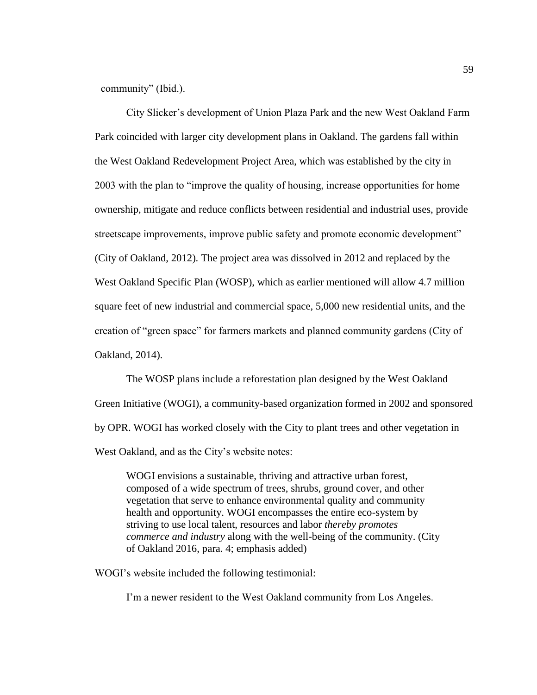community" (Ibid.).

City Slicker's development of Union Plaza Park and the new West Oakland Farm Park coincided with larger city development plans in Oakland. The gardens fall within the West Oakland Redevelopment Project Area, which was established by the city in 2003 with the plan to "improve the quality of housing, increase opportunities for home ownership, mitigate and reduce conflicts between residential and industrial uses, provide streetscape improvements, improve public safety and promote economic development" (City of Oakland, 2012). The project area was dissolved in 2012 and replaced by the West Oakland Specific Plan (WOSP), which as earlier mentioned will allow 4.7 million square feet of new industrial and commercial space, 5,000 new residential units, and the creation of "green space" for farmers markets and planned community gardens (City of Oakland, 2014).

The WOSP plans include a reforestation plan designed by the West Oakland Green Initiative (WOGI), a community-based organization formed in 2002 and sponsored by OPR. WOGI has worked closely with the City to plant trees and other vegetation in West Oakland, and as the City's website notes:

WOGI envisions a sustainable, thriving and attractive urban forest, composed of a wide spectrum of trees, shrubs, ground cover, and other vegetation that serve to enhance environmental quality and community health and opportunity. WOGI encompasses the entire eco-system by striving to use local talent, resources and labor *thereby promotes commerce and industry* along with the well-being of the community. (City of Oakland 2016, para. 4; emphasis added)

WOGI's website included the following testimonial:

I'm a newer resident to the West Oakland community from Los Angeles.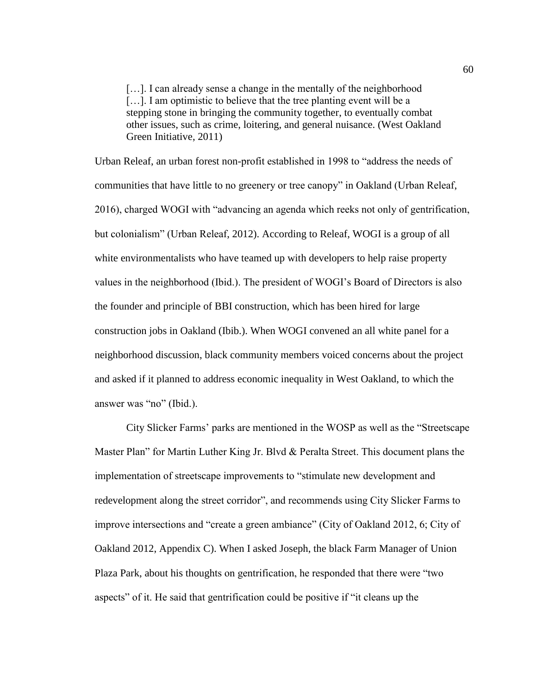[...]. I can already sense a change in the mentally of the neighborhood [...]. I am optimistic to believe that the tree planting event will be a stepping stone in bringing the community together, to eventually combat other issues, such as crime, loitering, and general nuisance. (West Oakland Green Initiative, 2011)

Urban Releaf, an urban forest non-profit established in 1998 to "address the needs of communities that have little to no greenery or tree canopy" in Oakland (Urban Releaf, 2016), charged WOGI with "advancing an agenda which reeks not only of gentrification, but colonialism" (Urban Releaf, 2012). According to Releaf, WOGI is a group of all white environmentalists who have teamed up with developers to help raise property values in the neighborhood (Ibid.). The president of WOGI's Board of Directors is also the founder and principle of BBI construction, which has been hired for large construction jobs in Oakland (Ibib.). When WOGI convened an all white panel for a neighborhood discussion, black community members voiced concerns about the project and asked if it planned to address economic inequality in West Oakland, to which the answer was "no" (Ibid.).

City Slicker Farms' parks are mentioned in the WOSP as well as the "Streetscape Master Plan" for Martin Luther King Jr. Blvd & Peralta Street. This document plans the implementation of streetscape improvements to "stimulate new development and redevelopment along the street corridor", and recommends using City Slicker Farms to improve intersections and "create a green ambiance" (City of Oakland 2012, 6; City of Oakland 2012, Appendix C). When I asked Joseph, the black Farm Manager of Union Plaza Park, about his thoughts on gentrification, he responded that there were "two aspects" of it. He said that gentrification could be positive if "it cleans up the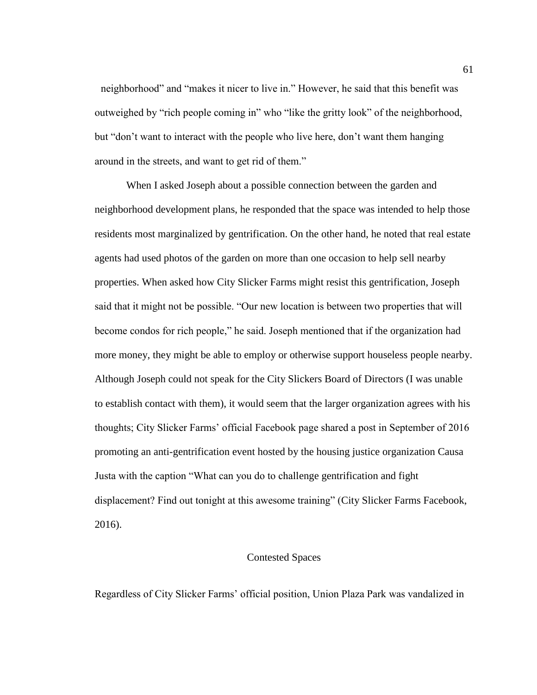neighborhood" and "makes it nicer to live in." However, he said that this benefit was outweighed by "rich people coming in" who "like the gritty look" of the neighborhood, but "don't want to interact with the people who live here, don't want them hanging around in the streets, and want to get rid of them."

When I asked Joseph about a possible connection between the garden and neighborhood development plans, he responded that the space was intended to help those residents most marginalized by gentrification. On the other hand, he noted that real estate agents had used photos of the garden on more than one occasion to help sell nearby properties. When asked how City Slicker Farms might resist this gentrification, Joseph said that it might not be possible. "Our new location is between two properties that will become condos for rich people," he said. Joseph mentioned that if the organization had more money, they might be able to employ or otherwise support houseless people nearby. Although Joseph could not speak for the City Slickers Board of Directors (I was unable to establish contact with them), it would seem that the larger organization agrees with his thoughts; City Slicker Farms' official Facebook page shared a post in September of 2016 promoting an anti-gentrification event hosted by the housing justice organization Causa Justa with the caption "What can you do to challenge gentrification and fight displacement? Find out tonight at this awesome training" (City Slicker Farms Facebook, 2016).

## Contested Spaces

Regardless of City Slicker Farms' official position, Union Plaza Park was vandalized in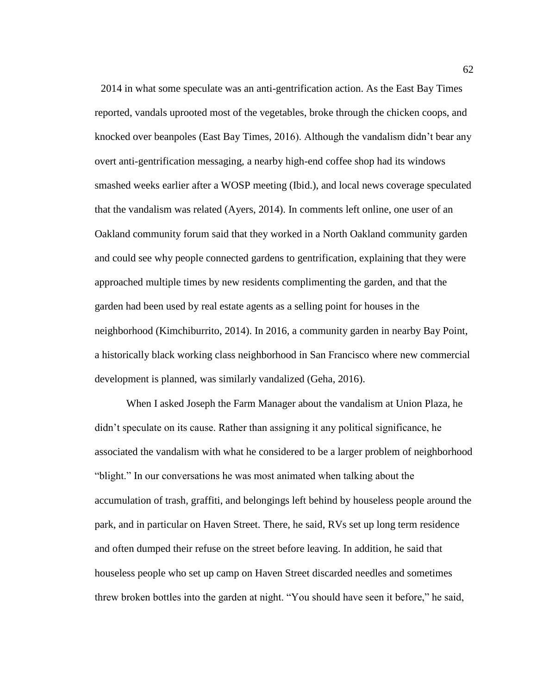2014 in what some speculate was an anti-gentrification action. As the East Bay Times reported, vandals uprooted most of the vegetables, broke through the chicken coops, and knocked over beanpoles (East Bay Times, 2016). Although the vandalism didn't bear any overt anti-gentrification messaging, a nearby high-end coffee shop had its windows smashed weeks earlier after a WOSP meeting (Ibid.), and local news coverage speculated that the vandalism was related (Ayers, 2014). In comments left online, one user of an Oakland community forum said that they worked in a North Oakland community garden and could see why people connected gardens to gentrification, explaining that they were approached multiple times by new residents complimenting the garden, and that the garden had been used by real estate agents as a selling point for houses in the neighborhood (Kimchiburrito, 2014). In 2016, a community garden in nearby Bay Point, a historically black working class neighborhood in San Francisco where new commercial development is planned, was similarly vandalized (Geha, 2016).

When I asked Joseph the Farm Manager about the vandalism at Union Plaza, he didn't speculate on its cause. Rather than assigning it any political significance, he associated the vandalism with what he considered to be a larger problem of neighborhood "blight." In our conversations he was most animated when talking about the accumulation of trash, graffiti, and belongings left behind by houseless people around the park, and in particular on Haven Street. There, he said, RVs set up long term residence and often dumped their refuse on the street before leaving. In addition, he said that houseless people who set up camp on Haven Street discarded needles and sometimes threw broken bottles into the garden at night. "You should have seen it before," he said,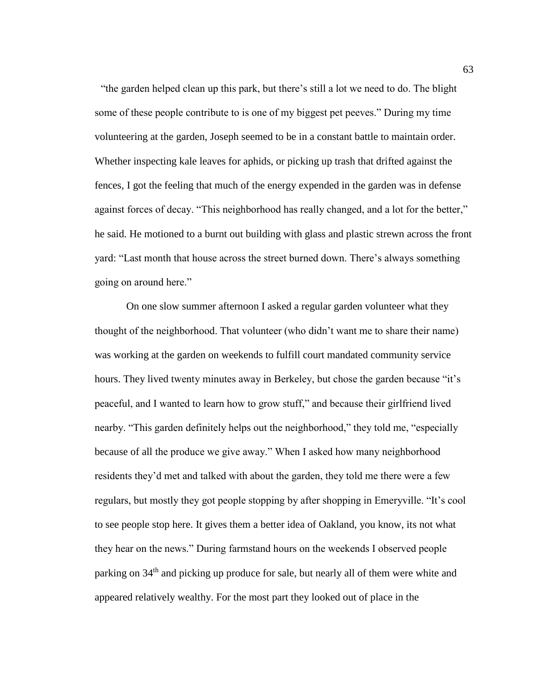"the garden helped clean up this park, but there's still a lot we need to do. The blight some of these people contribute to is one of my biggest pet peeves." During my time volunteering at the garden, Joseph seemed to be in a constant battle to maintain order. Whether inspecting kale leaves for aphids, or picking up trash that drifted against the fences, I got the feeling that much of the energy expended in the garden was in defense against forces of decay. "This neighborhood has really changed, and a lot for the better," he said. He motioned to a burnt out building with glass and plastic strewn across the front yard: "Last month that house across the street burned down. There's always something going on around here."

On one slow summer afternoon I asked a regular garden volunteer what they thought of the neighborhood. That volunteer (who didn't want me to share their name) was working at the garden on weekends to fulfill court mandated community service hours. They lived twenty minutes away in Berkeley, but chose the garden because "it's peaceful, and I wanted to learn how to grow stuff," and because their girlfriend lived nearby. "This garden definitely helps out the neighborhood," they told me, "especially because of all the produce we give away." When I asked how many neighborhood residents they'd met and talked with about the garden, they told me there were a few regulars, but mostly they got people stopping by after shopping in Emeryville. "It's cool to see people stop here. It gives them a better idea of Oakland, you know, its not what they hear on the news." During farmstand hours on the weekends I observed people parking on 34th and picking up produce for sale, but nearly all of them were white and appeared relatively wealthy. For the most part they looked out of place in the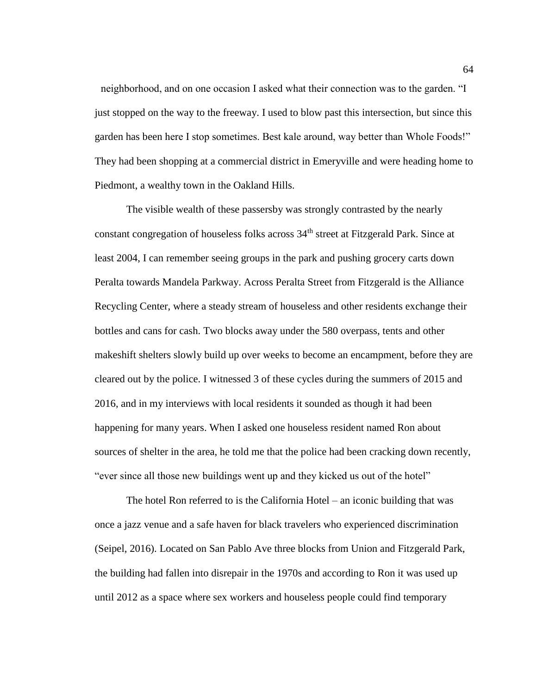neighborhood, and on one occasion I asked what their connection was to the garden. "I just stopped on the way to the freeway. I used to blow past this intersection, but since this garden has been here I stop sometimes. Best kale around, way better than Whole Foods!" They had been shopping at a commercial district in Emeryville and were heading home to Piedmont, a wealthy town in the Oakland Hills.

The visible wealth of these passersby was strongly contrasted by the nearly constant congregation of houseless folks across 34<sup>th</sup> street at Fitzgerald Park. Since at least 2004, I can remember seeing groups in the park and pushing grocery carts down Peralta towards Mandela Parkway. Across Peralta Street from Fitzgerald is the Alliance Recycling Center, where a steady stream of houseless and other residents exchange their bottles and cans for cash. Two blocks away under the 580 overpass, tents and other makeshift shelters slowly build up over weeks to become an encampment, before they are cleared out by the police. I witnessed 3 of these cycles during the summers of 2015 and 2016, and in my interviews with local residents it sounded as though it had been happening for many years. When I asked one houseless resident named Ron about sources of shelter in the area, he told me that the police had been cracking down recently, "ever since all those new buildings went up and they kicked us out of the hotel"

The hotel Ron referred to is the California Hotel – an iconic building that was once a jazz venue and a safe haven for black travelers who experienced discrimination (Seipel, 2016). Located on San Pablo Ave three blocks from Union and Fitzgerald Park, the building had fallen into disrepair in the 1970s and according to Ron it was used up until 2012 as a space where sex workers and houseless people could find temporary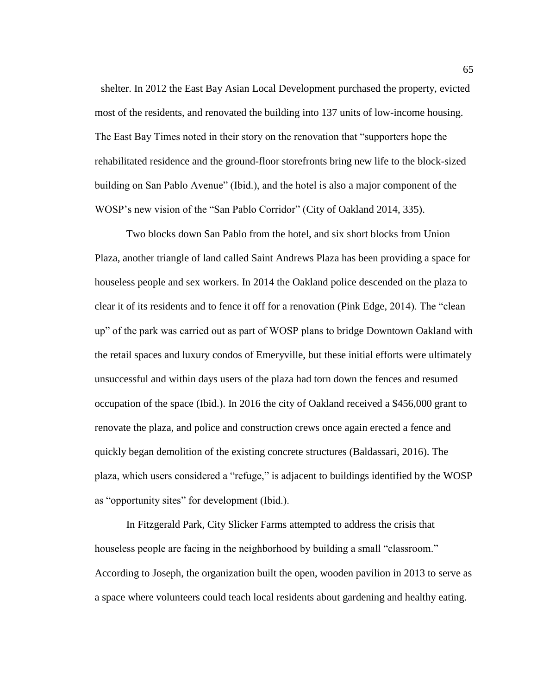shelter. In 2012 the East Bay Asian Local Development purchased the property, evicted most of the residents, and renovated the building into 137 units of low-income housing. The East Bay Times noted in their story on the renovation that "supporters hope the rehabilitated residence and the ground-floor storefronts bring new life to the block-sized building on San Pablo Avenue" (Ibid.), and the hotel is also a major component of the WOSP's new vision of the "San Pablo Corridor" (City of Oakland 2014, 335).

Two blocks down San Pablo from the hotel, and six short blocks from Union Plaza, another triangle of land called Saint Andrews Plaza has been providing a space for houseless people and sex workers. In 2014 the Oakland police descended on the plaza to clear it of its residents and to fence it off for a renovation (Pink Edge, 2014). The "clean up" of the park was carried out as part of WOSP plans to bridge Downtown Oakland with the retail spaces and luxury condos of Emeryville, but these initial efforts were ultimately unsuccessful and within days users of the plaza had torn down the fences and resumed occupation of the space (Ibid.). In 2016 the city of Oakland received a \$456,000 grant to renovate the plaza, and police and construction crews once again erected a fence and quickly began demolition of the existing concrete structures (Baldassari, 2016). The plaza, which users considered a "refuge," is adjacent to buildings identified by the WOSP as "opportunity sites" for development (Ibid.).

In Fitzgerald Park, City Slicker Farms attempted to address the crisis that houseless people are facing in the neighborhood by building a small "classroom." According to Joseph, the organization built the open, wooden pavilion in 2013 to serve as a space where volunteers could teach local residents about gardening and healthy eating.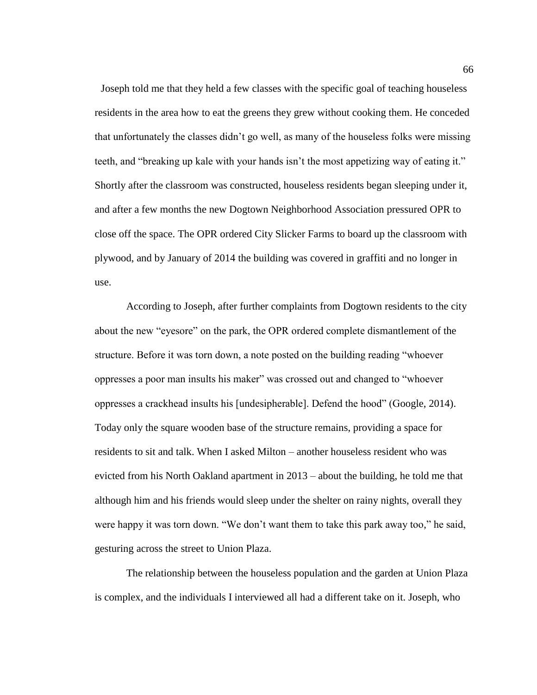Joseph told me that they held a few classes with the specific goal of teaching houseless residents in the area how to eat the greens they grew without cooking them. He conceded that unfortunately the classes didn't go well, as many of the houseless folks were missing teeth, and "breaking up kale with your hands isn't the most appetizing way of eating it." Shortly after the classroom was constructed, houseless residents began sleeping under it, and after a few months the new Dogtown Neighborhood Association pressured OPR to close off the space. The OPR ordered City Slicker Farms to board up the classroom with plywood, and by January of 2014 the building was covered in graffiti and no longer in use.

According to Joseph, after further complaints from Dogtown residents to the city about the new "eyesore" on the park, the OPR ordered complete dismantlement of the structure. Before it was torn down, a note posted on the building reading "whoever oppresses a poor man insults his maker" was crossed out and changed to "whoever oppresses a crackhead insults his [undesipherable]. Defend the hood" (Google, 2014). Today only the square wooden base of the structure remains, providing a space for residents to sit and talk. When I asked Milton – another houseless resident who was evicted from his North Oakland apartment in 2013 – about the building, he told me that although him and his friends would sleep under the shelter on rainy nights, overall they were happy it was torn down. "We don't want them to take this park away too," he said, gesturing across the street to Union Plaza.

The relationship between the houseless population and the garden at Union Plaza is complex, and the individuals I interviewed all had a different take on it. Joseph, who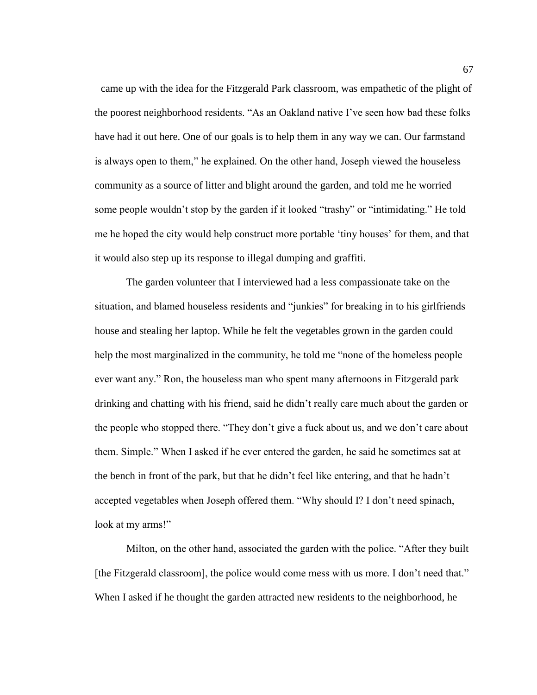came up with the idea for the Fitzgerald Park classroom, was empathetic of the plight of the poorest neighborhood residents. "As an Oakland native I've seen how bad these folks have had it out here. One of our goals is to help them in any way we can. Our farmstand is always open to them," he explained. On the other hand, Joseph viewed the houseless community as a source of litter and blight around the garden, and told me he worried some people wouldn't stop by the garden if it looked "trashy" or "intimidating." He told me he hoped the city would help construct more portable 'tiny houses' for them, and that it would also step up its response to illegal dumping and graffiti.

The garden volunteer that I interviewed had a less compassionate take on the situation, and blamed houseless residents and "junkies" for breaking in to his girlfriends house and stealing her laptop. While he felt the vegetables grown in the garden could help the most marginalized in the community, he told me "none of the homeless people ever want any." Ron, the houseless man who spent many afternoons in Fitzgerald park drinking and chatting with his friend, said he didn't really care much about the garden or the people who stopped there. "They don't give a fuck about us, and we don't care about them. Simple." When I asked if he ever entered the garden, he said he sometimes sat at the bench in front of the park, but that he didn't feel like entering, and that he hadn't accepted vegetables when Joseph offered them. "Why should I? I don't need spinach, look at my arms!"

Milton, on the other hand, associated the garden with the police. "After they built [the Fitzgerald classroom], the police would come mess with us more. I don't need that." When I asked if he thought the garden attracted new residents to the neighborhood, he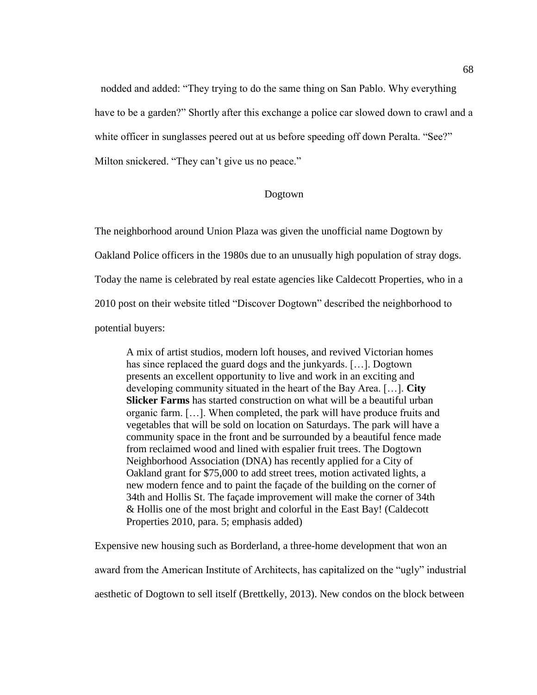nodded and added: "They trying to do the same thing on San Pablo. Why everything have to be a garden?" Shortly after this exchange a police car slowed down to crawl and a white officer in sunglasses peered out at us before speeding off down Peralta. "See?" Milton snickered. "They can't give us no peace."

# Dogtown

The neighborhood around Union Plaza was given the unofficial name Dogtown by

Oakland Police officers in the 1980s due to an unusually high population of stray dogs.

Today the name is celebrated by real estate agencies like Caldecott Properties, who in a

2010 post on their website titled "Discover Dogtown" described the neighborhood to

potential buyers:

A mix of artist studios, modern loft houses, and revived Victorian homes has since replaced the guard dogs and the junkyards. […]. Dogtown presents an excellent opportunity to live and work in an exciting and developing community situated in the heart of the Bay Area. […]. **City Slicker Farms** has started construction on what will be a beautiful urban organic farm. […]. When completed, the park will have produce fruits and vegetables that will be sold on location on Saturdays. The park will have a community space in the front and be surrounded by a beautiful fence made from reclaimed wood and lined with espalier fruit trees. The Dogtown Neighborhood Association (DNA) has recently applied for a City of Oakland grant for \$75,000 to add street trees, motion activated lights, a new modern fence and to paint the façade of the building on the corner of 34th and Hollis St. The façade improvement will make the corner of 34th & Hollis one of the most bright and colorful in the East Bay! (Caldecott Properties 2010, para. 5; emphasis added)

Expensive new housing such as Borderland, a three-home development that won an award from the American Institute of Architects, has capitalized on the "ugly" industrial aesthetic of Dogtown to sell itself (Brettkelly, 2013). New condos on the block between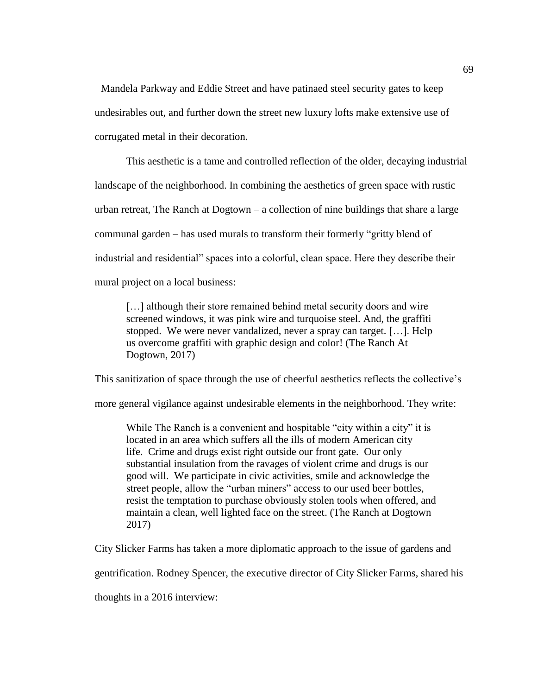Mandela Parkway and Eddie Street and have patinaed steel security gates to keep undesirables out, and further down the street new luxury lofts make extensive use of corrugated metal in their decoration.

This aesthetic is a tame and controlled reflection of the older, decaying industrial landscape of the neighborhood. In combining the aesthetics of green space with rustic urban retreat, The Ranch at Dogtown – a collection of nine buildings that share a large communal garden – has used murals to transform their formerly "gritty blend of industrial and residential" spaces into a colorful, clean space. Here they describe their mural project on a local business:

[...] although their store remained behind metal security doors and wire screened windows, it was pink wire and turquoise steel. And, the graffiti stopped. We were never vandalized, never a spray can target. […]. Help us overcome graffiti with graphic design and color! (The Ranch At Dogtown, 2017)

This sanitization of space through the use of cheerful aesthetics reflects the collective's

more general vigilance against undesirable elements in the neighborhood. They write:

While The Ranch is a convenient and hospitable "city within a city" it is located in an area which suffers all the ills of modern American city life. Crime and drugs exist right outside our front gate. Our only substantial insulation from the ravages of violent crime and drugs is our good will. We participate in civic activities, smile and acknowledge the street people, allow the "urban miners" access to our used beer bottles, resist the temptation to purchase obviously stolen tools when offered, and maintain a clean, well lighted face on the street. (The Ranch at Dogtown 2017)

City Slicker Farms has taken a more diplomatic approach to the issue of gardens and

gentrification. Rodney Spencer, the executive director of City Slicker Farms, shared his

thoughts in a 2016 interview: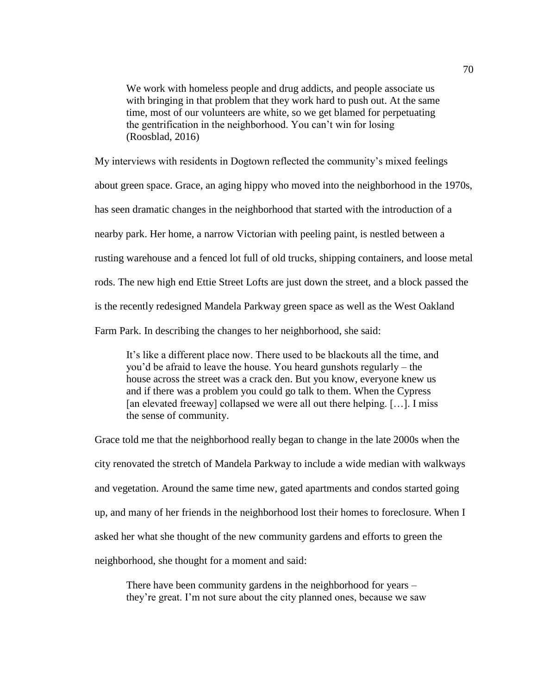We work with homeless people and drug addicts, and people associate us with bringing in that problem that they work hard to push out. At the same time, most of our volunteers are white, so we get blamed for perpetuating the gentrification in the neighborhood. You can't win for losing (Roosblad, 2016)

My interviews with residents in Dogtown reflected the community's mixed feelings about green space. Grace, an aging hippy who moved into the neighborhood in the 1970s, has seen dramatic changes in the neighborhood that started with the introduction of a nearby park. Her home, a narrow Victorian with peeling paint, is nestled between a rusting warehouse and a fenced lot full of old trucks, shipping containers, and loose metal rods. The new high end Ettie Street Lofts are just down the street, and a block passed the is the recently redesigned Mandela Parkway green space as well as the West Oakland Farm Park. In describing the changes to her neighborhood, she said:

It's like a different place now. There used to be blackouts all the time, and you'd be afraid to leave the house. You heard gunshots regularly – the house across the street was a crack den. But you know, everyone knew us and if there was a problem you could go talk to them. When the Cypress [an elevated freeway] collapsed we were all out there helping. [...]. I miss the sense of community.

Grace told me that the neighborhood really began to change in the late 2000s when the city renovated the stretch of Mandela Parkway to include a wide median with walkways and vegetation. Around the same time new, gated apartments and condos started going up, and many of her friends in the neighborhood lost their homes to foreclosure. When I asked her what she thought of the new community gardens and efforts to green the neighborhood, she thought for a moment and said:

There have been community gardens in the neighborhood for years – they're great. I'm not sure about the city planned ones, because we saw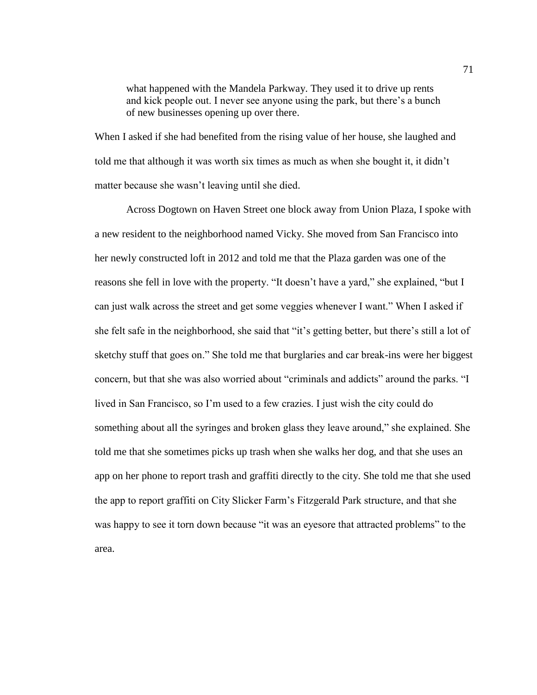what happened with the Mandela Parkway. They used it to drive up rents and kick people out. I never see anyone using the park, but there's a bunch of new businesses opening up over there.

When I asked if she had benefited from the rising value of her house, she laughed and told me that although it was worth six times as much as when she bought it, it didn't matter because she wasn't leaving until she died.

Across Dogtown on Haven Street one block away from Union Plaza, I spoke with a new resident to the neighborhood named Vicky. She moved from San Francisco into her newly constructed loft in 2012 and told me that the Plaza garden was one of the reasons she fell in love with the property. "It doesn't have a yard," she explained, "but I can just walk across the street and get some veggies whenever I want." When I asked if she felt safe in the neighborhood, she said that "it's getting better, but there's still a lot of sketchy stuff that goes on." She told me that burglaries and car break-ins were her biggest concern, but that she was also worried about "criminals and addicts" around the parks. "I lived in San Francisco, so I'm used to a few crazies. I just wish the city could do something about all the syringes and broken glass they leave around," she explained. She told me that she sometimes picks up trash when she walks her dog, and that she uses an app on her phone to report trash and graffiti directly to the city. She told me that she used the app to report graffiti on City Slicker Farm's Fitzgerald Park structure, and that she was happy to see it torn down because "it was an eyesore that attracted problems" to the area.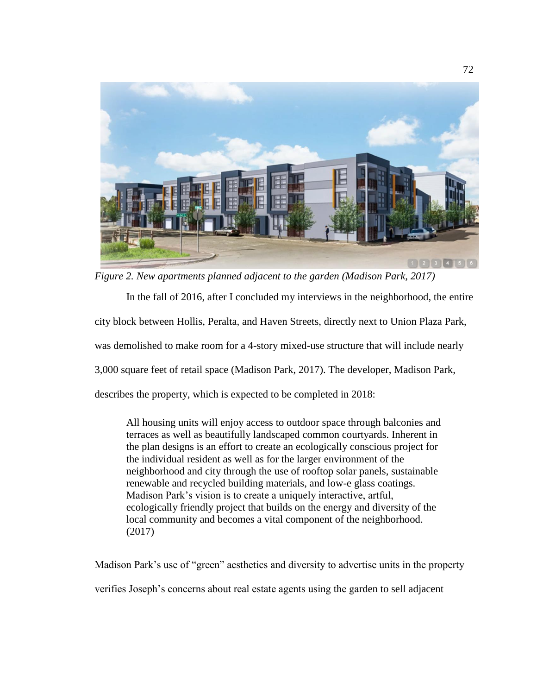

*Figure 2. New apartments planned adjacent to the garden (Madison Park, 2017)*

In the fall of 2016, after I concluded my interviews in the neighborhood, the entire city block between Hollis, Peralta, and Haven Streets, directly next to Union Plaza Park, was demolished to make room for a 4-story mixed-use structure that will include nearly 3,000 square feet of retail space (Madison Park, 2017). The developer, Madison Park, describes the property, which is expected to be completed in 2018:

All housing units will enjoy access to outdoor space through balconies and terraces as well as beautifully landscaped common courtyards. Inherent in the plan designs is an effort to create an ecologically conscious project for the individual resident as well as for the larger environment of the neighborhood and city through the use of rooftop solar panels, sustainable renewable and recycled building materials, and low-e glass coatings. Madison Park's vision is to create a uniquely interactive, artful, ecologically friendly project that builds on the energy and diversity of the local community and becomes a vital component of the neighborhood. (2017)

Madison Park's use of "green" aesthetics and diversity to advertise units in the property verifies Joseph's concerns about real estate agents using the garden to sell adjacent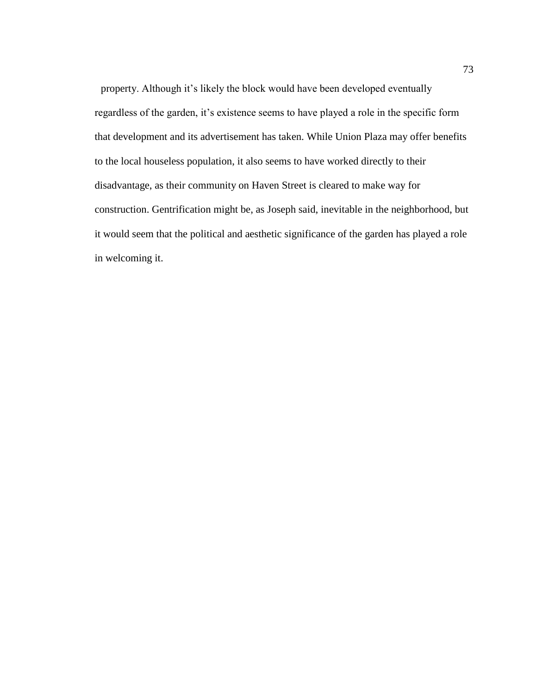property. Although it's likely the block would have been developed eventually regardless of the garden, it's existence seems to have played a role in the specific form that development and its advertisement has taken. While Union Plaza may offer benefits to the local houseless population, it also seems to have worked directly to their disadvantage, as their community on Haven Street is cleared to make way for construction. Gentrification might be, as Joseph said, inevitable in the neighborhood, but it would seem that the political and aesthetic significance of the garden has played a role in welcoming it.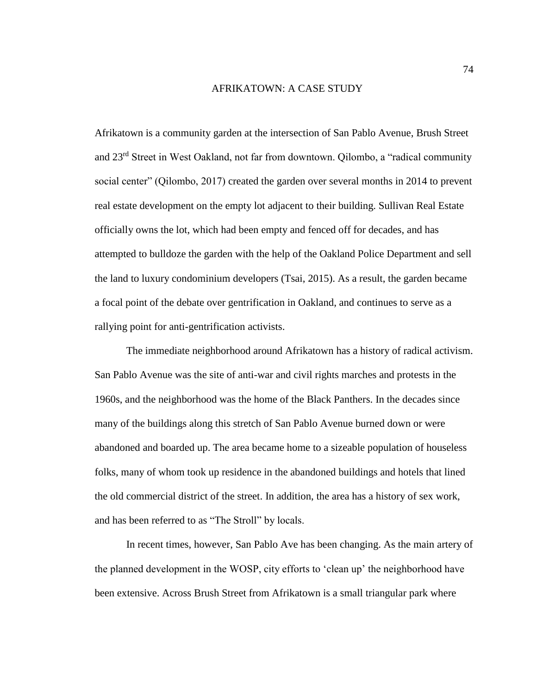### AFRIKATOWN: A CASE STUDY

Afrikatown is a community garden at the intersection of San Pablo Avenue, Brush Street and 23rd Street in West Oakland, not far from downtown. Qilombo, a "radical community social center" (Qilombo, 2017) created the garden over several months in 2014 to prevent real estate development on the empty lot adjacent to their building. Sullivan Real Estate officially owns the lot, which had been empty and fenced off for decades, and has attempted to bulldoze the garden with the help of the Oakland Police Department and sell the land to luxury condominium developers (Tsai, 2015). As a result, the garden became a focal point of the debate over gentrification in Oakland, and continues to serve as a rallying point for anti-gentrification activists.

The immediate neighborhood around Afrikatown has a history of radical activism. San Pablo Avenue was the site of anti-war and civil rights marches and protests in the 1960s, and the neighborhood was the home of the Black Panthers. In the decades since many of the buildings along this stretch of San Pablo Avenue burned down or were abandoned and boarded up. The area became home to a sizeable population of houseless folks, many of whom took up residence in the abandoned buildings and hotels that lined the old commercial district of the street. In addition, the area has a history of sex work, and has been referred to as "The Stroll" by locals.

In recent times, however, San Pablo Ave has been changing. As the main artery of the planned development in the WOSP, city efforts to 'clean up' the neighborhood have been extensive. Across Brush Street from Afrikatown is a small triangular park where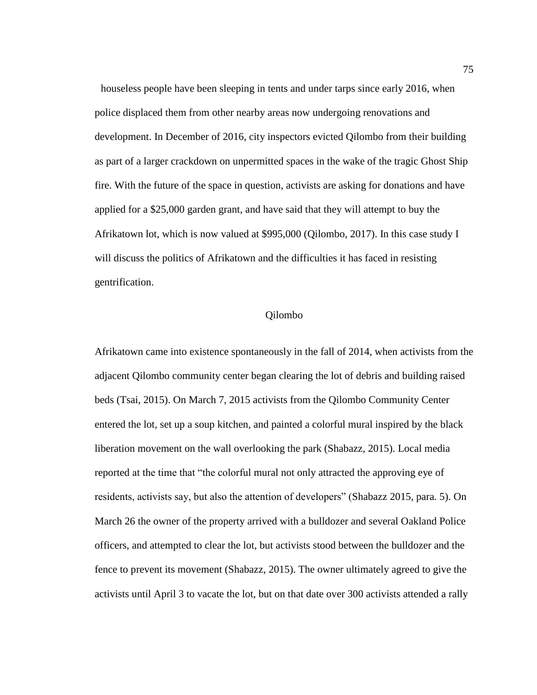houseless people have been sleeping in tents and under tarps since early 2016, when police displaced them from other nearby areas now undergoing renovations and development. In December of 2016, city inspectors evicted Qilombo from their building as part of a larger crackdown on unpermitted spaces in the wake of the tragic Ghost Ship fire. With the future of the space in question, activists are asking for donations and have applied for a \$25,000 garden grant, and have said that they will attempt to buy the Afrikatown lot, which is now valued at \$995,000 (Qilombo, 2017). In this case study I will discuss the politics of Afrikatown and the difficulties it has faced in resisting gentrification.

## Qilombo

Afrikatown came into existence spontaneously in the fall of 2014, when activists from the adjacent Qilombo community center began clearing the lot of debris and building raised beds (Tsai, 2015). On March 7, 2015 activists from the Qilombo Community Center entered the lot, set up a soup kitchen, and painted a colorful mural inspired by the black liberation movement on the wall overlooking the park (Shabazz, 2015). Local media reported at the time that "the colorful mural not only attracted the approving eye of residents, activists say, but also the attention of developers" (Shabazz 2015, para. 5). On March 26 the owner of the property arrived with a bulldozer and several Oakland Police officers, and attempted to clear the lot, but activists stood between the bulldozer and the fence to prevent its movement (Shabazz, 2015). The owner ultimately agreed to give the activists until April 3 to vacate the lot, but on that date over 300 activists attended a rally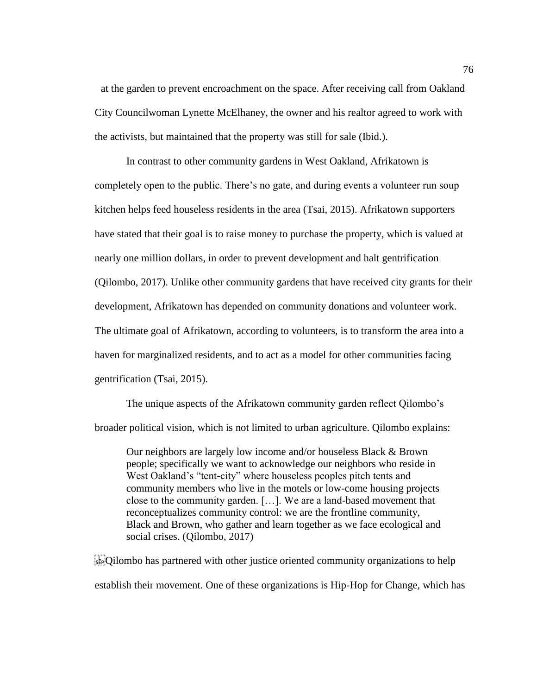at the garden to prevent encroachment on the space. After receiving call from Oakland City Councilwoman Lynette McElhaney, the owner and his realtor agreed to work with the activists, but maintained that the property was still for sale (Ibid.).

In contrast to other community gardens in West Oakland, Afrikatown is completely open to the public. There's no gate, and during events a volunteer run soup kitchen helps feed houseless residents in the area (Tsai, 2015). Afrikatown supporters have stated that their goal is to raise money to purchase the property, which is valued at nearly one million dollars, in order to prevent development and halt gentrification (Qilombo, 2017). Unlike other community gardens that have received city grants for their development, Afrikatown has depended on community donations and volunteer work. The ultimate goal of Afrikatown, according to volunteers, is to transform the area into a haven for marginalized residents, and to act as a model for other communities facing gentrification (Tsai, 2015).

The unique aspects of the Afrikatown community garden reflect Qilombo's broader political vision, which is not limited to urban agriculture. Qilombo explains:

Our neighbors are largely low income and/or houseless Black & Brown people; specifically we want to acknowledge our neighbors who reside in West Oakland's "tent-city" where houseless peoples pitch tents and community members who live in the motels or low-come housing projects close to the community garden. […]. We are a land-based movement that reconceptualizes community control: we are the frontline community, Black and Brown, who gather and learn together as we face ecological and social crises. (Qilombo, 2017)

 $\sum_{s \in P}$ Qilombo has partnered with other justice oriented community organizations to help establish their movement. One of these organizations is Hip-Hop for Change, which has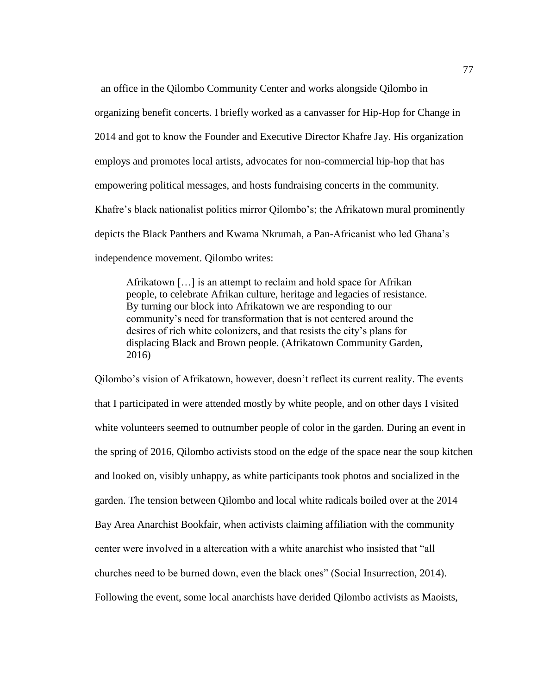an office in the Qilombo Community Center and works alongside Qilombo in organizing benefit concerts. I briefly worked as a canvasser for Hip-Hop for Change in 2014 and got to know the Founder and Executive Director Khafre Jay. His organization employs and promotes local artists, advocates for non-commercial hip-hop that has empowering political messages, and hosts fundraising concerts in the community. Khafre's black nationalist politics mirror Qilombo's; the Afrikatown mural prominently depicts the Black Panthers and Kwama Nkrumah, a Pan-Africanist who led Ghana's independence movement. Qilombo writes:

Afrikatown […] is an attempt to reclaim and hold space for Afrikan people, to celebrate Afrikan culture, heritage and legacies of resistance. By turning our block into Afrikatown we are responding to our community's need for transformation that is not centered around the desires of rich white colonizers, and that resists the city's plans for displacing Black and Brown people. (Afrikatown Community Garden, 2016)

Qilombo's vision of Afrikatown, however, doesn't reflect its current reality. The events that I participated in were attended mostly by white people, and on other days I visited white volunteers seemed to outnumber people of color in the garden. During an event in the spring of 2016, Qilombo activists stood on the edge of the space near the soup kitchen and looked on, visibly unhappy, as white participants took photos and socialized in the garden. The tension between Qilombo and local white radicals boiled over at the 2014 Bay Area Anarchist Bookfair, when activists claiming affiliation with the community center were involved in a altercation with a white anarchist who insisted that "all churches need to be burned down, even the black ones" (Social Insurrection, 2014). Following the event, some local anarchists have derided Qilombo activists as Maoists,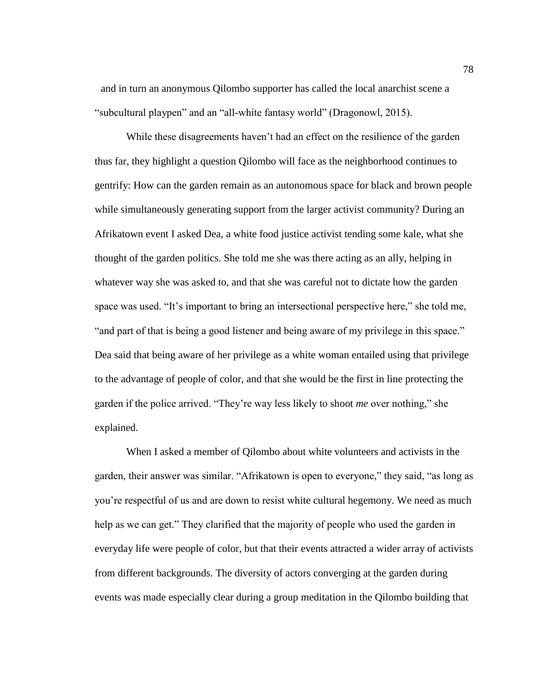and in turn an anonymous Qilombo supporter has called the local anarchist scene a "subcultural playpen" and an "all-white fantasy world" (Dragonowl, 2015).

While these disagreements haven't had an effect on the resilience of the garden thus far, they highlight a question Qilombo will face as the neighborhood continues to gentrify: How can the garden remain as an autonomous space for black and brown people while simultaneously generating support from the larger activist community? During an Afrikatown event I asked Dea, a white food justice activist tending some kale, what she thought of the garden politics. She told me she was there acting as an ally, helping in whatever way she was asked to, and that she was careful not to dictate how the garden space was used. "It's important to bring an intersectional perspective here," she told me, "and part of that is being a good listener and being aware of my privilege in this space." Dea said that being aware of her privilege as a white woman entailed using that privilege to the advantage of people of color, and that she would be the first in line protecting the garden if the police arrived. "They're way less likely to shoot *me* over nothing," she explained.

When I asked a member of Qilombo about white volunteers and activists in the garden, their answer was similar. "Afrikatown is open to everyone," they said, "as long as you're respectful of us and are down to resist white cultural hegemony. We need as much help as we can get." They clarified that the majority of people who used the garden in everyday life were people of color, but that their events attracted a wider array of activists from different backgrounds. The diversity of actors converging at the garden during events was made especially clear during a group meditation in the Qilombo building that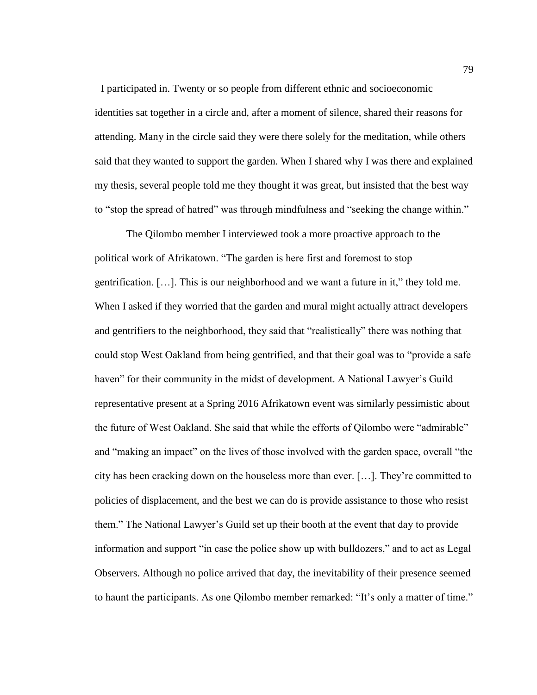I participated in. Twenty or so people from different ethnic and socioeconomic identities sat together in a circle and, after a moment of silence, shared their reasons for attending. Many in the circle said they were there solely for the meditation, while others said that they wanted to support the garden. When I shared why I was there and explained my thesis, several people told me they thought it was great, but insisted that the best way to "stop the spread of hatred" was through mindfulness and "seeking the change within."

The Qilombo member I interviewed took a more proactive approach to the political work of Afrikatown. "The garden is here first and foremost to stop gentrification. […]. This is our neighborhood and we want a future in it," they told me. When I asked if they worried that the garden and mural might actually attract developers and gentrifiers to the neighborhood, they said that "realistically" there was nothing that could stop West Oakland from being gentrified, and that their goal was to "provide a safe haven" for their community in the midst of development. A National Lawyer's Guild representative present at a Spring 2016 Afrikatown event was similarly pessimistic about the future of West Oakland. She said that while the efforts of Qilombo were "admirable" and "making an impact" on the lives of those involved with the garden space, overall "the city has been cracking down on the houseless more than ever. […]. They're committed to policies of displacement, and the best we can do is provide assistance to those who resist them." The National Lawyer's Guild set up their booth at the event that day to provide information and support "in case the police show up with bulldozers," and to act as Legal Observers. Although no police arrived that day, the inevitability of their presence seemed to haunt the participants. As one Qilombo member remarked: "It's only a matter of time."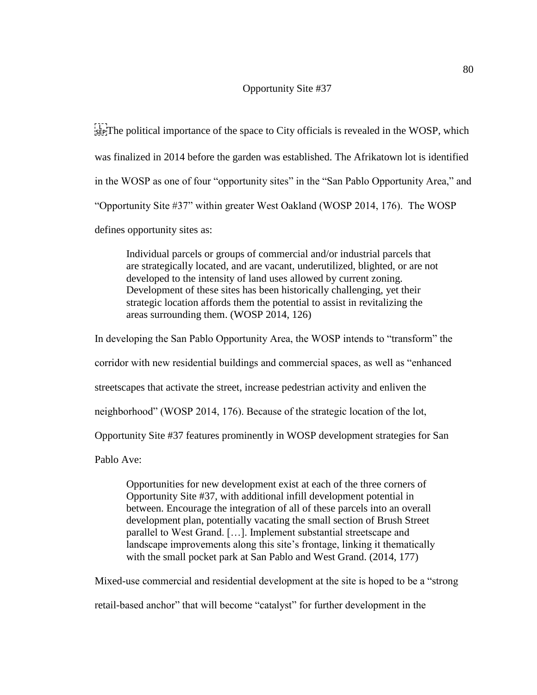## Opportunity Site #37

**EVALUATE:** The political importance of the space to City officials is revealed in the WOSP, which was finalized in 2014 before the garden was established. The Afrikatown lot is identified in the WOSP as one of four "opportunity sites" in the "San Pablo Opportunity Area," and "Opportunity Site #37" within greater West Oakland (WOSP 2014, 176). The WOSP defines opportunity sites as:

Individual parcels or groups of commercial and/or industrial parcels that are strategically located, and are vacant, underutilized, blighted, or are not developed to the intensity of land uses allowed by current zoning. Development of these sites has been historically challenging, yet their strategic location affords them the potential to assist in revitalizing the areas surrounding them. (WOSP 2014, 126)

In developing the San Pablo Opportunity Area, the WOSP intends to "transform" the corridor with new residential buildings and commercial spaces, as well as "enhanced streetscapes that activate the street, increase pedestrian activity and enliven the neighborhood" (WOSP 2014, 176). Because of the strategic location of the lot, Opportunity Site #37 features prominently in WOSP development strategies for San Pablo Ave:

Opportunities for new development exist at each of the three corners of Opportunity Site #37, with additional infill development potential in between. Encourage the integration of all of these parcels into an overall development plan, potentially vacating the small section of Brush Street parallel to West Grand. […]. Implement substantial streetscape and landscape improvements along this site's frontage, linking it thematically with the small pocket park at San Pablo and West Grand. (2014, 177)

Mixed-use commercial and residential development at the site is hoped to be a "strong retail-based anchor" that will become "catalyst" for further development in the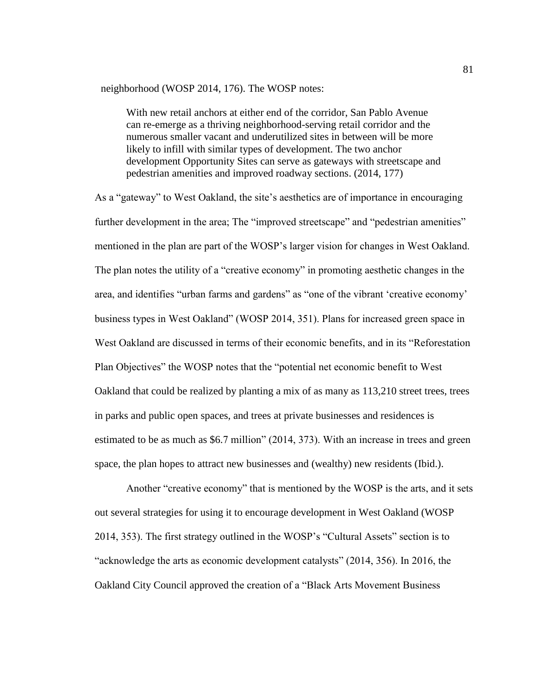### neighborhood (WOSP 2014, 176). The WOSP notes:

With new retail anchors at either end of the corridor, San Pablo Avenue can re-emerge as a thriving neighborhood-serving retail corridor and the numerous smaller vacant and underutilized sites in between will be more likely to infill with similar types of development. The two anchor development Opportunity Sites can serve as gateways with streetscape and pedestrian amenities and improved roadway sections. (2014, 177)

As a "gateway" to West Oakland, the site's aesthetics are of importance in encouraging further development in the area; The "improved streetscape" and "pedestrian amenities" mentioned in the plan are part of the WOSP's larger vision for changes in West Oakland. The plan notes the utility of a "creative economy" in promoting aesthetic changes in the area, and identifies "urban farms and gardens" as "one of the vibrant 'creative economy' business types in West Oakland" (WOSP 2014, 351). Plans for increased green space in West Oakland are discussed in terms of their economic benefits, and in its "Reforestation Plan Objectives" the WOSP notes that the "potential net economic benefit to West Oakland that could be realized by planting a mix of as many as 113,210 street trees, trees in parks and public open spaces, and trees at private businesses and residences is estimated to be as much as \$6.7 million" (2014, 373). With an increase in trees and green space, the plan hopes to attract new businesses and (wealthy) new residents (Ibid.).

Another "creative economy" that is mentioned by the WOSP is the arts, and it sets out several strategies for using it to encourage development in West Oakland (WOSP 2014, 353). The first strategy outlined in the WOSP's "Cultural Assets" section is to "acknowledge the arts as economic development catalysts" (2014, 356). In 2016, the Oakland City Council approved the creation of a "Black Arts Movement Business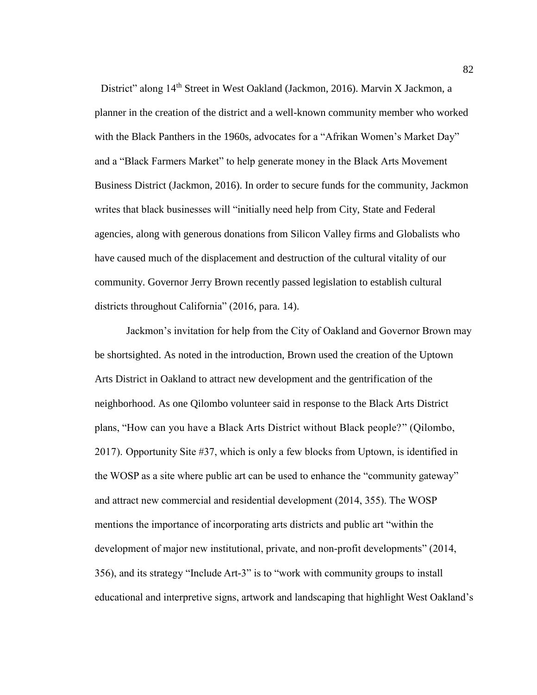District" along 14<sup>th</sup> Street in West Oakland (Jackmon, 2016). Marvin X Jackmon, a planner in the creation of the district and a well-known community member who worked with the Black Panthers in the 1960s, advocates for a "Afrikan Women's Market Day" and a "Black Farmers Market" to help generate money in the Black Arts Movement Business District (Jackmon, 2016). In order to secure funds for the community, Jackmon writes that black businesses will "initially need help from City, State and Federal agencies, along with generous donations from Silicon Valley firms and Globalists who have caused much of the displacement and destruction of the cultural vitality of our community. Governor Jerry Brown recently passed legislation to establish cultural districts throughout California" (2016, para. 14).

Jackmon's invitation for help from the City of Oakland and Governor Brown may be shortsighted. As noted in the introduction, Brown used the creation of the Uptown Arts District in Oakland to attract new development and the gentrification of the neighborhood. As one Qilombo volunteer said in response to the Black Arts District plans, "How can you have a Black Arts District without Black people?" (Qilombo, 2017). Opportunity Site #37, which is only a few blocks from Uptown, is identified in the WOSP as a site where public art can be used to enhance the "community gateway" and attract new commercial and residential development (2014, 355). The WOSP mentions the importance of incorporating arts districts and public art "within the development of major new institutional, private, and non-profit developments" (2014, 356), and its strategy "Include Art-3" is to "work with community groups to install educational and interpretive signs, artwork and landscaping that highlight West Oakland's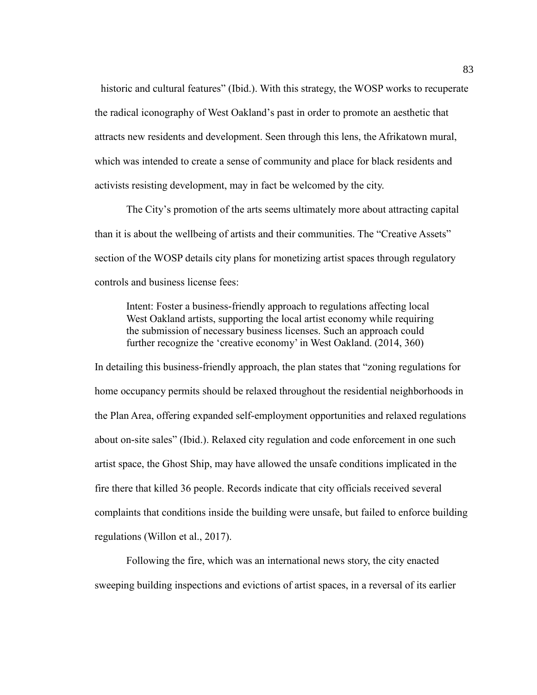historic and cultural features" (Ibid.). With this strategy, the WOSP works to recuperate the radical iconography of West Oakland's past in order to promote an aesthetic that attracts new residents and development. Seen through this lens, the Afrikatown mural, which was intended to create a sense of community and place for black residents and activists resisting development, may in fact be welcomed by the city.

The City's promotion of the arts seems ultimately more about attracting capital than it is about the wellbeing of artists and their communities. The "Creative Assets" section of the WOSP details city plans for monetizing artist spaces through regulatory controls and business license fees:

Intent: Foster a business-friendly approach to regulations affecting local West Oakland artists, supporting the local artist economy while requiring the submission of necessary business licenses. Such an approach could further recognize the 'creative economy' in West Oakland. (2014, 360)

In detailing this business-friendly approach, the plan states that "zoning regulations for home occupancy permits should be relaxed throughout the residential neighborhoods in the Plan Area, offering expanded self-employment opportunities and relaxed regulations about on-site sales" (Ibid.). Relaxed city regulation and code enforcement in one such artist space, the Ghost Ship, may have allowed the unsafe conditions implicated in the fire there that killed 36 people. Records indicate that city officials received several complaints that conditions inside the building were unsafe, but failed to enforce building regulations (Willon et al., 2017).

Following the fire, which was an international news story, the city enacted sweeping building inspections and evictions of artist spaces, in a reversal of its earlier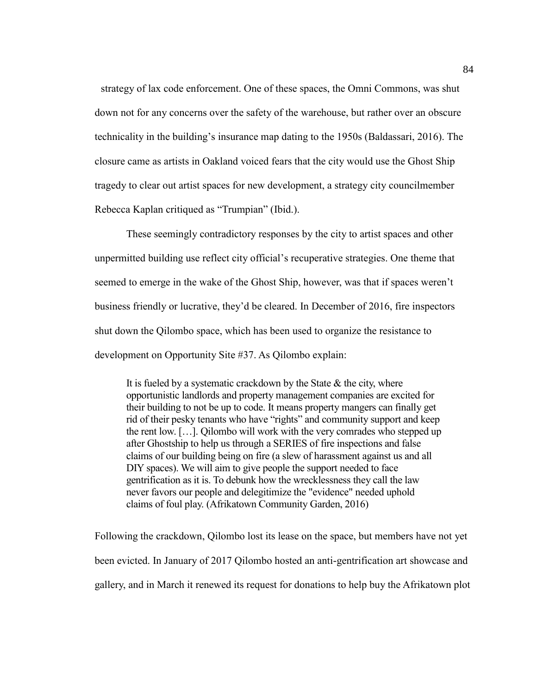strategy of lax code enforcement. One of these spaces, the Omni Commons, was shut down not for any concerns over the safety of the warehouse, but rather over an obscure technicality in the building's insurance map dating to the 1950s (Baldassari, 2016). The closure came as artists in Oakland voiced fears that the city would use the Ghost Ship tragedy to clear out artist spaces for new development, a strategy city councilmember Rebecca Kaplan critiqued as "Trumpian" (Ibid.).

These seemingly contradictory responses by the city to artist spaces and other unpermitted building use reflect city official's recuperative strategies. One theme that seemed to emerge in the wake of the Ghost Ship, however, was that if spaces weren't business friendly or lucrative, they'd be cleared. In December of 2016, fire inspectors shut down the Qilombo space, which has been used to organize the resistance to development on Opportunity Site #37. As Qilombo explain:

It is fueled by a systematic crackdown by the State  $\&$  the city, where opportunistic landlords and property management companies are excited for their building to not be up to code. It means property mangers can finally get rid of their pesky tenants who have "rights" and community support and keep the rent low. […]. Qilombo will work with the very comrades who stepped up after Ghostship to help us through a SERIES of fire inspections and false claims of our building being on fire (a slew of harassment against us and all DIY spaces). We will aim to give people the support needed to face gentrification as it is. To debunk how the wrecklessness they call the law never favors our people and delegitimize the "evidence" needed uphold claims of foul play. (Afrikatown Community Garden, 2016)

Following the crackdown, Qilombo lost its lease on the space, but members have not yet been evicted. In January of 2017 Qilombo hosted an anti-gentrification art showcase and gallery, and in March it renewed its request for donations to help buy the Afrikatown plot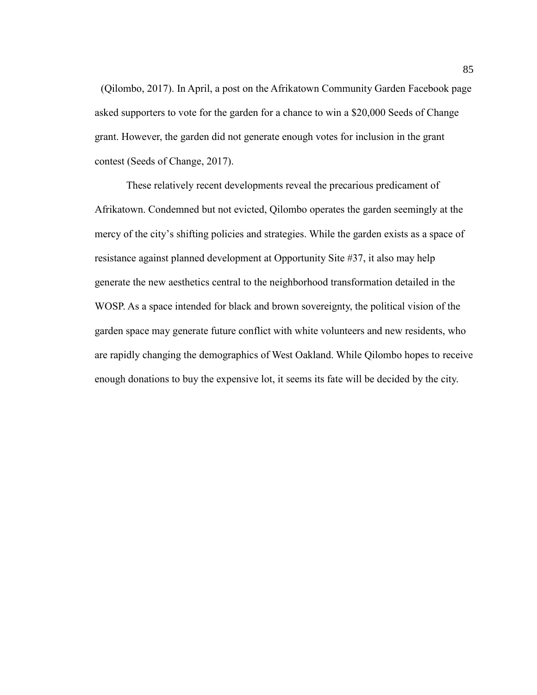(Qilombo, 2017). In April, a post on the Afrikatown Community Garden Facebook page asked supporters to vote for the garden for a chance to win a \$20,000 Seeds of Change grant. However, the garden did not generate enough votes for inclusion in the grant contest (Seeds of Change, 2017).

These relatively recent developments reveal the precarious predicament of Afrikatown. Condemned but not evicted, Qilombo operates the garden seemingly at the mercy of the city's shifting policies and strategies. While the garden exists as a space of resistance against planned development at Opportunity Site #37, it also may help generate the new aesthetics central to the neighborhood transformation detailed in the WOSP. As a space intended for black and brown sovereignty, the political vision of the garden space may generate future conflict with white volunteers and new residents, who are rapidly changing the demographics of West Oakland. While Qilombo hopes to receive enough donations to buy the expensive lot, it seems its fate will be decided by the city.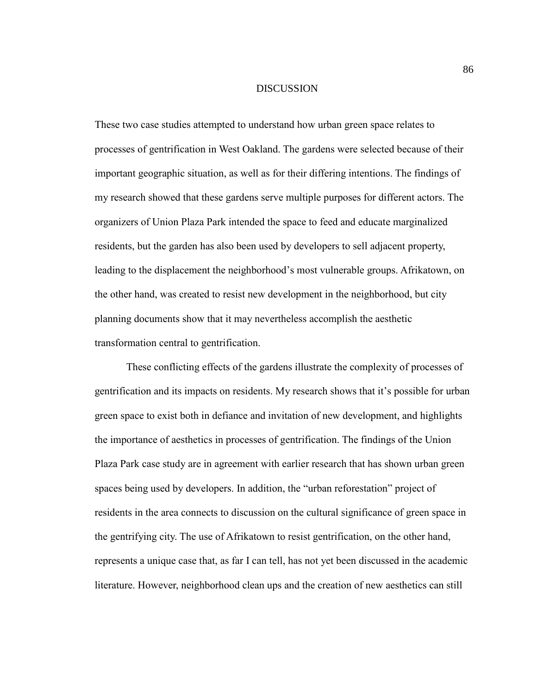#### DISCUSSION

These two case studies attempted to understand how urban green space relates to processes of gentrification in West Oakland. The gardens were selected because of their important geographic situation, as well as for their differing intentions. The findings of my research showed that these gardens serve multiple purposes for different actors. The organizers of Union Plaza Park intended the space to feed and educate marginalized residents, but the garden has also been used by developers to sell adjacent property, leading to the displacement the neighborhood's most vulnerable groups. Afrikatown, on the other hand, was created to resist new development in the neighborhood, but city planning documents show that it may nevertheless accomplish the aesthetic transformation central to gentrification.

These conflicting effects of the gardens illustrate the complexity of processes of gentrification and its impacts on residents. My research shows that it's possible for urban green space to exist both in defiance and invitation of new development, and highlights the importance of aesthetics in processes of gentrification. The findings of the Union Plaza Park case study are in agreement with earlier research that has shown urban green spaces being used by developers. In addition, the "urban reforestation" project of residents in the area connects to discussion on the cultural significance of green space in the gentrifying city. The use of Afrikatown to resist gentrification, on the other hand, represents a unique case that, as far I can tell, has not yet been discussed in the academic literature. However, neighborhood clean ups and the creation of new aesthetics can still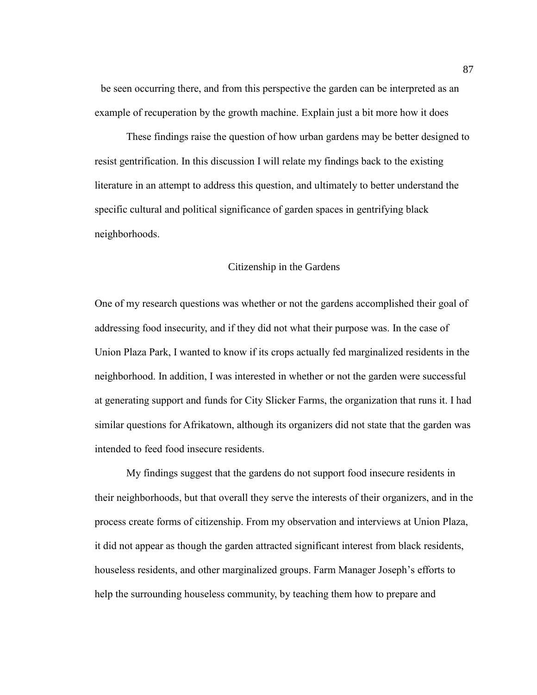be seen occurring there, and from this perspective the garden can be interpreted as an example of recuperation by the growth machine. Explain just a bit more how it does

These findings raise the question of how urban gardens may be better designed to resist gentrification. In this discussion I will relate my findings back to the existing literature in an attempt to address this question, and ultimately to better understand the specific cultural and political significance of garden spaces in gentrifying black neighborhoods.

# Citizenship in the Gardens

One of my research questions was whether or not the gardens accomplished their goal of addressing food insecurity, and if they did not what their purpose was. In the case of Union Plaza Park, I wanted to know if its crops actually fed marginalized residents in the neighborhood. In addition, I was interested in whether or not the garden were successful at generating support and funds for City Slicker Farms, the organization that runs it. I had similar questions for Afrikatown, although its organizers did not state that the garden was intended to feed food insecure residents.

My findings suggest that the gardens do not support food insecure residents in their neighborhoods, but that overall they serve the interests of their organizers, and in the process create forms of citizenship. From my observation and interviews at Union Plaza, it did not appear as though the garden attracted significant interest from black residents, houseless residents, and other marginalized groups. Farm Manager Joseph's efforts to help the surrounding houseless community, by teaching them how to prepare and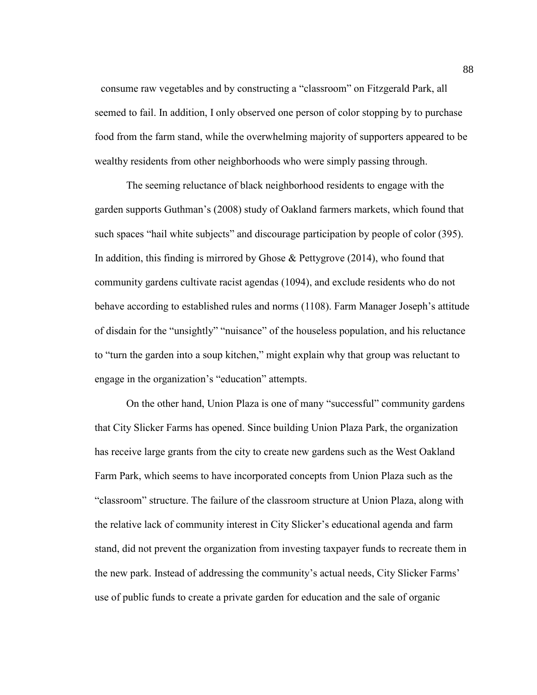consume raw vegetables and by constructing a "classroom" on Fitzgerald Park, all seemed to fail. In addition, I only observed one person of color stopping by to purchase food from the farm stand, while the overwhelming majority of supporters appeared to be wealthy residents from other neighborhoods who were simply passing through.

The seeming reluctance of black neighborhood residents to engage with the garden supports Guthman's (2008) study of Oakland farmers markets, which found that such spaces "hail white subjects" and discourage participation by people of color (395). In addition, this finding is mirrored by Ghose & Pettygrove (2014), who found that community gardens cultivate racist agendas (1094), and exclude residents who do not behave according to established rules and norms (1108). Farm Manager Joseph's attitude of disdain for the "unsightly" "nuisance" of the houseless population, and his reluctance to "turn the garden into a soup kitchen," might explain why that group was reluctant to engage in the organization's "education" attempts.

On the other hand, Union Plaza is one of many "successful" community gardens that City Slicker Farms has opened. Since building Union Plaza Park, the organization has receive large grants from the city to create new gardens such as the West Oakland Farm Park, which seems to have incorporated concepts from Union Plaza such as the "classroom" structure. The failure of the classroom structure at Union Plaza, along with the relative lack of community interest in City Slicker's educational agenda and farm stand, did not prevent the organization from investing taxpayer funds to recreate them in the new park. Instead of addressing the community's actual needs, City Slicker Farms' use of public funds to create a private garden for education and the sale of organic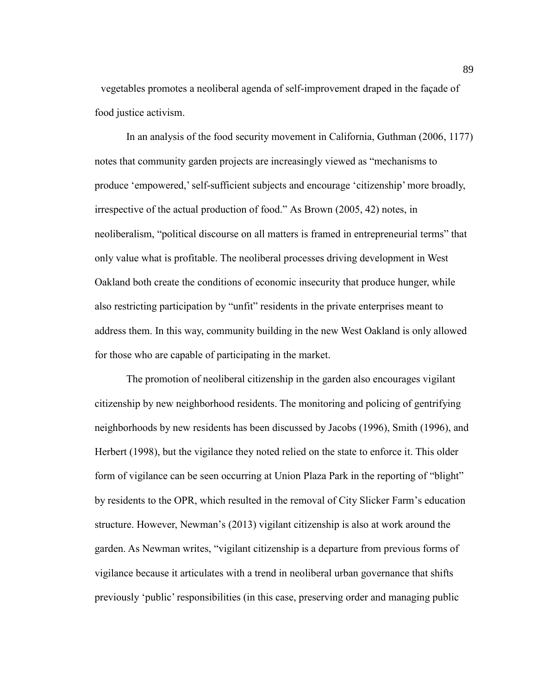vegetables promotes a neoliberal agenda of self-improvement draped in the façade of food justice activism.

In an analysis of the food security movement in California, Guthman (2006, 1177) notes that community garden projects are increasingly viewed as "mechanisms to produce 'empowered,' self-sufficient subjects and encourage 'citizenship' more broadly, irrespective of the actual production of food." As Brown (2005, 42) notes, in neoliberalism, "political discourse on all matters is framed in entrepreneurial terms" that only value what is profitable. The neoliberal processes driving development in West Oakland both create the conditions of economic insecurity that produce hunger, while also restricting participation by "unfit" residents in the private enterprises meant to address them. In this way, community building in the new West Oakland is only allowed for those who are capable of participating in the market.

The promotion of neoliberal citizenship in the garden also encourages vigilant citizenship by new neighborhood residents. The monitoring and policing of gentrifying neighborhoods by new residents has been discussed by Jacobs (1996), Smith (1996), and Herbert (1998), but the vigilance they noted relied on the state to enforce it. This older form of vigilance can be seen occurring at Union Plaza Park in the reporting of "blight" by residents to the OPR, which resulted in the removal of City Slicker Farm's education structure. However, Newman's (2013) vigilant citizenship is also at work around the garden. As Newman writes, "vigilant citizenship is a departure from previous forms of vigilance because it articulates with a trend in neoliberal urban governance that shifts previously 'public' responsibilities (in this case, preserving order and managing public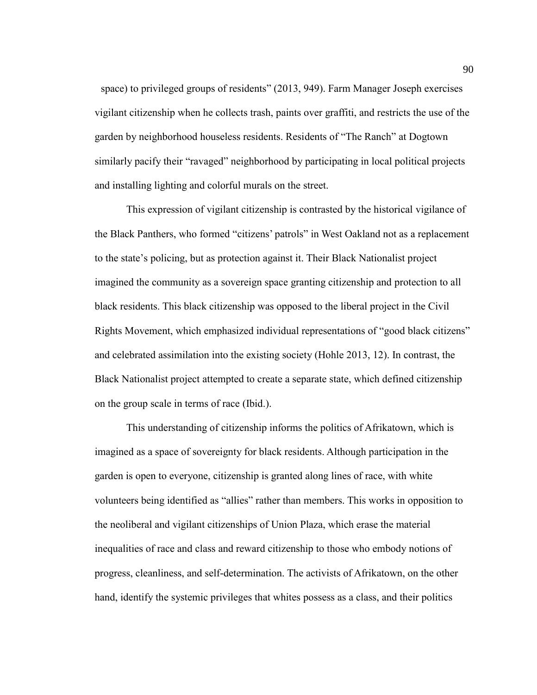space) to privileged groups of residents" (2013, 949). Farm Manager Joseph exercises vigilant citizenship when he collects trash, paints over graffiti, and restricts the use of the garden by neighborhood houseless residents. Residents of "The Ranch" at Dogtown similarly pacify their "ravaged" neighborhood by participating in local political projects and installing lighting and colorful murals on the street.

This expression of vigilant citizenship is contrasted by the historical vigilance of the Black Panthers, who formed "citizens' patrols" in West Oakland not as a replacement to the state's policing, but as protection against it. Their Black Nationalist project imagined the community as a sovereign space granting citizenship and protection to all black residents. This black citizenship was opposed to the liberal project in the Civil Rights Movement, which emphasized individual representations of "good black citizens" and celebrated assimilation into the existing society (Hohle 2013, 12). In contrast, the Black Nationalist project attempted to create a separate state, which defined citizenship on the group scale in terms of race (Ibid.).

This understanding of citizenship informs the politics of Afrikatown, which is imagined as a space of sovereignty for black residents. Although participation in the garden is open to everyone, citizenship is granted along lines of race, with white volunteers being identified as "allies" rather than members. This works in opposition to the neoliberal and vigilant citizenships of Union Plaza, which erase the material inequalities of race and class and reward citizenship to those who embody notions of progress, cleanliness, and self-determination. The activists of Afrikatown, on the other hand, identify the systemic privileges that whites possess as a class, and their politics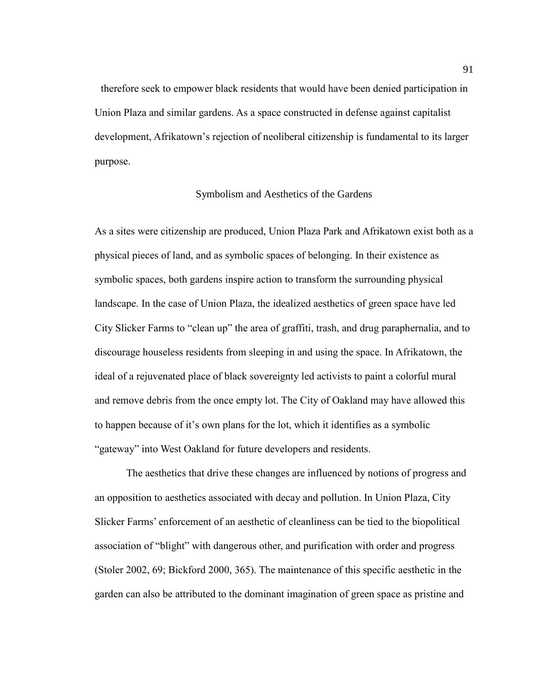therefore seek to empower black residents that would have been denied participation in Union Plaza and similar gardens. As a space constructed in defense against capitalist development, Afrikatown's rejection of neoliberal citizenship is fundamental to its larger purpose.

# Symbolism and Aesthetics of the Gardens

As a sites were citizenship are produced, Union Plaza Park and Afrikatown exist both as a physical pieces of land, and as symbolic spaces of belonging. In their existence as symbolic spaces, both gardens inspire action to transform the surrounding physical landscape. In the case of Union Plaza, the idealized aesthetics of green space have led City Slicker Farms to "clean up" the area of graffiti, trash, and drug paraphernalia, and to discourage houseless residents from sleeping in and using the space. In Afrikatown, the ideal of a rejuvenated place of black sovereignty led activists to paint a colorful mural and remove debris from the once empty lot. The City of Oakland may have allowed this to happen because of it's own plans for the lot, which it identifies as a symbolic "gateway" into West Oakland for future developers and residents.

The aesthetics that drive these changes are influenced by notions of progress and an opposition to aesthetics associated with decay and pollution. In Union Plaza, City Slicker Farms' enforcement of an aesthetic of cleanliness can be tied to the biopolitical association of "blight" with dangerous other, and purification with order and progress (Stoler 2002, 69; Bickford 2000, 365). The maintenance of this specific aesthetic in the garden can also be attributed to the dominant imagination of green space as pristine and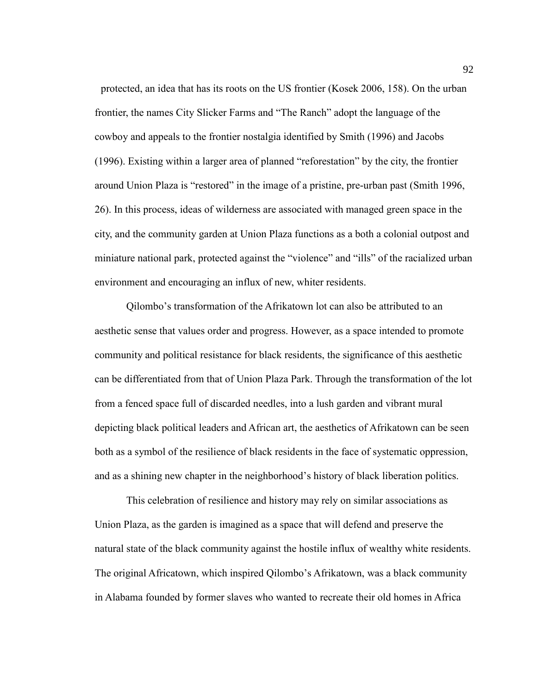protected, an idea that has its roots on the US frontier (Kosek 2006, 158). On the urban frontier, the names City Slicker Farms and "The Ranch" adopt the language of the cowboy and appeals to the frontier nostalgia identified by Smith (1996) and Jacobs (1996). Existing within a larger area of planned "reforestation" by the city, the frontier around Union Plaza is "restored" in the image of a pristine, pre-urban past (Smith 1996, 26). In this process, ideas of wilderness are associated with managed green space in the city, and the community garden at Union Plaza functions as a both a colonial outpost and miniature national park, protected against the "violence" and "ills" of the racialized urban environment and encouraging an influx of new, whiter residents.

Qilombo's transformation of the Afrikatown lot can also be attributed to an aesthetic sense that values order and progress. However, as a space intended to promote community and political resistance for black residents, the significance of this aesthetic can be differentiated from that of Union Plaza Park. Through the transformation of the lot from a fenced space full of discarded needles, into a lush garden and vibrant mural depicting black political leaders and African art, the aesthetics of Afrikatown can be seen both as a symbol of the resilience of black residents in the face of systematic oppression, and as a shining new chapter in the neighborhood's history of black liberation politics.

This celebration of resilience and history may rely on similar associations as Union Plaza, as the garden is imagined as a space that will defend and preserve the natural state of the black community against the hostile influx of wealthy white residents. The original Africatown, which inspired Qilombo's Afrikatown, was a black community in Alabama founded by former slaves who wanted to recreate their old homes in Africa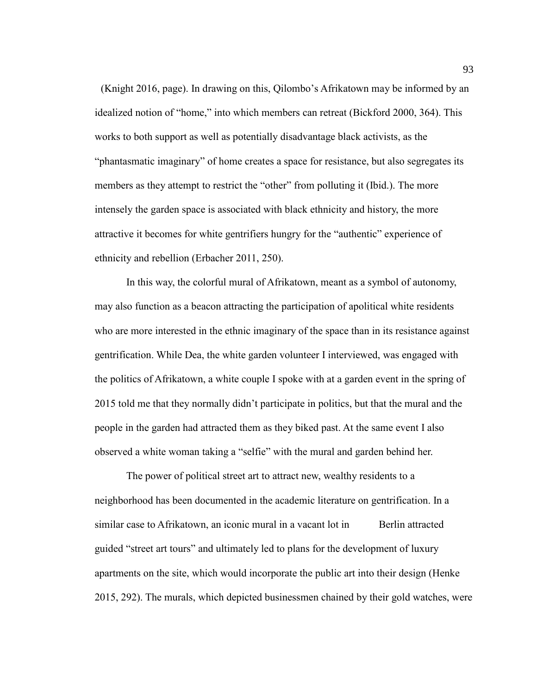(Knight 2016, page). In drawing on this, Qilombo's Afrikatown may be informed by an idealized notion of "home," into which members can retreat (Bickford 2000, 364). This works to both support as well as potentially disadvantage black activists, as the "phantasmatic imaginary" of home creates a space for resistance, but also segregates its members as they attempt to restrict the "other" from polluting it (Ibid.). The more intensely the garden space is associated with black ethnicity and history, the more attractive it becomes for white gentrifiers hungry for the "authentic" experience of ethnicity and rebellion (Erbacher 2011, 250).

In this way, the colorful mural of Afrikatown, meant as a symbol of autonomy, may also function as a beacon attracting the participation of apolitical white residents who are more interested in the ethnic imaginary of the space than in its resistance against gentrification. While Dea, the white garden volunteer I interviewed, was engaged with the politics of Afrikatown, a white couple I spoke with at a garden event in the spring of 2015 told me that they normally didn't participate in politics, but that the mural and the people in the garden had attracted them as they biked past. At the same event I also observed a white woman taking a "selfie" with the mural and garden behind her.

The power of political street art to attract new, wealthy residents to a neighborhood has been documented in the academic literature on gentrification. In a similar case to Afrikatown, an iconic mural in a vacant lot in Berlin attracted guided "street art tours" and ultimately led to plans for the development of luxury apartments on the site, which would incorporate the public art into their design (Henke 2015, 292). The murals, which depicted businessmen chained by their gold watches, were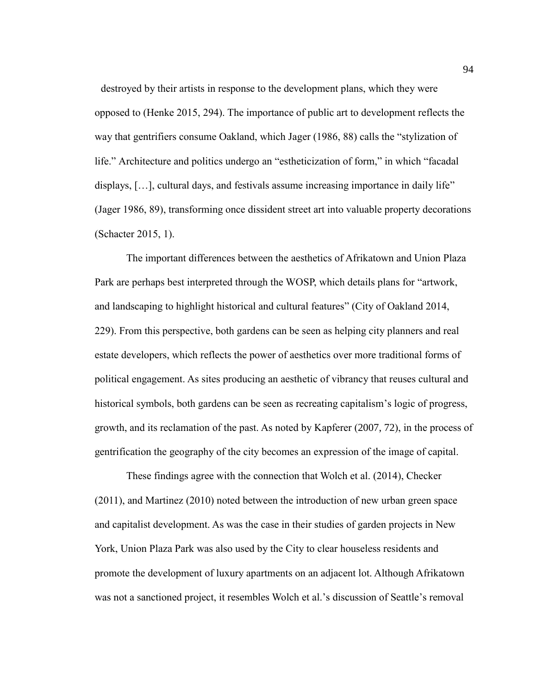destroyed by their artists in response to the development plans, which they were opposed to (Henke 2015, 294). The importance of public art to development reflects the way that gentrifiers consume Oakland, which Jager (1986, 88) calls the "stylization of life." Architecture and politics undergo an "estheticization of form," in which "facadal displays, […], cultural days, and festivals assume increasing importance in daily life" (Jager 1986, 89), transforming once dissident street art into valuable property decorations (Schacter 2015, 1).

The important differences between the aesthetics of Afrikatown and Union Plaza Park are perhaps best interpreted through the WOSP, which details plans for "artwork, and landscaping to highlight historical and cultural features" (City of Oakland 2014, 229). From this perspective, both gardens can be seen as helping city planners and real estate developers, which reflects the power of aesthetics over more traditional forms of political engagement. As sites producing an aesthetic of vibrancy that reuses cultural and historical symbols, both gardens can be seen as recreating capitalism's logic of progress, growth, and its reclamation of the past. As noted by Kapferer (2007, 72), in the process of gentrification the geography of the city becomes an expression of the image of capital.

These findings agree with the connection that Wolch et al. (2014), Checker (2011), and Martinez (2010) noted between the introduction of new urban green space and capitalist development. As was the case in their studies of garden projects in New York, Union Plaza Park was also used by the City to clear houseless residents and promote the development of luxury apartments on an adjacent lot. Although Afrikatown was not a sanctioned project, it resembles Wolch et al.'s discussion of Seattle's removal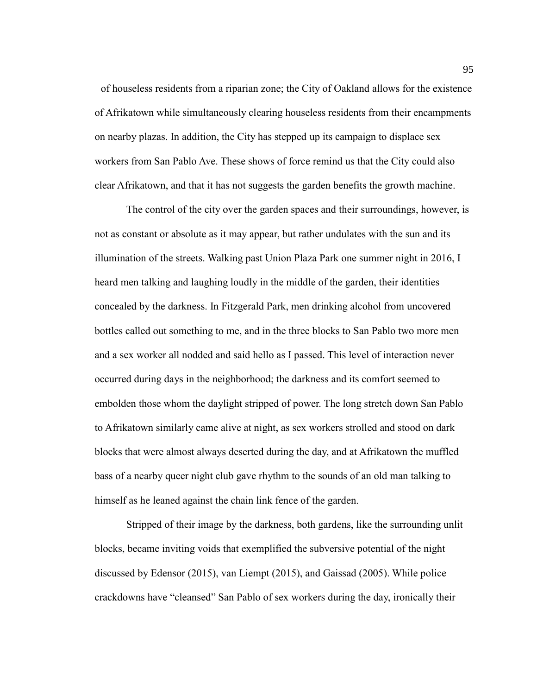of houseless residents from a riparian zone; the City of Oakland allows for the existence of Afrikatown while simultaneously clearing houseless residents from their encampments on nearby plazas. In addition, the City has stepped up its campaign to displace sex workers from San Pablo Ave. These shows of force remind us that the City could also clear Afrikatown, and that it has not suggests the garden benefits the growth machine.

The control of the city over the garden spaces and their surroundings, however, is not as constant or absolute as it may appear, but rather undulates with the sun and its illumination of the streets. Walking past Union Plaza Park one summer night in 2016, I heard men talking and laughing loudly in the middle of the garden, their identities concealed by the darkness. In Fitzgerald Park, men drinking alcohol from uncovered bottles called out something to me, and in the three blocks to San Pablo two more men and a sex worker all nodded and said hello as I passed. This level of interaction never occurred during days in the neighborhood; the darkness and its comfort seemed to embolden those whom the daylight stripped of power. The long stretch down San Pablo to Afrikatown similarly came alive at night, as sex workers strolled and stood on dark blocks that were almost always deserted during the day, and at Afrikatown the muffled bass of a nearby queer night club gave rhythm to the sounds of an old man talking to himself as he leaned against the chain link fence of the garden.

Stripped of their image by the darkness, both gardens, like the surrounding unlit blocks, became inviting voids that exemplified the subversive potential of the night discussed by Edensor (2015), van Liempt (2015), and Gaissad (2005). While police crackdowns have "cleansed" San Pablo of sex workers during the day, ironically their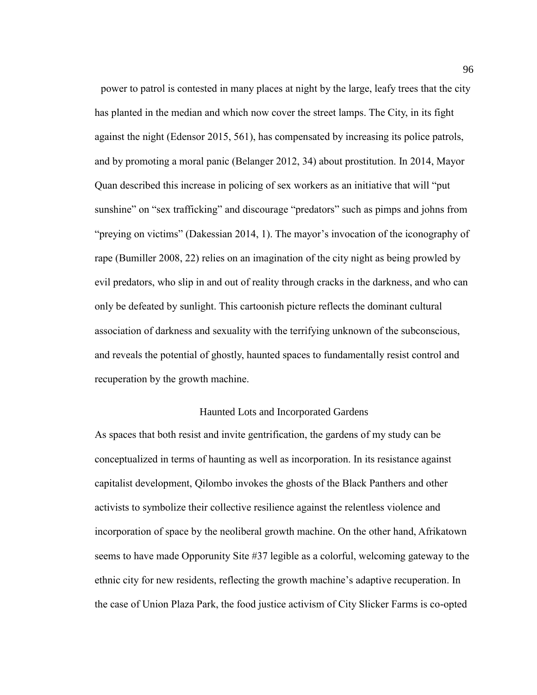power to patrol is contested in many places at night by the large, leafy trees that the city has planted in the median and which now cover the street lamps. The City, in its fight against the night (Edensor 2015, 561), has compensated by increasing its police patrols, and by promoting a moral panic (Belanger 2012, 34) about prostitution. In 2014, Mayor Quan described this increase in policing of sex workers as an initiative that will "put sunshine" on "sex trafficking" and discourage "predators" such as pimps and johns from "preying on victims" [\(Dakessian](https://oaklandnorth.net/author/lena_dakessian/%22%20%5Co%20%22Posts%20by%20Lena%20Dakessian) 2014, 1). The mayor's invocation of the iconography of rape (Bumiller 2008, 22) relies on an imagination of the city night as being prowled by evil predators, who slip in and out of reality through cracks in the darkness, and who can only be defeated by sunlight. This cartoonish picture reflects the dominant cultural association of darkness and sexuality with the terrifying unknown of the subconscious, and reveals the potential of ghostly, haunted spaces to fundamentally resist control and recuperation by the growth machine.

## Haunted Lots and Incorporated Gardens

As spaces that both resist and invite gentrification, the gardens of my study can be conceptualized in terms of haunting as well as incorporation. In its resistance against capitalist development, Qilombo invokes the ghosts of the Black Panthers and other activists to symbolize their collective resilience against the relentless violence and incorporation of space by the neoliberal growth machine. On the other hand, Afrikatown seems to have made Opporunity Site #37 legible as a colorful, welcoming gateway to the ethnic city for new residents, reflecting the growth machine's adaptive recuperation. In the case of Union Plaza Park, the food justice activism of City Slicker Farms is co-opted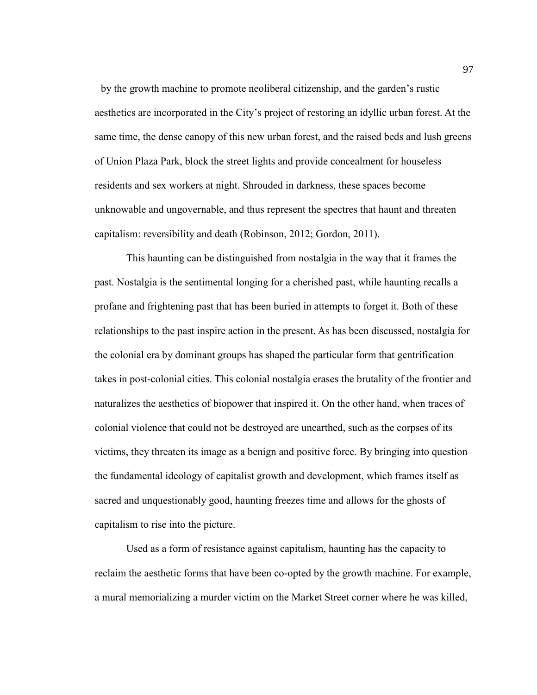by the growth machine to promote neoliberal citizenship, and the garden's rustic aesthetics are incorporated in the City's project of restoring an idyllic urban forest. At the same time, the dense canopy of this new urban forest, and the raised beds and lush greens of Union Plaza Park, block the street lights and provide concealment for houseless residents and sex workers at night. Shrouded in darkness, these spaces become unknowable and ungovernable, and thus represent the spectres that haunt and threaten capitalism: reversibility and death (Robinson, 2012; Gordon, 2011).

This haunting can be distinguished from nostalgia in the way that it frames the past. Nostalgia is the sentimental longing for a cherished past, while haunting recalls a profane and frightening past that has been buried in attempts to forget it. Both of these relationships to the past inspire action in the present. As has been discussed, nostalgia for the colonial era by dominant groups has shaped the particular form that gentrification takes in post-colonial cities. This colonial nostalgia erases the brutality of the frontier and naturalizes the aesthetics of biopower that inspired it. On the other hand, when traces of colonial violence that could not be destroyed are unearthed, such as the corpses of its victims, they threaten its image as a benign and positive force. By bringing into question the fundamental ideology of capitalist growth and development, which frames itself as sacred and unquestionably good, haunting freezes time and allows for the ghosts of capitalism to rise into the picture.

Used as a form of resistance against capitalism, haunting has the capacity to reclaim the aesthetic forms that have been co-opted by the growth machine. For example, a mural memorializing a murder victim on the Market Street corner where he was killed,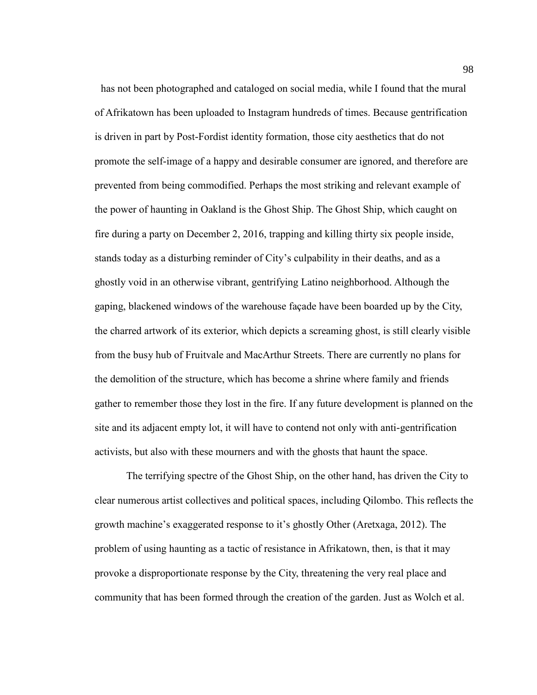has not been photographed and cataloged on social media, while I found that the mural of Afrikatown has been uploaded to Instagram hundreds of times. Because gentrification is driven in part by Post-Fordist identity formation, those city aesthetics that do not promote the self-image of a happy and desirable consumer are ignored, and therefore are prevented from being commodified. Perhaps the most striking and relevant example of the power of haunting in Oakland is the Ghost Ship. The Ghost Ship, which caught on fire during a party on December 2, 2016, trapping and killing thirty six people inside, stands today as a disturbing reminder of City's culpability in their deaths, and as a ghostly void in an otherwise vibrant, gentrifying Latino neighborhood. Although the gaping, blackened windows of the warehouse façade have been boarded up by the City, the charred artwork of its exterior, which depicts a screaming ghost, is still clearly visible from the busy hub of Fruitvale and MacArthur Streets. There are currently no plans for the demolition of the structure, which has become a shrine where family and friends gather to remember those they lost in the fire. If any future development is planned on the site and its adjacent empty lot, it will have to contend not only with anti-gentrification activists, but also with these mourners and with the ghosts that haunt the space.

The terrifying spectre of the Ghost Ship, on the other hand, has driven the City to clear numerous artist collectives and political spaces, including Qilombo. This reflects the growth machine's exaggerated response to it's ghostly Other (Aretxaga, 2012). The problem of using haunting as a tactic of resistance in Afrikatown, then, is that it may provoke a disproportionate response by the City, threatening the very real place and community that has been formed through the creation of the garden. Just as Wolch et al.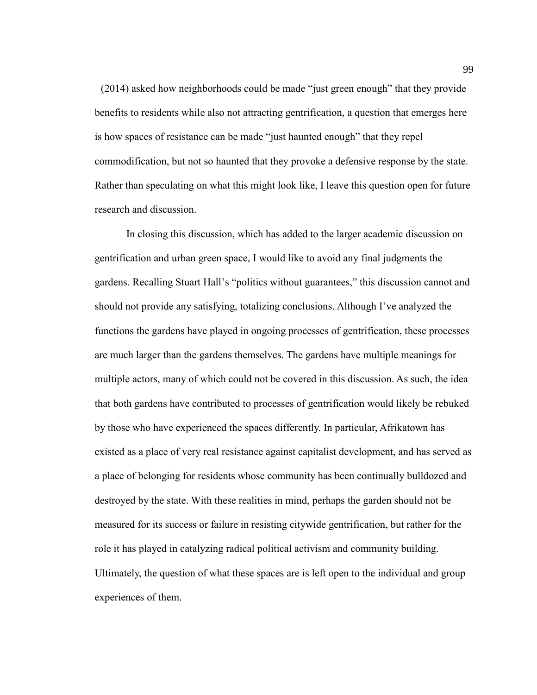(2014) asked how neighborhoods could be made "just green enough" that they provide benefits to residents while also not attracting gentrification, a question that emerges here is how spaces of resistance can be made "just haunted enough" that they repel commodification, but not so haunted that they provoke a defensive response by the state. Rather than speculating on what this might look like, I leave this question open for future research and discussion.

In closing this discussion, which has added to the larger academic discussion on gentrification and urban green space, I would like to avoid any final judgments the gardens. Recalling Stuart Hall's "politics without guarantees," this discussion cannot and should not provide any satisfying, totalizing conclusions. Although I've analyzed the functions the gardens have played in ongoing processes of gentrification, these processes are much larger than the gardens themselves. The gardens have multiple meanings for multiple actors, many of which could not be covered in this discussion. As such, the idea that both gardens have contributed to processes of gentrification would likely be rebuked by those who have experienced the spaces differently. In particular, Afrikatown has existed as a place of very real resistance against capitalist development, and has served as a place of belonging for residents whose community has been continually bulldozed and destroyed by the state. With these realities in mind, perhaps the garden should not be measured for its success or failure in resisting citywide gentrification, but rather for the role it has played in catalyzing radical political activism and community building. Ultimately, the question of what these spaces are is left open to the individual and group experiences of them.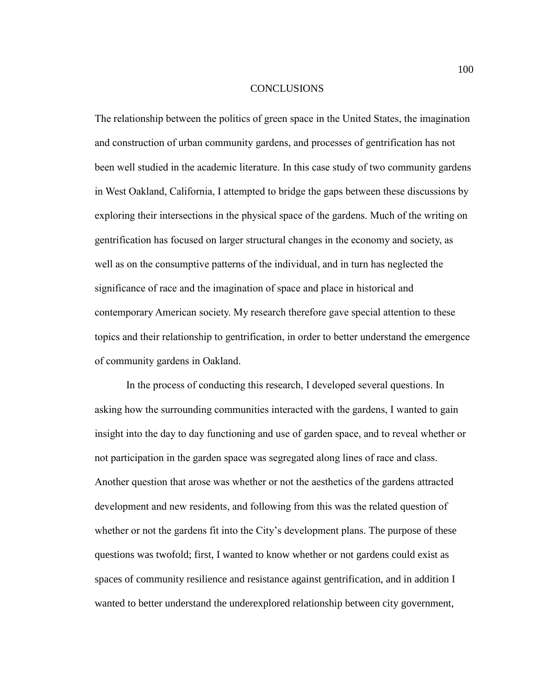#### **CONCLUSIONS**

The relationship between the politics of green space in the United States, the imagination and construction of urban community gardens, and processes of gentrification has not been well studied in the academic literature. In this case study of two community gardens in West Oakland, California, I attempted to bridge the gaps between these discussions by exploring their intersections in the physical space of the gardens. Much of the writing on gentrification has focused on larger structural changes in the economy and society, as well as on the consumptive patterns of the individual, and in turn has neglected the significance of race and the imagination of space and place in historical and contemporary American society. My research therefore gave special attention to these topics and their relationship to gentrification, in order to better understand the emergence of community gardens in Oakland.

In the process of conducting this research, I developed several questions. In asking how the surrounding communities interacted with the gardens, I wanted to gain insight into the day to day functioning and use of garden space, and to reveal whether or not participation in the garden space was segregated along lines of race and class. Another question that arose was whether or not the aesthetics of the gardens attracted development and new residents, and following from this was the related question of whether or not the gardens fit into the City's development plans. The purpose of these questions was twofold; first, I wanted to know whether or not gardens could exist as spaces of community resilience and resistance against gentrification, and in addition I wanted to better understand the underexplored relationship between city government,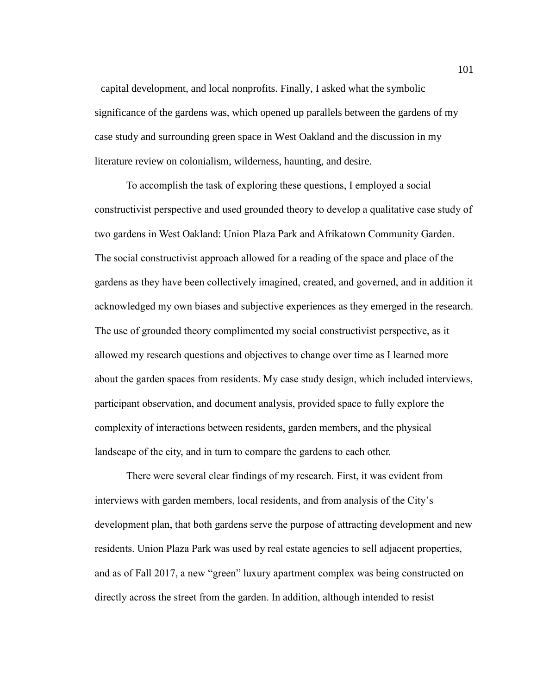capital development, and local nonprofits. Finally, I asked what the symbolic significance of the gardens was, which opened up parallels between the gardens of my case study and surrounding green space in West Oakland and the discussion in my literature review on colonialism, wilderness, haunting, and desire.

To accomplish the task of exploring these questions, I employed a social constructivist perspective and used grounded theory to develop a qualitative case study of two gardens in West Oakland: Union Plaza Park and Afrikatown Community Garden. The social constructivist approach allowed for a reading of the space and place of the gardens as they have been collectively imagined, created, and governed, and in addition it acknowledged my own biases and subjective experiences as they emerged in the research. The use of grounded theory complimented my social constructivist perspective, as it allowed my research questions and objectives to change over time as I learned more about the garden spaces from residents. My case study design, which included interviews, participant observation, and document analysis, provided space to fully explore the complexity of interactions between residents, garden members, and the physical landscape of the city, and in turn to compare the gardens to each other.

There were several clear findings of my research. First, it was evident from interviews with garden members, local residents, and from analysis of the City's development plan, that both gardens serve the purpose of attracting development and new residents. Union Plaza Park was used by real estate agencies to sell adjacent properties, and as of Fall 2017, a new "green" luxury apartment complex was being constructed on directly across the street from the garden. In addition, although intended to resist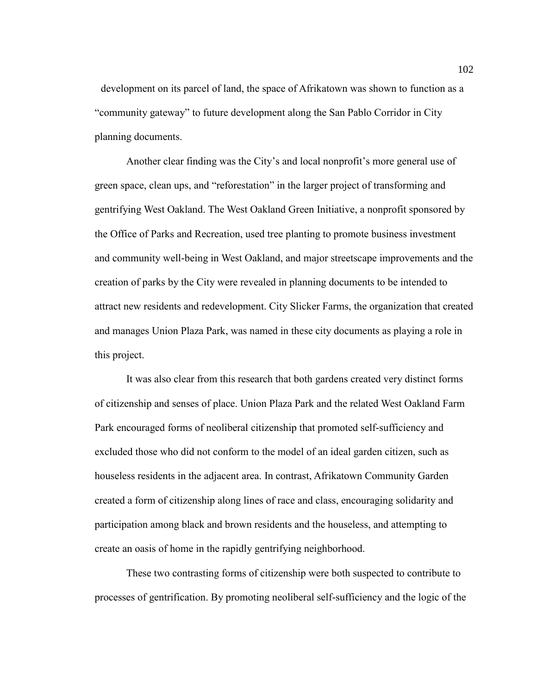development on its parcel of land, the space of Afrikatown was shown to function as a "community gateway" to future development along the San Pablo Corridor in City planning documents.

Another clear finding was the City's and local nonprofit's more general use of green space, clean ups, and "reforestation" in the larger project of transforming and gentrifying West Oakland. The West Oakland Green Initiative, a nonprofit sponsored by the Office of Parks and Recreation, used tree planting to promote business investment and community well-being in West Oakland, and major streetscape improvements and the creation of parks by the City were revealed in planning documents to be intended to attract new residents and redevelopment. City Slicker Farms, the organization that created and manages Union Plaza Park, was named in these city documents as playing a role in this project.

It was also clear from this research that both gardens created very distinct forms of citizenship and senses of place. Union Plaza Park and the related West Oakland Farm Park encouraged forms of neoliberal citizenship that promoted self-sufficiency and excluded those who did not conform to the model of an ideal garden citizen, such as houseless residents in the adjacent area. In contrast, Afrikatown Community Garden created a form of citizenship along lines of race and class, encouraging solidarity and participation among black and brown residents and the houseless, and attempting to create an oasis of home in the rapidly gentrifying neighborhood.

These two contrasting forms of citizenship were both suspected to contribute to processes of gentrification. By promoting neoliberal self-sufficiency and the logic of the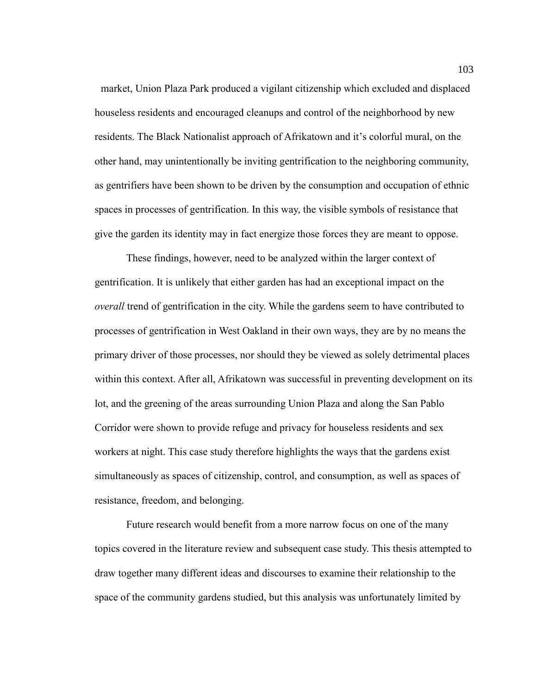market, Union Plaza Park produced a vigilant citizenship which excluded and displaced houseless residents and encouraged cleanups and control of the neighborhood by new residents. The Black Nationalist approach of Afrikatown and it's colorful mural, on the other hand, may unintentionally be inviting gentrification to the neighboring community, as gentrifiers have been shown to be driven by the consumption and occupation of ethnic spaces in processes of gentrification. In this way, the visible symbols of resistance that give the garden its identity may in fact energize those forces they are meant to oppose.

These findings, however, need to be analyzed within the larger context of gentrification. It is unlikely that either garden has had an exceptional impact on the *overall* trend of gentrification in the city. While the gardens seem to have contributed to processes of gentrification in West Oakland in their own ways, they are by no means the primary driver of those processes, nor should they be viewed as solely detrimental places within this context. After all, Afrikatown was successful in preventing development on its lot, and the greening of the areas surrounding Union Plaza and along the San Pablo Corridor were shown to provide refuge and privacy for houseless residents and sex workers at night. This case study therefore highlights the ways that the gardens exist simultaneously as spaces of citizenship, control, and consumption, as well as spaces of resistance, freedom, and belonging.

Future research would benefit from a more narrow focus on one of the many topics covered in the literature review and subsequent case study. This thesis attempted to draw together many different ideas and discourses to examine their relationship to the space of the community gardens studied, but this analysis was unfortunately limited by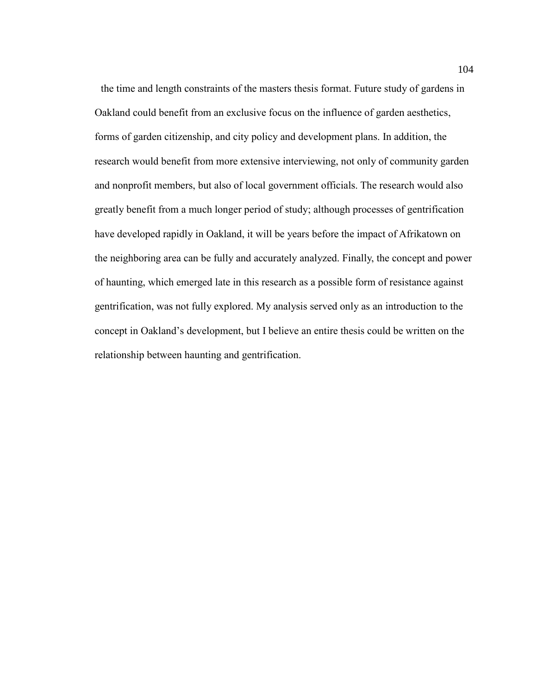the time and length constraints of the masters thesis format. Future study of gardens in Oakland could benefit from an exclusive focus on the influence of garden aesthetics, forms of garden citizenship, and city policy and development plans. In addition, the research would benefit from more extensive interviewing, not only of community garden and nonprofit members, but also of local government officials. The research would also greatly benefit from a much longer period of study; although processes of gentrification have developed rapidly in Oakland, it will be years before the impact of Afrikatown on the neighboring area can be fully and accurately analyzed. Finally, the concept and power of haunting, which emerged late in this research as a possible form of resistance against gentrification, was not fully explored. My analysis served only as an introduction to the concept in Oakland's development, but I believe an entire thesis could be written on the relationship between haunting and gentrification.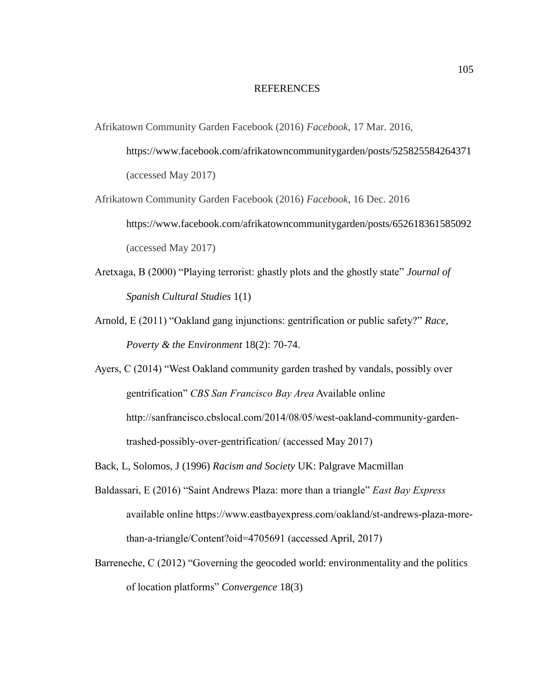## REFERENCES

- Afrikatown Community Garden Facebook (2016) *Facebook*, 17 Mar. 2016,
	- https://www.facebook.com/afrikatowncommunitygarden/posts/525825584264371 (accessed May 2017)
- Afrikatown Community Garden Facebook (2016) *Facebook*, 16 Dec. 2016 https://www.facebook.com/afrikatowncommunitygarden/posts/652618361585092 (accessed May 2017)
- Aretxaga, B (2000) "Playing terrorist: ghastly plots and the ghostly state" *Journal of Spanish Cultural Studies* 1(1)
- Arnold, E (2011) "Oakland gang injunctions: gentrification or public safety?" *Race, Poverty & the Environment* 18(2): 70-74.
- Ayers, C (2014) "West Oakland community garden trashed by vandals, possibly over gentrification" *CBS San Francisco Bay Area* Available online http://sanfrancisco.cbslocal.com/2014/08/05/west-oakland-community-gardentrashed-possibly-over-gentrification/ (accessed May 2017)
- Back, L, Solomos, J (1996) *Racism and Society* UK: Palgrave Macmillan
- Baldassari, E (2016) "Saint Andrews Plaza: more than a triangle" *East Bay Express* available online https://www.eastbayexpress.com/oakland/st-andrews-plaza-morethan-a-triangle/Content?oid=4705691 (accessed April, 2017)
- Barreneche, C (2012) "Governing the geocoded world: environmentality and the politics of location platforms" *Convergence* 18(3)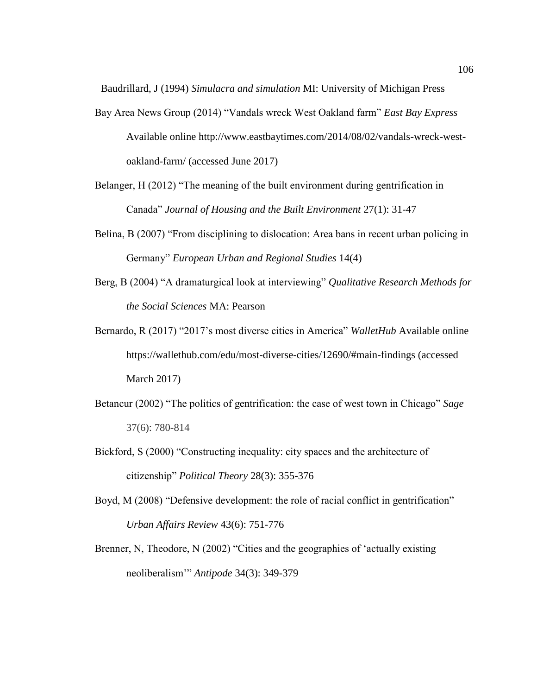Baudrillard, J (1994) *Simulacra and simulation* MI: University of Michigan Press

- Bay Area News Group (2014) "Vandals wreck West Oakland farm" *East Bay Express* Available online http://www.eastbaytimes.com/2014/08/02/vandals-wreck-westoakland-farm/ (accessed June 2017)
- Belanger, H (2012) "The meaning of the built environment during gentrification in Canada" *Journal of Housing and the Built Environment* 27(1): 31-47
- Belina, B (2007) "From disciplining to dislocation: Area bans in recent urban policing in Germany" *European Urban and Regional Studies* 14(4)
- Berg, B (2004) "A dramaturgical look at interviewing" *Qualitative Research Methods for the Social Sciences* MA: Pearson
- Bernardo, R (2017) "2017's most diverse cities in America" *WalletHub* Available online https://wallethub.com/edu/most-diverse-cities/12690/#main-findings (accessed March 2017)
- Betancur (2002) "The politics of gentrification: the case of west town in Chicago" *Sage* 37(6): 780-814
- Bickford, S (2000) "Constructing inequality: city spaces and the architecture of citizenship" *Political Theory* 28(3): 355-376
- Boyd, M (2008) "Defensive development: the role of racial conflict in gentrification" *Urban Affairs Review* 43(6): 751-776
- Brenner, N, Theodore, N (2002) "Cities and the geographies of 'actually existing neoliberalism'" *Antipode* 34(3): 349-379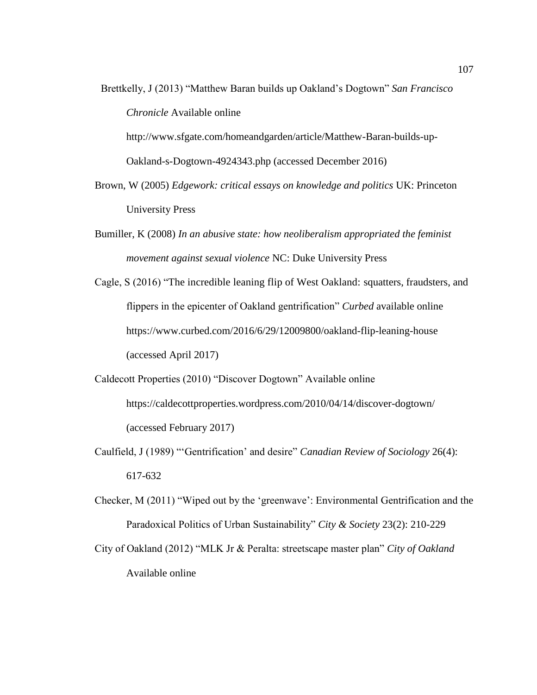Brettkelly, J (2013) "Matthew Baran builds up Oakland's Dogtown" *San Francisco Chronicle* Available online http://www.sfgate.com/homeandgarden/article/Matthew-Baran-builds-up-

Oakland-s-Dogtown-4924343.php (accessed December 2016)

- Brown, W (2005) *Edgework: critical essays on knowledge and politics* UK: Princeton University Press
- Bumiller, K (2008) *In an abusive state: how neoliberalism appropriated the feminist movement against sexual violence* NC: Duke University Press
- Cagle, S (2016) "The incredible leaning flip of West Oakland: squatters, fraudsters, and flippers in the epicenter of Oakland gentrification" *Curbed* available online https://www.curbed.com/2016/6/29/12009800/oakland-flip-leaning-house (accessed April 2017)
- Caldecott Properties (2010) "Discover Dogtown" Available online https://caldecottproperties.wordpress.com/2010/04/14/discover-dogtown/ (accessed February 2017)
- Caulfield, J (1989) "'Gentrification' and desire" *Canadian Review of Sociology* 26(4): 617-632
- Checker, M (2011) "Wiped out by the 'greenwave': Environmental Gentrification and the Paradoxical Politics of Urban Sustainability" *City & Society* 23(2): 210-229
- City of Oakland (2012) "MLK Jr & Peralta: streetscape master plan" *City of Oakland*  Available online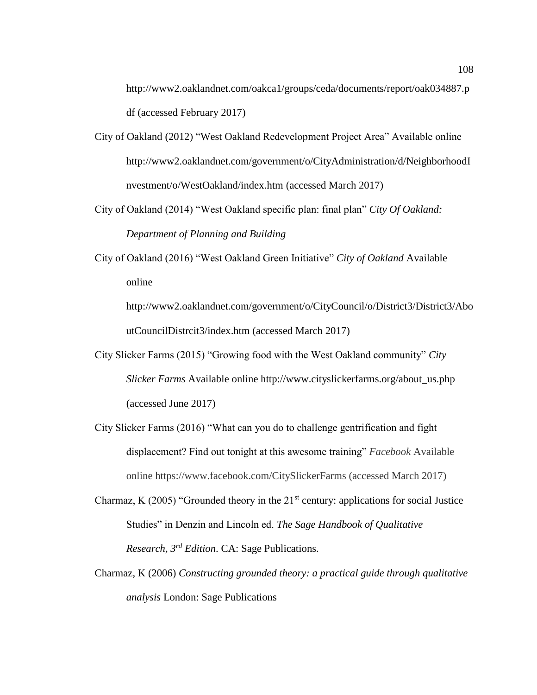http://www2.oaklandnet.com/oakca1/groups/ceda/documents/report/oak034887.p df (accessed February 2017)

- City of Oakland (2012) "West Oakland Redevelopment Project Area" Available online http://www2.oaklandnet.com/government/o/CityAdministration/d/NeighborhoodI nvestment/o/WestOakland/index.htm (accessed March 2017)
- City of Oakland (2014) "West Oakland specific plan: final plan" *City Of Oakland: Department of Planning and Building*
- City of Oakland (2016) "West Oakland Green Initiative" *City of Oakland* Available online

http://www2.oaklandnet.com/government/o/CityCouncil/o/District3/District3/Abo utCouncilDistrcit3/index.htm (accessed March 2017)

- City Slicker Farms (2015) "Growing food with the West Oakland community" *City Slicker Farms* Available online http://www.cityslickerfarms.org/about\_us.php (accessed June 2017)
- City Slicker Farms (2016) "What can you do to challenge gentrification and fight displacement? Find out tonight at this awesome training" *Facebook* Available online https://www.facebook.com/CitySlickerFarms (accessed March 2017)
- Charmaz, K (2005) "Grounded theory in the  $21<sup>st</sup>$  century: applications for social Justice Studies" in Denzin and Lincoln ed. *The Sage Handbook of Qualitative Research, 3rd Edition*. CA: Sage Publications.
- Charmaz, K (2006) *Constructing grounded theory: a practical guide through qualitative analysis* London: Sage Publications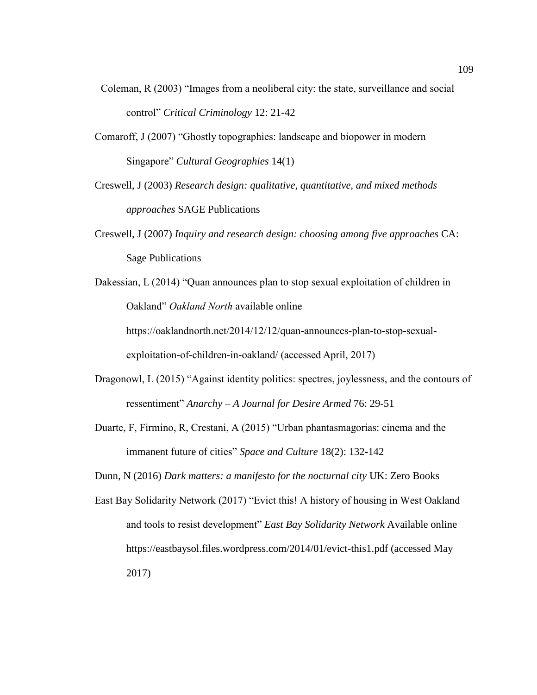- Coleman, R (2003) "Images from a neoliberal city: the state, surveillance and social control" *Critical Criminology* 12: 21-42
- Comaroff, J (2007) "Ghostly topographies: landscape and biopower in modern Singapore" *Cultural Geographies* 14(1)
- Creswell, J (2003) *Research design: qualitative, quantitative, and mixed methods approaches* SAGE Publications
- Creswell, J (2007) *Inquiry and research design: choosing among five approaches* CA: Sage Publications

[Dakessian,](https://oaklandnorth.net/author/lena_dakessian/%22%20%5Co%20%22Posts%20by%20Lena%20Dakessian) L (2014) "Quan announces plan to stop sexual exploitation of children in Oakland" *Oakland North* available online https://oaklandnorth.net/2014/12/12/quan-announces-plan-to-stop-sexual-

exploitation-of-children-in-oakland/ (accessed April, 2017)

- Dragonowl, L (2015) "Against identity politics: spectres, joylessness, and the contours of ressentiment" *Anarchy – A Journal for Desire Armed* 76: 29-51
- Duarte, F, Firmino, R, Crestani, A (2015) "Urban phantasmagorias: cinema and the immanent future of cities" *Space and Culture* 18(2): 132-142

Dunn, N (2016) *Dark matters: a manifesto for the nocturnal city* UK: Zero Books

East Bay Solidarity Network (2017) "Evict this! A history of housing in West Oakland and tools to resist development" *East Bay Solidarity Network* Available online https://eastbaysol.files.wordpress.com/2014/01/evict-this1.pdf (accessed May 2017)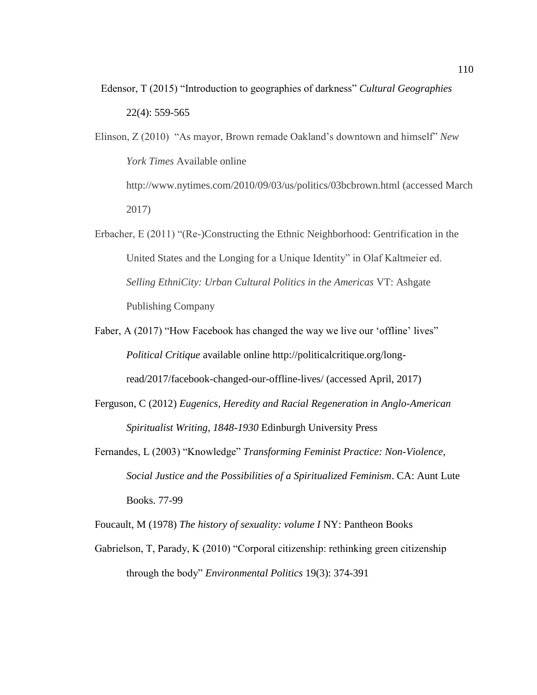Edensor, T (2015) "Introduction to geographies of darkness" *Cultural Geographies*  22(4): 559-565

Elinson, Z (2010) "As mayor, Brown remade Oakland's downtown and himself" *New York Times* Available online http://www.nytimes.com/2010/09/03/us/politics/03bcbrown.html (accessed March 2017)

- Erbacher, E (2011) "(Re-)Constructing the Ethnic Neighborhood: Gentrification in the United States and the Longing for a Unique Identity" in Olaf Kaltmeier ed. *Selling EthniCity: Urban Cultural Politics in the Americas* VT: Ashgate Publishing Company
- Faber, A (2017) "How Facebook has changed the way we live our 'offline' lives" *Political Critique* available online http://politicalcritique.org/longread/2017/facebook-changed-our-offline-lives/ (accessed April, 2017)
- Ferguson, C (2012) *Eugenics, Heredity and Racial Regeneration in Anglo-American Spiritualist Writing, 1848-1930* Edinburgh University Press
- Fernandes, L (2003) "Knowledge" *Transforming Feminist Practice: Non-Violence, Social Justice and the Possibilities of a Spiritualized Feminism*. CA: Aunt Lute Books. 77-99

Foucault, M (1978) *The history of sexuality: volume I* NY: Pantheon Books

Gabrielson, T, Parady, K (2010) "Corporal citizenship: rethinking green citizenship through the body" *Environmental Politics* 19(3): 374-391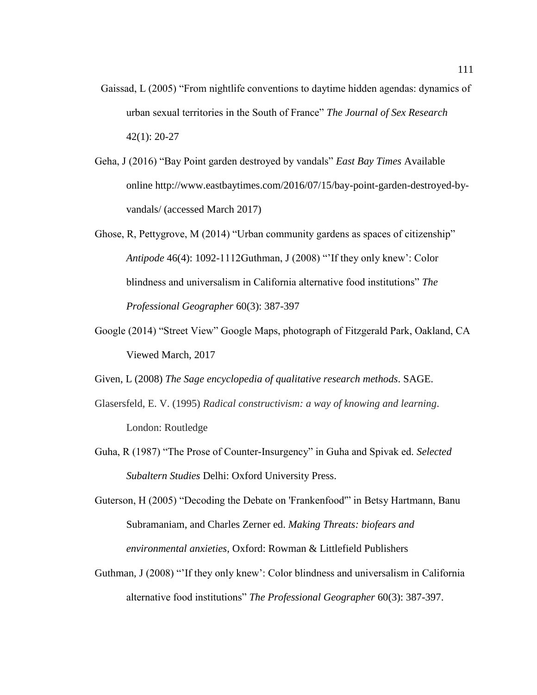- Gaissad, L (2005) "From nightlife conventions to daytime hidden agendas: dynamics of urban sexual territories in the South of France" *The Journal of Sex Research*  42(1): 20-27
- Geha, J (2016) "Bay Point garden destroyed by vandals" *East Bay Times* Available online http://www.eastbaytimes.com/2016/07/15/bay-point-garden-destroyed-byvandals/ (accessed March 2017)
- Ghose, R, Pettygrove, M (2014) "Urban community gardens as spaces of citizenship" *Antipode* 46(4): 1092-1112Guthman, J (2008) "'If they only knew': Color blindness and universalism in California alternative food institutions" *The Professional Geographer* 60(3): 387-397
- Google (2014) "Street View" Google Maps, photograph of Fitzgerald Park, Oakland, CA Viewed March, 2017
- Given, L (2008) *The Sage encyclopedia of qualitative research methods*. SAGE.
- Glasersfeld, E. V. (1995) *Radical constructivism: a way of knowing and learning*. London: Routledge
- Guha, R (1987) "The Prose of Counter-Insurgency" in Guha and Spivak ed. *Selected Subaltern Studies* Delhi: Oxford University Press.
- Guterson, H (2005) "Decoding the Debate on 'Frankenfood'" in Betsy Hartmann, Banu Subramaniam, and Charles Zerner ed. *Making Threats: biofears and environmental anxieties*, Oxford: Rowman & Littlefield Publishers
- Guthman, J (2008) "'If they only knew': Color blindness and universalism in California alternative food institutions" *The Professional Geographer* 60(3): 387-397.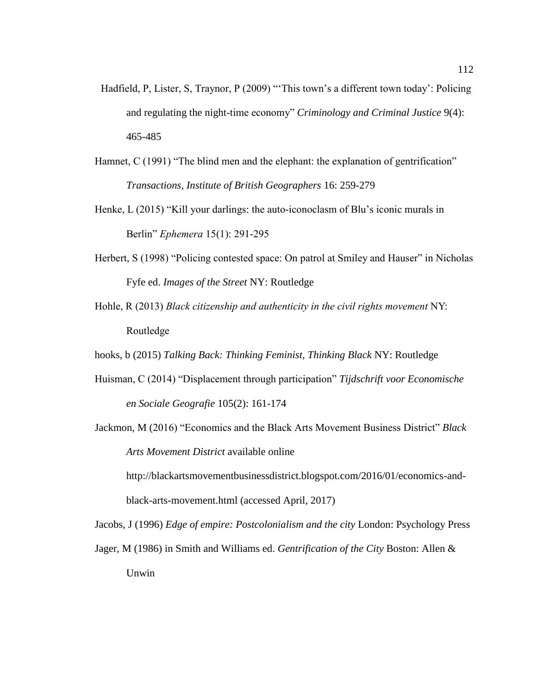- Hadfield, P, Lister, S, Traynor, P (2009) "This town's a different town today': Policing and regulating the night-time economy" *Criminology and Criminal Justice* 9(4): 465-485
- Hamnet, C (1991) "The blind men and the elephant: the explanation of gentrification" *Transactions, Institute of British Geographers* 16: 259-279
- Henke, L (2015) "Kill your darlings: the auto-iconoclasm of Blu's iconic murals in Berlin" *Ephemera* 15(1): 291-295
- Herbert, S (1998) "Policing contested space: On patrol at Smiley and Hauser" in Nicholas Fyfe ed. *Images of the Street* NY: Routledge
- Hohle, R (2013) *Black citizenship and authenticity in the civil rights movement* NY: Routledge
- hooks, b (2015) *Talking Back: Thinking Feminist, Thinking Black* NY: Routledge
- Huisman, C (2014) "Displacement through participation" *Tijdschrift voor Economische en Sociale Geografie* 105(2): 161-174
- Jackmon, M (2016) "Economics and the Black Arts Movement Business District" *Black Arts Movement District* available online

http://blackartsmovementbusinessdistrict.blogspot.com/2016/01/economics-andblack-arts-movement.html (accessed April, 2017)

Jacobs, J (1996) *Edge of empire: Postcolonialism and the city* London: Psychology Press

Jager, M (1986) in Smith and Williams ed. *Gentrification of the City* Boston: Allen & Unwin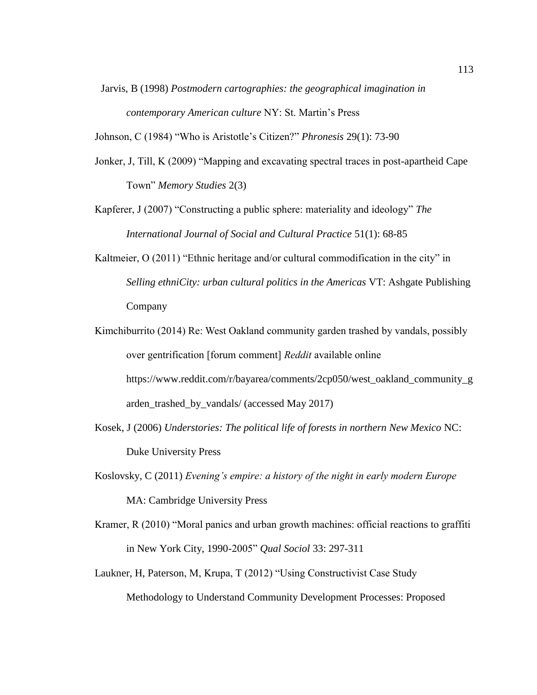Jarvis, B (1998) *Postmodern cartographies: the geographical imagination in contemporary American culture* NY: St. Martin's Press

Johnson, C (1984) "Who is Aristotle's Citizen?" *Phronesis* 29(1): 73-90

- Jonker, J, Till, K (2009) "Mapping and excavating spectral traces in post-apartheid Cape Town" *Memory Studies* 2(3)
- Kapferer, J (2007) "Constructing a public sphere: materiality and ideology" *The International Journal of Social and Cultural Practice* 51(1): 68-85
- Kaltmeier, O (2011) "Ethnic heritage and/or cultural commodification in the city" in *Selling ethniCity: urban cultural politics in the Americas* VT: Ashgate Publishing Company
- Kimchiburrito (2014) Re: West Oakland community garden trashed by vandals, possibly over gentrification [forum comment] *Reddit* available online https://www.reddit.com/r/bayarea/comments/2cp050/west\_oakland\_community\_g arden\_trashed\_by\_vandals/ (accessed May 2017)
- Kosek, J (2006) *Understories: The political life of forests in northern New Mexico* NC: Duke University Press
- Koslovsky, C (2011) *Evening's empire: a history of the night in early modern Europe*  MA: Cambridge University Press
- Kramer, R (2010) "Moral panics and urban growth machines: official reactions to graffiti in New York City, 1990-2005" *Qual Sociol* 33: 297-311
- Laukner, H, Paterson, M, Krupa, T (2012) "Using Constructivist Case Study Methodology to Understand Community Development Processes: Proposed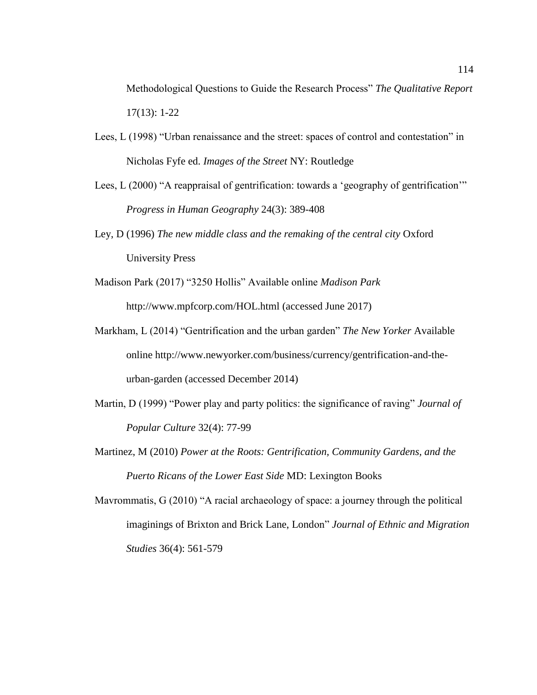Methodological Questions to Guide the Research Process" *The Qualitative Report* 17(13): 1-22

- Lees, L (1998) "Urban renaissance and the street: spaces of control and contestation" in Nicholas Fyfe ed. *Images of the Street* NY: Routledge
- Lees, L (2000) "A reappraisal of gentrification: towards a 'geography of gentrification'" *Progress in Human Geography* 24(3): 389-408
- Ley, D (1996) *The new middle class and the remaking of the central city* Oxford University Press
- Madison Park (2017) "3250 Hollis" Available online *Madison Park*  http://www.mpfcorp.com/HOL.html (accessed June 2017)
- Markham, L (2014) "Gentrification and the urban garden" *The New Yorker* Available online http://www.newyorker.com/business/currency/gentrification-and-theurban-garden (accessed December 2014)
- Martin, D (1999) "Power play and party politics: the significance of raving" *Journal of Popular Culture* 32(4): 77-99
- Martinez, M (2010) *Power at the Roots: Gentrification, Community Gardens, and the Puerto Ricans of the Lower East Side* MD: Lexington Books
- Mavrommatis, G (2010) "A racial archaeology of space: a journey through the political imaginings of Brixton and Brick Lane, London" *Journal of Ethnic and Migration Studies* 36(4): 561-579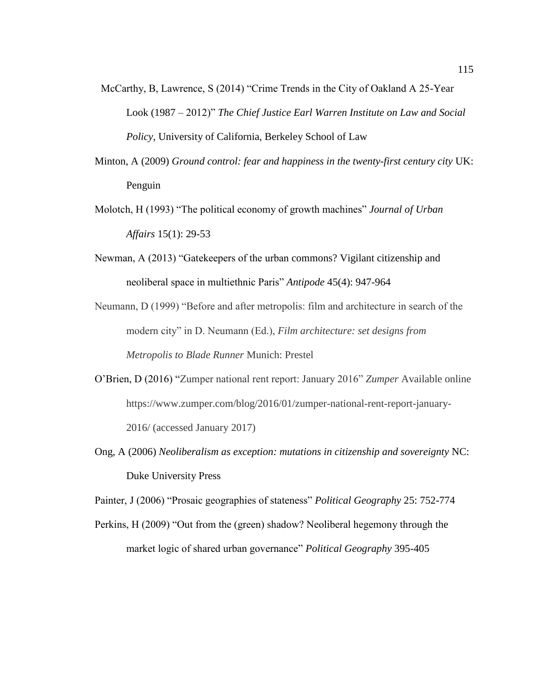- McCarthy, B, Lawrence, S (2014) "Crime Trends in the City of Oakland A 25-Year Look (1987 – 2012)" *The Chief Justice Earl Warren Institute on Law and Social Policy,* University of California, Berkeley School of Law
- Minton, A (2009) *Ground control: fear and happiness in the twenty-first century city* UK: Penguin
- Molotch, H (1993) "The political economy of growth machines" *Journal of Urban Affairs* 15(1): 29-53
- Newman, A (2013) "Gatekeepers of the urban commons? Vigilant citizenship and neoliberal space in multiethnic Paris" *Antipode* 45(4): 947-964

Neumann, D (1999) "Before and after metropolis: film and architecture in search of the modern city" in D. Neumann (Ed.), *Film architecture: set designs from Metropolis to Blade Runner* Munich: Prestel

- O'Brien, D (2016) "Zumper national rent report: January 2016" *Zumper* Available online https://www.zumper.com/blog/2016/01/zumper-national-rent-report-january-2016/ (accessed January 2017)
- Ong, A (2006) *Neoliberalism as exception: mutations in citizenship and sovereignty* NC: Duke University Press

Painter, J (2006) "Prosaic geographies of stateness" *Political Geography* 25: 752-774

Perkins, H (2009) "Out from the (green) shadow? Neoliberal hegemony through the market logic of shared urban governance" *Political Geography* 395-405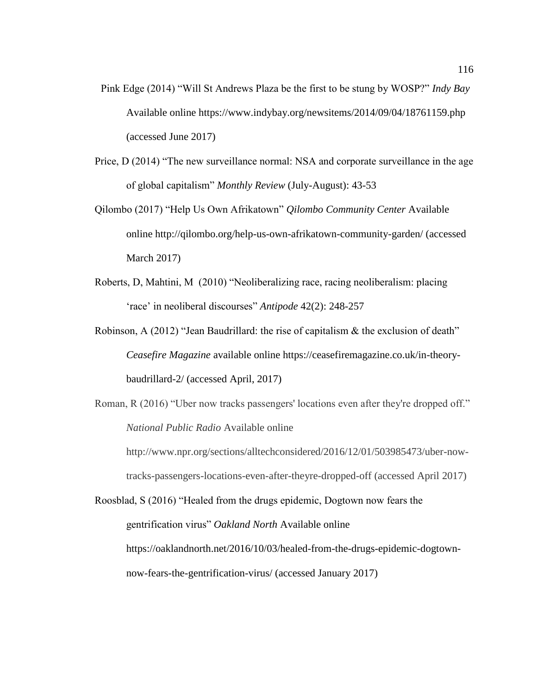- Pink Edge (2014) "Will St Andrews Plaza be the first to be stung by WOSP?" *Indy Bay*  Available online https://www.indybay.org/newsitems/2014/09/04/18761159.php (accessed June 2017)
- Price, D (2014) "The new surveillance normal: NSA and corporate surveillance in the age of global capitalism" *Monthly Review* (July-August): 43-53
- Qilombo (2017) "Help Us Own Afrikatown" *Qilombo Community Center* Available online http://qilombo.org/help-us-own-afrikatown-community-garden/ (accessed March 2017)
- Roberts, D, Mahtini, M (2010) "Neoliberalizing race, racing neoliberalism: placing 'race' in neoliberal discourses" *Antipode* 42(2): 248-257
- Robinson, A (2012) "Jean Baudrillard: the rise of capitalism & the exclusion of death" *Ceasefire Magazine* available online https://ceasefiremagazine.co.uk/in-theorybaudrillard-2/ (accessed April, 2017)
- Roman, R (2016) "Uber now tracks passengers' locations even after they're dropped off." *National Public Radio* Available online

http://www.npr.org/sections/alltechconsidered/2016/12/01/503985473/uber-nowtracks-passengers-locations-even-after-theyre-dropped-off (accessed April 2017)

Roosblad, S (2016) "Healed from the drugs epidemic, Dogtown now fears the gentrification virus" *Oakland North* Available online https://oaklandnorth.net/2016/10/03/healed-from-the-drugs-epidemic-dogtownnow-fears-the-gentrification-virus/ (accessed January 2017)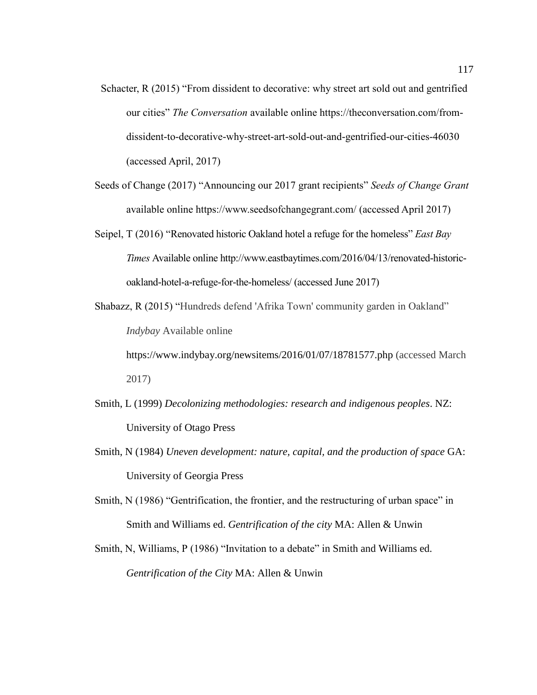- Schacter, R (2015) "From dissident to decorative: why street art sold out and gentrified our cities" *The Conversation* available online https://theconversation.com/fromdissident-to-decorative-why-street-art-sold-out-and-gentrified-our-cities-46030 (accessed April, 2017)
- Seeds of Change (2017) "Announcing our 2017 grant recipients" *Seeds of Change Grant* available online https://www.seedsofchangegrant.com/ (accessed April 2017)
- Seipel, T (2016) "Renovated historic Oakland hotel a refuge for the homeless" *East Bay Times* Available online http://www.eastbaytimes.com/2016/04/13/renovated-historicoakland-hotel-a-refuge-for-the-homeless/ (accessed June 2017)
- Shabazz, R (2015) "Hundreds defend 'Afrika Town' community garden in Oakland" *Indybay* Available online
	- https://www.indybay.org/newsitems/2016/01/07/18781577.php (accessed March 2017)
- Smith, L (1999) *Decolonizing methodologies: research and indigenous peoples*. NZ: University of Otago Press
- Smith, N (1984) *Uneven development: nature, capital, and the production of space* GA: University of Georgia Press
- Smith, N (1986) "Gentrification, the frontier, and the restructuring of urban space" in Smith and Williams ed. *Gentrification of the city* MA: Allen & Unwin
- Smith, N, Williams, P (1986) "Invitation to a debate" in Smith and Williams ed. *Gentrification of the City* MA: Allen & Unwin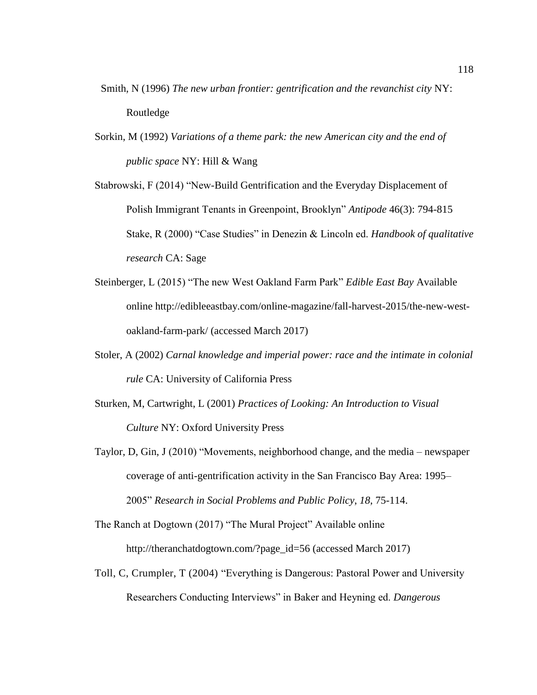- Smith, N (1996) *The new urban frontier: gentrification and the revanchist city* NY: Routledge
- Sorkin, M (1992) *Variations of a theme park: the new American city and the end of public space* NY: Hill & Wang

Stabrowski, F (2014) "New-Build Gentrification and the Everyday Displacement of Polish Immigrant Tenants in Greenpoint, Brooklyn" *Antipode* 46(3): 794-815 Stake, R (2000) "Case Studies" in Denezin & Lincoln ed. *Handbook of qualitative research* CA: Sage

- Steinberger, L (2015) "The new West Oakland Farm Park" *Edible East Bay* Available online http://edibleeastbay.com/online-magazine/fall-harvest-2015/the-new-westoakland-farm-park/ (accessed March 2017)
- Stoler, A (2002) *Carnal knowledge and imperial power: race and the intimate in colonial rule* CA: University of California Press
- Sturken, M, Cartwright, L (2001) *Practices of Looking: An Introduction to Visual Culture* NY: Oxford University Press
- Taylor, D, Gin, J (2010) "Movements, neighborhood change, and the media newspaper coverage of anti-gentrification activity in the San Francisco Bay Area: 1995– 2005" *Research in Social Problems and Public Policy*, *18*, 75-114.

The Ranch at Dogtown (2017) "The Mural Project" Available online http://theranchatdogtown.com/?page\_id=56 (accessed March 2017)

Toll, C, Crumpler, T (2004) "Everything is Dangerous: Pastoral Power and University Researchers Conducting Interviews" in Baker and Heyning ed. *Dangerous*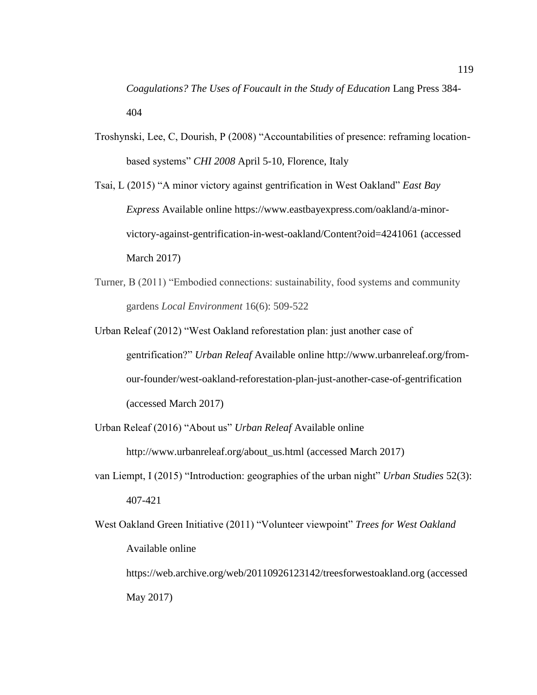*Coagulations? The Uses of Foucault in the Study of Education* Lang Press 384- 404

Troshynski, Lee, C, Dourish, P (2008) "Accountabilities of presence: reframing locationbased systems" *CHI 2008* April 5-10, Florence, Italy

Tsai, L (2015) "A minor victory against gentrification in West Oakland" *East Bay Express* Available online https://www.eastbayexpress.com/oakland/a-minorvictory-against-gentrification-in-west-oakland/Content?oid=4241061 (accessed March 2017)

- Turner, B (2011) "Embodied connections: sustainability, food systems and community gardens *Local Environment* 16(6): 509-522
- Urban Releaf (2012) "West Oakland reforestation plan: just another case of gentrification?" *Urban Releaf* Available online http://www.urbanreleaf.org/fromour-founder/west-oakland-reforestation-plan-just-another-case-of-gentrification (accessed March 2017)
- Urban Releaf (2016) "About us" *Urban Releaf* Available online

May 2017)

http://www.urbanreleaf.org/about\_us.html (accessed March 2017)

- van Liempt, I (2015) "Introduction: geographies of the urban night" *Urban Studies* 52(3): 407-421
- West Oakland Green Initiative (2011) "Volunteer viewpoint" *Trees for West Oakland*  Available online https://web.archive.org/web/20110926123142/treesforwestoakland.org (accessed